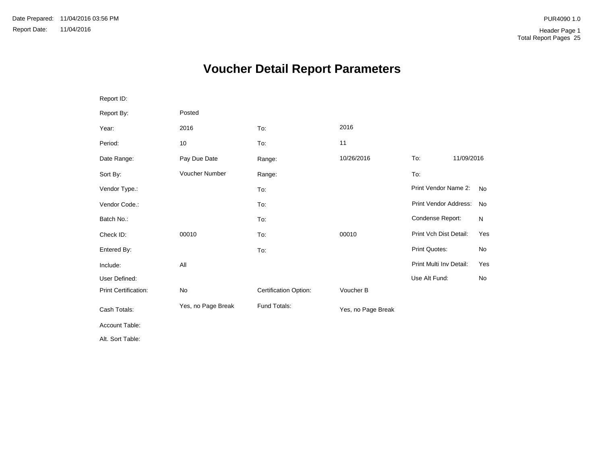# **Voucher Detail Report Parameters**

| Report ID:           |                    |                       |                    |                         |            |           |
|----------------------|--------------------|-----------------------|--------------------|-------------------------|------------|-----------|
| Report By:           | Posted             |                       |                    |                         |            |           |
| Year:                | 2016               | To:                   | 2016               |                         |            |           |
| Period:              | 10                 | To:                   | 11                 |                         |            |           |
| Date Range:          | Pay Due Date       | Range:                | 10/26/2016         | To:                     | 11/09/2016 |           |
| Sort By:             | Voucher Number     | Range:                |                    | To:                     |            |           |
| Vendor Type.:        |                    | To:                   |                    | Print Vendor Name 2:    |            | <b>No</b> |
| Vendor Code.:        |                    | To:                   |                    | Print Vendor Address:   |            | <b>No</b> |
| Batch No.:           |                    | To:                   |                    | Condense Report:        |            | N         |
| Check ID:            | 00010              | To:                   | 00010              | Print Vch Dist Detail:  |            | Yes       |
| Entered By:          |                    | To:                   |                    | Print Quotes:           |            | No        |
| Include:             | All                |                       |                    | Print Multi Inv Detail: |            | Yes       |
| User Defined:        |                    |                       |                    | Use Alt Fund:           |            | <b>No</b> |
| Print Certification: | No                 | Certification Option: | Voucher B          |                         |            |           |
| Cash Totals:         | Yes, no Page Break | Fund Totals:          | Yes, no Page Break |                         |            |           |
| Account Table:       |                    |                       |                    |                         |            |           |
| Alt. Sort Table:     |                    |                       |                    |                         |            |           |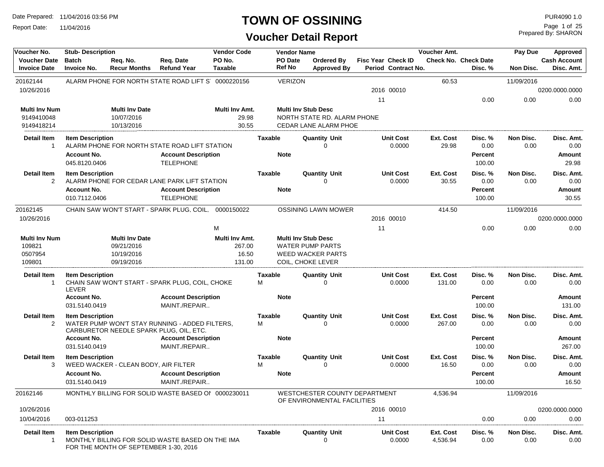Report Date: 11/04/2016

### **TOWN OF OSSINING**

| Voucher No.                                      | <b>Stub-Description</b>             |                                                   |                                                                                           | <b>Vendor Code</b>                |                     | <b>Vendor Name</b>       |                                                                                    |    |                                                  | Voucher Amt.              |                                        | Pay Due           | Approved                          |
|--------------------------------------------------|-------------------------------------|---------------------------------------------------|-------------------------------------------------------------------------------------------|-----------------------------------|---------------------|--------------------------|------------------------------------------------------------------------------------|----|--------------------------------------------------|---------------------------|----------------------------------------|-------------------|-----------------------------------|
| <b>Voucher Date</b><br><b>Invoice Date</b>       | <b>Batch</b><br><b>Invoice No.</b>  | Req. No.<br><b>Recur Months</b>                   | Req. Date<br><b>Refund Year</b>                                                           | PO No.<br><b>Taxable</b>          |                     | PO Date<br><b>Ref No</b> | <b>Ordered By</b><br><b>Approved By</b>                                            |    | <b>Fisc Year Check ID</b><br>Period Contract No. |                           | <b>Check No. Check Date</b><br>Disc. % | Non Disc.         | <b>Cash Account</b><br>Disc. Amt. |
| 20162144                                         |                                     |                                                   | ALARM PHONE FOR NORTH STATE ROAD LIFT S' 0000220156                                       |                                   |                     | <b>VERIZON</b>           |                                                                                    |    |                                                  | 60.53                     |                                        | 11/09/2016        |                                   |
| 10/26/2016                                       |                                     |                                                   |                                                                                           |                                   |                     |                          |                                                                                    |    | 2016 00010                                       |                           |                                        |                   | 0200.0000.0000                    |
|                                                  |                                     |                                                   |                                                                                           |                                   |                     |                          |                                                                                    | 11 |                                                  |                           | 0.00                                   | 0.00              | 0.00                              |
| <b>Multi Inv Num</b><br>9149410048<br>9149418214 |                                     | <b>Multi Inv Date</b><br>10/07/2016<br>10/13/2016 |                                                                                           | Multi Inv Amt.<br>29.98<br>30.55  |                     |                          | <b>Multi Inv Stub Desc</b><br>NORTH STATE RD. ALARM PHONE<br>CEDAR LANE ALARM PHOE |    |                                                  |                           |                                        |                   |                                   |
| <b>Detail Item</b><br>$\mathbf{1}$               | <b>Item Description</b>             |                                                   | ALARM PHONE FOR NORTH STATE ROAD LIFT STATION                                             |                                   | <b>Taxable</b>      |                          | <b>Quantity Unit</b><br>$\Omega$                                                   |    | <b>Unit Cost</b><br>0.0000                       | Ext. Cost<br>29.98        | Disc. %<br>0.00                        | Non Disc.<br>0.00 | Disc. Amt.<br>0.00                |
|                                                  | <b>Account No.</b><br>045.8120.0406 |                                                   | <b>Account Description</b><br><b>TELEPHONE</b>                                            |                                   |                     | <b>Note</b>              |                                                                                    |    |                                                  |                           | <b>Percent</b><br>100.00               |                   | Amount<br>29.98                   |
| <b>Detail Item</b><br>2                          | <b>Item Description</b>             |                                                   | ALARM PHONE FOR CEDAR LANE PARK LIFT STATION                                              |                                   | <b>Taxable</b>      |                          | <b>Quantity Unit</b><br>0                                                          |    | <b>Unit Cost</b><br>0.0000                       | <b>Ext. Cost</b><br>30.55 | Disc. %<br>0.00                        | Non Disc.<br>0.00 | Disc. Amt.<br>0.00                |
|                                                  | <b>Account No.</b><br>010.7112.0406 |                                                   | <b>Account Description</b><br><b>TELEPHONE</b>                                            |                                   |                     | <b>Note</b>              |                                                                                    |    |                                                  |                           | <b>Percent</b><br>100.00               |                   | Amount<br>30.55                   |
| 20162145                                         |                                     |                                                   | CHAIN SAW WON'T START - SPARK PLUG, COIL,                                                 | 0000150022                        |                     |                          | <b>OSSINING LAWN MOWER</b>                                                         |    |                                                  | 414.50                    |                                        | 11/09/2016        |                                   |
| 10/26/2016                                       |                                     |                                                   |                                                                                           |                                   |                     |                          |                                                                                    |    | 2016 00010                                       |                           |                                        |                   | 0200.0000.0000                    |
|                                                  |                                     |                                                   |                                                                                           | M                                 |                     |                          |                                                                                    | 11 |                                                  |                           | 0.00                                   | 0.00              | 0.00                              |
| <b>Multi Inv Num</b><br>109821<br>0507954        |                                     | <b>Multi Inv Date</b><br>09/21/2016<br>10/19/2016 |                                                                                           | Multi Inv Amt.<br>267.00<br>16.50 |                     |                          | <b>Multi Inv Stub Desc</b><br><b>WATER PUMP PARTS</b><br><b>WEED WACKER PARTS</b>  |    |                                                  |                           |                                        |                   |                                   |
| 109801                                           |                                     | 09/19/2016                                        |                                                                                           | 131.00                            |                     |                          | COIL, CHOKE LEVER                                                                  |    |                                                  |                           |                                        |                   |                                   |
| <b>Detail Item</b><br>$\mathbf{1}$               | <b>Item Description</b><br>LEVER    |                                                   | CHAIN SAW WON'T START - SPARK PLUG, COIL, CHOKE                                           |                                   | <b>Taxable</b><br>М |                          | <b>Quantity Unit</b><br>0                                                          |    | <b>Unit Cost</b><br>0.0000                       | Ext. Cost<br>131.00       | Disc. %<br>0.00                        | Non Disc.<br>0.00 | Disc. Amt.<br>0.00                |
|                                                  | <b>Account No.</b>                  |                                                   | <b>Account Description</b>                                                                |                                   |                     | <b>Note</b>              |                                                                                    |    |                                                  |                           | <b>Percent</b>                         |                   | Amount                            |
|                                                  | 031.5140.0419                       |                                                   | MAINT./REPAIR                                                                             |                                   |                     |                          |                                                                                    |    |                                                  |                           | 100.00                                 |                   | 131.00                            |
| <b>Detail Item</b><br>2                          | <b>Item Description</b>             |                                                   | WATER PUMP WON'T STAY RUNNING - ADDED FILTERS,<br>CARBURETOR NEEDLE SPARK PLUG, OIL, ETC. |                                   | <b>Taxable</b><br>м |                          | <b>Quantity Unit</b><br>$\Omega$                                                   |    | <b>Unit Cost</b><br>0.0000                       | Ext. Cost<br>267.00       | Disc. %<br>0.00                        | Non Disc.<br>0.00 | Disc. Amt.<br>0.00                |
|                                                  | <b>Account No.</b><br>031.5140.0419 |                                                   | <b>Account Description</b><br>MAINT./REPAIR                                               |                                   |                     | <b>Note</b>              |                                                                                    |    |                                                  |                           | <b>Percent</b><br>100.00               |                   | <b>Amount</b><br>267.00           |
| <b>Detail Item</b><br>3                          | <b>Item Description</b>             | WEED WACKER - CLEAN BODY, AIR FILTER              |                                                                                           |                                   | <b>Taxable</b><br>M |                          | <b>Quantity Unit</b><br>0                                                          |    | <b>Unit Cost</b><br>0.0000                       | <b>Ext. Cost</b><br>16.50 | Disc. %<br>0.00                        | Non Disc.<br>0.00 | Disc. Amt.<br>0.00                |
|                                                  | <b>Account No.</b><br>031.5140.0419 |                                                   | <b>Account Description</b><br>MAINT./REPAIR                                               |                                   |                     | <b>Note</b>              |                                                                                    |    |                                                  |                           | <b>Percent</b><br>100.00               |                   | Amount<br>16.50                   |
| 20162146                                         |                                     |                                                   | MONTHLY BILLING FOR SOLID WASTE BASED OF 0000230011                                       |                                   |                     |                          | WESTCHESTER COUNTY DEPARTMENT<br>OF ENVIRONMENTAL FACILITIES                       |    |                                                  | 4,536.94                  |                                        | 11/09/2016        |                                   |
| 10/26/2016                                       |                                     |                                                   |                                                                                           |                                   |                     |                          |                                                                                    |    | 2016 00010                                       |                           |                                        |                   | 0200.0000.0000                    |
| 10/04/2016                                       | 003-011253                          |                                                   |                                                                                           |                                   |                     |                          |                                                                                    | 11 |                                                  |                           | 0.00                                   | 0.00              | 0.00                              |
| <b>Detail Item</b>                               | <b>Item Description</b>             | FOR THE MONTH OF SEPTEMBER 1-30, 2016             | MONTHLY BILLING FOR SOLID WASTE BASED ON THE IMA                                          |                                   | Taxable             |                          | <b>Quantity Unit</b>                                                               |    | <b>Unit Cost</b><br>0.0000                       | Ext. Cost<br>4,536.94     | Disc. %<br>0.00                        | Non Disc.<br>0.00 | Disc. Amt.<br>0.00                |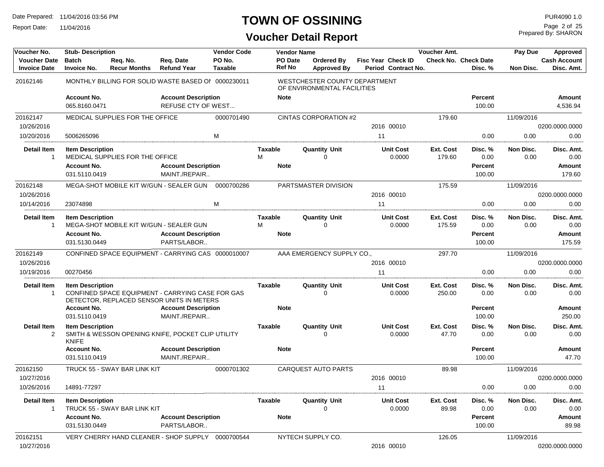Report Date: 11/04/2016

#### **TOWN OF OSSINING**

Prepared By: SHARON Page 2 of 25

| Voucher No.                                | <b>Stub-Description</b>             |                                     |                                                                                               | <b>Vendor Code</b>       |                                 | <b>Vendor Name</b>                                           |    |                                                  | Voucher Amt.        |                                        | Pay Due           | Approved                          |
|--------------------------------------------|-------------------------------------|-------------------------------------|-----------------------------------------------------------------------------------------------|--------------------------|---------------------------------|--------------------------------------------------------------|----|--------------------------------------------------|---------------------|----------------------------------------|-------------------|-----------------------------------|
| <b>Voucher Date</b><br><b>Invoice Date</b> | <b>Batch</b><br><b>Invoice No.</b>  | Req. No.<br><b>Recur Months</b>     | Req. Date<br><b>Refund Year</b>                                                               | PO No.<br><b>Taxable</b> | <b>PO Date</b><br><b>Ref No</b> | <b>Ordered By</b><br><b>Approved By</b>                      |    | <b>Fisc Year Check ID</b><br>Period Contract No. |                     | <b>Check No. Check Date</b><br>Disc. % | Non Disc.         | <b>Cash Account</b><br>Disc. Amt. |
| 20162146                                   |                                     |                                     | MONTHLY BILLING FOR SOLID WASTE BASED OF 0000230011                                           |                          |                                 | WESTCHESTER COUNTY DEPARTMENT<br>OF ENVIRONMENTAL FACILITIES |    |                                                  |                     |                                        |                   |                                   |
|                                            | <b>Account No.</b>                  |                                     | <b>Account Description</b>                                                                    |                          | <b>Note</b>                     |                                                              |    |                                                  |                     | <b>Percent</b>                         |                   | <b>Amount</b>                     |
|                                            | 065.8160.0471                       |                                     | REFUSE CTY OF WEST                                                                            |                          |                                 |                                                              |    |                                                  |                     | 100.00                                 |                   | 4,536.94                          |
| 20162147                                   |                                     | MEDICAL SUPPLIES FOR THE OFFICE     |                                                                                               | 0000701490               |                                 | CINTAS CORPORATION #2                                        |    |                                                  | 179.60              |                                        | 11/09/2016        |                                   |
| 10/26/2016                                 |                                     |                                     |                                                                                               |                          |                                 |                                                              |    | 2016 00010                                       |                     |                                        |                   | 0200.0000.0000                    |
| 10/20/2016                                 | 5006265096                          |                                     |                                                                                               | M                        |                                 |                                                              | 11 |                                                  |                     | 0.00                                   | 0.00              | 0.00                              |
| Detail Item<br>-1                          | <b>Item Description</b>             | MEDICAL SUPPLIES FOR THE OFFICE     |                                                                                               |                          | Taxable<br>М                    | <b>Quantity Unit</b><br>0                                    |    | <b>Unit Cost</b><br>0.0000                       | Ext. Cost<br>179.60 | Disc. %<br>0.00                        | Non Disc.<br>0.00 | Disc. Amt.<br>0.00                |
|                                            | <b>Account No.</b>                  |                                     | <b>Account Description</b>                                                                    |                          | <b>Note</b>                     |                                                              |    |                                                  |                     | <b>Percent</b>                         |                   | Amount                            |
|                                            | 031.5110.0419                       |                                     | MAINT./REPAIR                                                                                 |                          |                                 |                                                              |    |                                                  |                     | 100.00                                 |                   | 179.60                            |
| 20162148                                   |                                     |                                     | MEGA-SHOT MOBILE KIT W/GUN - SEALER GUN 0000700286                                            |                          |                                 | PARTSMASTER DIVISION                                         |    |                                                  | 175.59              |                                        | 11/09/2016        |                                   |
| 10/26/2016                                 |                                     |                                     |                                                                                               |                          |                                 |                                                              |    | 2016 00010                                       |                     |                                        |                   | 0200.0000.0000                    |
| 10/14/2016                                 | 23074898                            |                                     |                                                                                               | M                        |                                 |                                                              | 11 |                                                  |                     | 0.00                                   | 0.00              | 0.00                              |
| <b>Detail Item</b><br>-1                   | <b>Item Description</b>             |                                     | MEGA-SHOT MOBILE KIT W/GUN - SEALER GUN                                                       |                          | <b>Taxable</b><br>М             | <b>Quantity Unit</b><br>$\Omega$                             |    | <b>Unit Cost</b><br>0.0000                       | Ext. Cost<br>175.59 | Disc. %<br>0.00                        | Non Disc.<br>0.00 | Disc. Amt.<br>0.00                |
|                                            | Account No.<br>031.5130.0449        |                                     | <b>Account Description</b><br>PARTS/LABOR                                                     |                          | <b>Note</b>                     |                                                              |    |                                                  |                     | Percent<br>100.00                      |                   | Amount<br>175.59                  |
| 20162149                                   |                                     |                                     | CONFINED SPACE EQUIPMENT - CARRYING CAS 0000010007                                            |                          |                                 | AAA EMERGENCY SUPPLY CO.,                                    |    |                                                  | 297.70              |                                        | 11/09/2016        |                                   |
| 10/26/2016                                 |                                     |                                     |                                                                                               |                          |                                 |                                                              |    | 2016 00010                                       |                     |                                        |                   | 0200.0000.0000                    |
| 10/19/2016                                 | 00270456                            |                                     |                                                                                               |                          |                                 |                                                              | 11 |                                                  |                     | 0.00                                   | 0.00              | 0.00                              |
| <b>Detail Item</b><br>-1                   | <b>Item Description</b>             |                                     | CONFINED SPACE EQUIPMENT - CARRYING CASE FOR GAS<br>DETECTOR, REPLACED SENSOR UNITS IN METERS |                          | Taxable                         | <b>Quantity Unit</b><br>$\Omega$                             |    | <b>Unit Cost</b><br>0.0000                       | Ext. Cost<br>250.00 | Disc. %<br>0.00                        | Non Disc.<br>0.00 | Disc. Amt.<br>0.00                |
|                                            | Account No.<br>031.5110.0419        |                                     | <b>Account Description</b><br>MAINT./REPAIR                                                   |                          | <b>Note</b>                     |                                                              |    |                                                  |                     | <b>Percent</b><br>100.00               |                   | Amount<br>250.00                  |
| <b>Detail Item</b><br>$\overline{2}$       | <b>Item Description</b><br>KNIFE    |                                     | SMITH & WESSON OPENING KNIFE, POCKET CLIP UTILITY                                             |                          | <b>Taxable</b>                  | <b>Quantity Unit</b><br>$\Omega$                             |    | <b>Unit Cost</b><br>0.0000                       | Ext. Cost<br>47.70  | Disc. %<br>0.00                        | Non Disc.<br>0.00 | Disc. Amt.<br>0.00                |
|                                            | <b>Account No.</b><br>031.5110.0419 |                                     | <b>Account Description</b><br>MAINT./REPAIR                                                   |                          | <b>Note</b>                     |                                                              |    |                                                  |                     | <b>Percent</b><br>100.00               |                   | <b>Amount</b><br>47.70            |
| 20162150                                   |                                     | <b>TRUCK 55 - SWAY BAR LINK KIT</b> |                                                                                               | 0000701302               |                                 | CARQUEST AUTO PARTS                                          |    |                                                  | 89.98               |                                        | 11/09/2016        |                                   |
| 10/27/2016                                 |                                     |                                     |                                                                                               |                          |                                 |                                                              |    | 2016 00010                                       |                     |                                        |                   | 0200.0000.0000                    |
| 10/26/2016                                 | 14891-77297                         |                                     |                                                                                               |                          |                                 |                                                              | 11 |                                                  |                     | 0.00                                   | 0.00              | 0.00                              |
| Detail Item<br>1                           | <b>Item Description</b>             | TRUCK 55 - SWAY BAR LINK KIT        |                                                                                               |                          | Taxable                         | <b>Quantity Unit</b>                                         |    | <b>Unit Cost</b><br>0.0000                       | Ext. Cost<br>89.98  | Disc. %<br>0.00                        | Non Disc.<br>0.00 | Disc. Amt.<br>0.00                |
|                                            | <b>Account No.</b><br>031.5130.0449 |                                     | <b>Account Description</b><br>PARTS/LABOR                                                     |                          | <b>Note</b>                     |                                                              |    |                                                  |                     | Percent<br>100.00                      |                   | Amount<br>89.98                   |
| 20162151<br>10/27/2016                     |                                     |                                     | VERY CHERRY HAND CLEANER - SHOP SUPPLY 0000700544                                             |                          |                                 | NYTECH SUPPLY CO.                                            |    | 2016 00010                                       | 126.05              |                                        | 11/09/2016        | 0200.0000.0000                    |
|                                            |                                     |                                     |                                                                                               |                          |                                 |                                                              |    |                                                  |                     |                                        |                   |                                   |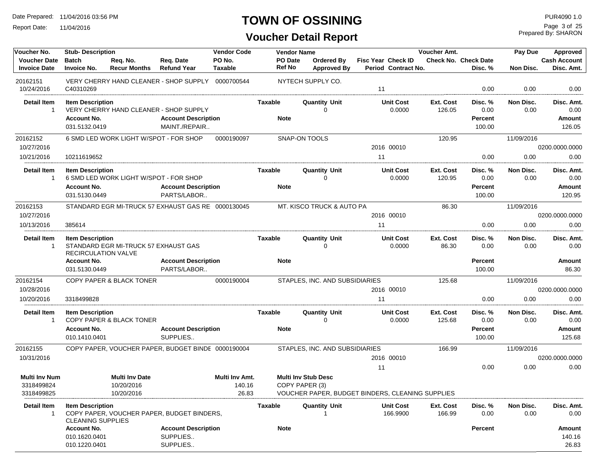Report Date: 11/04/2016

### **TOWN OF OSSINING**

Prepared By: SHARON Page 3 of 25

| Voucher No.                                | <b>Stub-Description</b>                          |                                        |                                                    | <b>Vendor Code</b>       |                   | <b>Vendor Name</b>               |                                                  | Voucher Amt. |                                 | Pay Due    | Approved                          |
|--------------------------------------------|--------------------------------------------------|----------------------------------------|----------------------------------------------------|--------------------------|-------------------|----------------------------------|--------------------------------------------------|--------------|---------------------------------|------------|-----------------------------------|
| <b>Voucher Date</b><br><b>Invoice Date</b> | <b>Batch</b><br><b>Invoice No.</b>               | Req. No.<br><b>Recur Months</b>        | Reg. Date<br><b>Refund Year</b>                    | PO No.<br><b>Taxable</b> | PO Date<br>Ref No | Ordered By<br><b>Approved By</b> | <b>Fisc Year Check ID</b><br>Period Contract No. |              | Check No. Check Date<br>Disc. % | Non Disc.  | <b>Cash Account</b><br>Disc. Amt. |
| 20162151                                   |                                                  |                                        | VERY CHERRY HAND CLEANER - SHOP SUPPLY 0000700544  |                          |                   | NYTECH SUPPLY CO.                |                                                  |              |                                 |            |                                   |
| 10/24/2016                                 | C40310269                                        |                                        |                                                    |                          |                   |                                  | 11                                               |              | 0.00                            | 0.00       | 0.00                              |
| <b>Detail Item</b>                         | <b>Item Description</b>                          |                                        |                                                    |                          | Taxable           | <b>Quantity Unit</b>             | <b>Unit Cost</b>                                 | Ext. Cost    | Disc. %                         | Non Disc.  | Disc. Amt.                        |
| $\mathbf{1}$                               |                                                  |                                        | VERY CHERRY HAND CLEANER - SHOP SUPPLY             |                          |                   | 0                                | 0.0000                                           | 126.05       | 0.00                            | 0.00       | 0.00                              |
|                                            | <b>Account No.</b>                               |                                        | <b>Account Description</b>                         |                          | <b>Note</b>       |                                  |                                                  |              | Percent                         |            | Amount                            |
|                                            | 031.5132.0419                                    |                                        | MAINT./REPAIR                                      |                          |                   |                                  |                                                  |              | 100.00                          |            | 126.05                            |
| 20162152                                   |                                                  | 6 SMD LED WORK LIGHT W/SPOT - FOR SHOP |                                                    | 0000190097               |                   | SNAP-ON TOOLS                    |                                                  | 120.95       |                                 | 11/09/2016 |                                   |
| 10/27/2016                                 |                                                  |                                        |                                                    |                          |                   |                                  | 2016 00010                                       |              |                                 |            | 0200.0000.0000                    |
| 10/21/2016                                 | 10211619652                                      |                                        |                                                    |                          |                   |                                  | 11                                               |              | 0.00                            | 0.00       | 0.00                              |
| <b>Detail Item</b>                         | <b>Item Description</b>                          |                                        |                                                    |                          | Taxable           | <b>Quantity Unit</b>             | <b>Unit Cost</b>                                 | Ext. Cost    | Disc. %                         | Non Disc.  | Disc. Amt.                        |
| $\overline{1}$                             |                                                  | 6 SMD LED WORK LIGHT W/SPOT - FOR SHOP |                                                    |                          |                   | 0                                | 0.0000                                           | 120.95       | 0.00                            | 0.00       | 0.00                              |
|                                            | <b>Account No.</b>                               |                                        | <b>Account Description</b>                         |                          | <b>Note</b>       |                                  |                                                  |              | Percent                         |            | Amount                            |
|                                            | 031.5130.0449                                    |                                        | PARTS/LABOR                                        |                          |                   |                                  |                                                  |              | 100.00                          |            | 120.95                            |
| 20162153                                   |                                                  |                                        | STANDARD EGR MI-TRUCK 57 EXHAUST GAS RE 0000130045 |                          |                   | MT. KISCO TRUCK & AUTO PA        |                                                  | 86.30        |                                 | 11/09/2016 |                                   |
| 10/27/2016                                 |                                                  |                                        |                                                    |                          |                   |                                  | 2016 00010                                       |              |                                 |            | 0200.0000.0000                    |
| 10/13/2016                                 | 385614                                           |                                        |                                                    |                          |                   |                                  | 11                                               |              | 0.00                            | 0.00       | 0.00                              |
| <b>Detail Item</b><br>$\overline{1}$       | <b>Item Description</b>                          |                                        |                                                    |                          | <b>Taxable</b>    | <b>Quantity Unit</b>             | <b>Unit Cost</b>                                 | Ext. Cost    | Disc. %                         | Non Disc.  | Disc. Amt.                        |
|                                            |                                                  | STANDARD EGR MI-TRUCK 57 EXHAUST GAS   |                                                    |                          |                   | $\Omega$                         | 0.0000                                           | 86.30        | 0.00                            | 0.00       | 0.00                              |
|                                            | <b>RECIRCULATION VALVE</b><br><b>Account No.</b> |                                        | <b>Account Description</b>                         |                          | <b>Note</b>       |                                  |                                                  |              | Percent                         |            | Amount                            |
|                                            | 031.5130.0449                                    |                                        | PARTS/LABOR                                        |                          |                   |                                  |                                                  |              | 100.00                          |            | 86.30                             |
| 20162154                                   |                                                  | COPY PAPER & BLACK TONER               |                                                    | 0000190004               |                   | STAPLES, INC. AND SUBSIDIARIES   |                                                  | 125.68       |                                 | 11/09/2016 |                                   |
| 10/28/2016                                 |                                                  |                                        |                                                    |                          |                   |                                  | 2016 00010                                       |              |                                 |            | 0200.0000.0000                    |
| 10/20/2016                                 | 3318499828                                       |                                        |                                                    |                          |                   |                                  | 11                                               |              | 0.00                            | 0.00       | 0.00                              |
| <b>Detail Item</b>                         | <b>Item Description</b>                          |                                        |                                                    |                          | Taxable           | <b>Quantity Unit</b>             | <b>Unit Cost</b>                                 | Ext. Cost    | Disc. %                         | Non Disc.  | Disc. Amt.                        |
| $\overline{1}$                             |                                                  | COPY PAPER & BLACK TONER               |                                                    |                          |                   | $\Omega$                         | 0.0000                                           | 125.68       | 0.00                            | 0.00       | 0.00                              |
|                                            | <b>Account No.</b>                               |                                        | <b>Account Description</b>                         |                          | <b>Note</b>       |                                  |                                                  |              | Percent                         |            | Amount                            |
|                                            | 010.1410.0401                                    |                                        | SUPPLIES                                           |                          |                   |                                  |                                                  |              | 100.00                          |            | 125.68                            |
| 20162155                                   |                                                  |                                        | COPY PAPER. VOUCHER PAPER. BUDGET BINDE 0000190004 |                          |                   | STAPLES, INC. AND SUBSIDIARIES   |                                                  | 166.99       |                                 | 11/09/2016 |                                   |
| 10/31/2016                                 |                                                  |                                        |                                                    |                          |                   |                                  | 2016 00010                                       |              |                                 |            | 0200.0000.0000                    |
|                                            |                                                  |                                        |                                                    |                          |                   |                                  | 11                                               |              | 0.00                            | 0.00       | 0.00                              |
| <b>Multi Inv Num</b>                       |                                                  | <b>Multi Inv Date</b>                  |                                                    | Multi Inv Amt.           |                   | <b>Multi Inv Stub Desc</b>       |                                                  |              |                                 |            |                                   |
| 3318499824                                 |                                                  | 10/20/2016                             |                                                    | 140.16                   |                   | COPY PAPER (3)                   |                                                  |              |                                 |            |                                   |
| 3318499825                                 |                                                  | 10/20/2016                             |                                                    | 26.83                    |                   |                                  | VOUCHER PAPER, BUDGET BINDERS, CLEANING SUPPLIES |              |                                 |            |                                   |
| <b>Detail Item</b>                         | <b>Item Description</b>                          |                                        |                                                    |                          | Taxable           | <b>Quantity Unit</b>             | <b>Unit Cost</b>                                 | Ext. Cost    | Disc. %                         | Non Disc.  | Disc. Amt.                        |
| $\overline{1}$                             | <b>CLEANING SUPPLIES</b>                         |                                        | COPY PAPER, VOUCHER PAPER, BUDGET BINDERS,         |                          |                   |                                  | 166.9900                                         | 166.99       | 0.00                            | 0.00       | 0.00                              |
|                                            | <b>Account No.</b>                               |                                        | <b>Account Description</b>                         |                          | <b>Note</b>       |                                  |                                                  |              | Percent                         |            | Amount                            |
|                                            | 010.1620.0401                                    |                                        | SUPPLIES                                           |                          |                   |                                  |                                                  |              |                                 |            | 140.16                            |
|                                            | 010.1220.0401                                    |                                        | SUPPLIES                                           |                          |                   |                                  |                                                  |              |                                 |            | 26.83                             |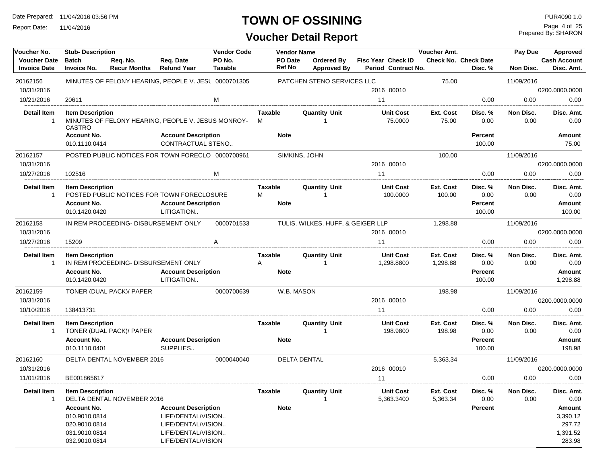Report Date: 11/04/2016

### **TOWN OF OSSINING**

| Voucher No.                                | <b>Stub-Description</b>                                        |                                      |                                                                                        | <b>Vendor Code</b> | <b>Vendor Name</b>          |                                         |                           |                                | Voucher Amt.          |                                        | Pay Due           | Approved                               |
|--------------------------------------------|----------------------------------------------------------------|--------------------------------------|----------------------------------------------------------------------------------------|--------------------|-----------------------------|-----------------------------------------|---------------------------|--------------------------------|-----------------------|----------------------------------------|-------------------|----------------------------------------|
| <b>Voucher Date</b><br><b>Invoice Date</b> | <b>Batch</b><br><b>Invoice No.</b>                             | Req. No.<br><b>Recur Months</b>      | Req. Date<br><b>Refund Year</b>                                                        | PO No.<br>Taxable  | PO Date<br><b>Ref No</b>    | <b>Ordered Bv</b><br><b>Approved By</b> | <b>Fisc Year Check ID</b> | Period Contract No.            |                       | <b>Check No. Check Date</b><br>Disc. % | Non Disc.         | <b>Cash Account</b><br>Disc. Amt.      |
| 20162156                                   |                                                                |                                      | MINUTES OF FELONY HEARING, PEOPLE V. JESL 0000701305                                   |                    |                             | PATCHEN STENO SERVICES LLC              |                           |                                | 75.00                 |                                        | 11/09/2016        |                                        |
| 10/31/2016                                 |                                                                |                                      |                                                                                        |                    |                             |                                         | 2016 00010                |                                |                       |                                        |                   | 0200.0000.0000                         |
| 10/21/2016                                 | 20611                                                          |                                      |                                                                                        | M                  |                             |                                         | 11                        |                                |                       | 0.00                                   | 0.00              | 0.00                                   |
| <b>Detail Item</b><br>$\mathbf{1}$         | <b>Item Description</b><br><b>CASTRO</b>                       |                                      | MINUTES OF FELONY HEARING, PEOPLE V. JESUS MONROY-                                     |                    | Taxable<br>M                | <b>Quantity Unit</b><br>$\overline{1}$  |                           | <b>Unit Cost</b><br>75.0000    | Ext. Cost<br>75.00    | Disc. %<br>0.00                        | Non Disc.<br>0.00 | Disc. Amt.<br>0.00                     |
|                                            | <b>Account No.</b><br>010.1110.0414                            |                                      | <b>Account Description</b><br>CONTRACTUAL STENO                                        |                    | <b>Note</b>                 |                                         |                           |                                |                       | Percent<br>100.00                      |                   | Amount<br>75.00                        |
| 20162157                                   |                                                                |                                      | POSTED PUBLIC NOTICES FOR TOWN FORECLO 0000700961                                      |                    |                             | SIMKINS, JOHN                           |                           |                                | 100.00                |                                        | 11/09/2016        |                                        |
| 10/31/2016                                 |                                                                |                                      |                                                                                        |                    |                             |                                         | 2016 00010                |                                |                       |                                        |                   | 0200.0000.0000                         |
| 10/27/2016                                 | 102516                                                         |                                      |                                                                                        | M                  |                             |                                         | 11                        |                                |                       | 0.00                                   | 0.00              | 0.00                                   |
| <b>Detail Item</b><br>$\mathbf{1}$         | <b>Item Description</b><br><b>Account No.</b><br>010.1420.0420 |                                      | POSTED PUBLIC NOTICES FOR TOWN FORECLOSURE<br><b>Account Description</b><br>LITIGATION |                    | Taxable<br>М<br><b>Note</b> | <b>Quantity Unit</b><br>$\overline{1}$  |                           | <b>Unit Cost</b><br>100.0000   | Ext. Cost<br>100.00   | Disc. %<br>0.00<br>Percent<br>100.00   | Non Disc.<br>0.00 | Disc. Amt.<br>0.00<br>Amount<br>100.00 |
| 20162158                                   |                                                                | IN REM PROCEEDING- DISBURSEMENT ONLY |                                                                                        | 0000701533         |                             | TULIS, WILKES, HUFF, & GEIGER LLP       |                           |                                | 1,298.88              |                                        | 11/09/2016        |                                        |
| 10/31/2016                                 |                                                                |                                      |                                                                                        |                    |                             |                                         | 2016 00010                |                                |                       |                                        |                   | 0200.0000.0000                         |
| 10/27/2016                                 | 15209                                                          |                                      |                                                                                        | A                  |                             |                                         | 11                        |                                |                       | 0.00                                   | 0.00              | 0.00                                   |
| <b>Detail Item</b><br>$\mathbf 1$          | <b>Item Description</b>                                        | IN REM PROCEEDING-DISBURSEMENT ONLY  |                                                                                        |                    | Taxable<br>A                | <b>Quantity Unit</b><br>$\overline{1}$  |                           | <b>Unit Cost</b><br>1,298.8800 | Ext. Cost<br>1,298.88 | Disc. %<br>0.00                        | Non Disc.<br>0.00 | Disc. Amt.<br>0.00                     |
|                                            | <b>Account No.</b><br>010.1420.0420                            |                                      | <b>Account Description</b><br>LITIGATION                                               |                    | <b>Note</b>                 |                                         |                           |                                |                       | Percent<br>100.00                      |                   | Amount<br>1,298.88                     |
| 20162159                                   |                                                                | TONER (DUAL PACK)/ PAPER             |                                                                                        | 0000700639         | W.B. MASON                  |                                         |                           |                                | 198.98                |                                        | 11/09/2016        |                                        |
| 10/31/2016                                 |                                                                |                                      |                                                                                        |                    |                             |                                         | 2016 00010                |                                |                       |                                        |                   | 0200.0000.0000                         |
| 10/10/2016                                 | 138413731                                                      |                                      |                                                                                        |                    |                             |                                         | 11                        |                                |                       | 0.00                                   | 0.00              | 0.00                                   |
| <b>Detail Item</b><br>$\mathbf 1$          | <b>Item Description</b>                                        | TONER (DUAL PACK)/ PAPER             |                                                                                        |                    | Taxable                     | <b>Quantity Unit</b><br>-1              |                           | <b>Unit Cost</b><br>198.9800   | Ext. Cost<br>198.98   | Disc. %<br>0.00                        | Non Disc.<br>0.00 | Disc. Amt.<br>0.00                     |
|                                            | <b>Account No.</b><br>010.1110.0401                            |                                      | <b>Account Description</b><br>SUPPLIES                                                 |                    | <b>Note</b>                 |                                         |                           |                                |                       | Percent<br>100.00                      |                   | <b>Amount</b><br>198.98                |
| 20162160                                   |                                                                | DELTA DENTAL NOVEMBER 2016           |                                                                                        | 0000040040         |                             | <b>DELTA DENTAL</b>                     |                           |                                | 5,363.34              |                                        | 11/09/2016        |                                        |
| 10/31/2016                                 |                                                                |                                      |                                                                                        |                    |                             |                                         | 2016 00010                |                                |                       |                                        |                   | 0200.0000.0000                         |
| 11/01/2016                                 | BE001865617                                                    |                                      |                                                                                        |                    |                             |                                         | 11                        |                                |                       | 0.00                                   | 0.00              | 0.00                                   |
| <b>Detail Item</b><br>$\mathbf 1$          | <b>Item Description</b>                                        | DELTA DENTAL NOVEMBER 2016           |                                                                                        |                    | <b>Taxable</b>              | <b>Quantity Unit</b>                    |                           | <b>Unit Cost</b><br>5,363.3400 | Ext. Cost<br>5,363.34 | Disc.%<br>0.00                         | Non Disc.<br>0.00 | Disc. Amt.<br>0.00                     |
|                                            | <b>Account No.</b>                                             |                                      | <b>Account Description</b>                                                             |                    | <b>Note</b>                 |                                         |                           |                                |                       | <b>Percent</b>                         |                   | Amount                                 |
|                                            | 010.9010.0814                                                  |                                      | LIFE/DENTAL/VISION<br>LIFE/DENTAL/VISION                                               |                    |                             |                                         |                           |                                |                       |                                        |                   | 3,390.12                               |
|                                            | 020.9010.0814<br>031.9010.0814                                 |                                      | LIFE/DENTAL/VISION                                                                     |                    |                             |                                         |                           |                                |                       |                                        |                   | 297.72<br>1,391.52                     |
|                                            | 032.9010.0814                                                  |                                      | LIFE/DENTAL/VISION                                                                     |                    |                             |                                         |                           |                                |                       |                                        |                   | 283.98                                 |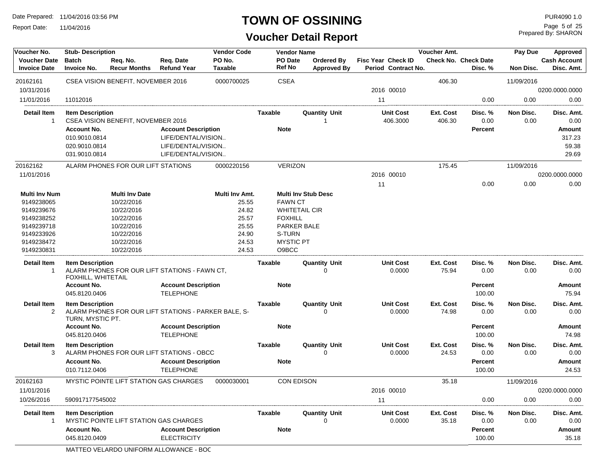Report Date: 11/04/2016

#### **TOWN OF OSSINING PUR4090 1.0**

**Voucher Detail Report**

| Voucher No.                                        | <b>Stub-Description</b>                              |                                               |                                                                | <b>Vendor Code</b>       |                               | <b>Vendor Name</b>                      |                                           | <b>Voucher Amt.</b> |                                   | Pay Due           | <b>Approved</b>                     |
|----------------------------------------------------|------------------------------------------------------|-----------------------------------------------|----------------------------------------------------------------|--------------------------|-------------------------------|-----------------------------------------|-------------------------------------------|---------------------|-----------------------------------|-------------------|-------------------------------------|
| <b>Voucher Date</b><br><b>Invoice Date</b>         | <b>Batch</b><br><b>Invoice No.</b>                   | Req. No.<br><b>Recur Months</b>               | Req. Date<br><b>Refund Year</b>                                | PO No.<br><b>Taxable</b> | PO Date<br><b>Ref No</b>      | <b>Ordered By</b><br><b>Approved By</b> | Fisc Year Check ID<br>Period Contract No. |                     | Check No. Check Date<br>Disc. %   | Non Disc.         | <b>Cash Account</b><br>Disc. Amt.   |
| 20162161                                           |                                                      | CSEA VISION BENEFIT, NOVEMBER 2016            |                                                                | 0000700025               | <b>CSEA</b>                   |                                         |                                           | 406.30              |                                   | 11/09/2016        |                                     |
| 10/31/2016                                         |                                                      |                                               |                                                                |                          |                               |                                         | 2016 00010                                |                     |                                   |                   | 0200.0000.0000                      |
| 11/01/2016                                         | 11012016                                             |                                               |                                                                |                          |                               |                                         | 11                                        |                     | 0.00                              | 0.00              | 0.00                                |
| <b>Detail Item</b><br>$\overline{1}$               | <b>Item Description</b><br><b>Account No.</b>        | CSEA VISION BENEFIT, NOVEMBER 2016            | <b>Account Description</b>                                     |                          | <b>Taxable</b><br><b>Note</b> | <b>Quantity Unit</b><br>$\overline{1}$  | <b>Unit Cost</b><br>406.3000              | Ext. Cost<br>406.30 | Disc. %<br>0.00<br><b>Percent</b> | Non Disc.<br>0.00 | Disc. Amt.<br>0.00<br><b>Amount</b> |
|                                                    | 010.9010.0814<br>020.9010.0814<br>031.9010.0814      |                                               | LIFE/DENTAL/VISION<br>LIFE/DENTAL/VISION<br>LIFE/DENTAL/VISION |                          |                               |                                         |                                           |                     |                                   |                   | 317.23<br>59.38<br>29.69            |
| 20162162                                           |                                                      | ALARM PHONES FOR OUR LIFT STATIONS            |                                                                | 0000220156               | <b>VERIZON</b>                |                                         |                                           | 175.45              |                                   | 11/09/2016        |                                     |
| 11/01/2016                                         |                                                      |                                               |                                                                |                          |                               |                                         | 2016 00010                                |                     |                                   |                   | 0200.0000.0000                      |
|                                                    |                                                      |                                               |                                                                |                          |                               |                                         | 11                                        |                     | 0.00                              | 0.00              | 0.00                                |
| <b>Multi Inv Num</b>                               |                                                      | <b>Multi Inv Date</b>                         |                                                                | Multi Inv Amt.           |                               | <b>Multi Inv Stub Desc</b>              |                                           |                     |                                   |                   |                                     |
| 9149238065                                         |                                                      | 10/22/2016                                    |                                                                | 25.55                    | <b>FAWN CT</b>                |                                         |                                           |                     |                                   |                   |                                     |
| 9149239676                                         |                                                      | 10/22/2016                                    |                                                                | 24.82                    |                               | <b>WHITETAIL CIR</b>                    |                                           |                     |                                   |                   |                                     |
| 9149238252                                         |                                                      | 10/22/2016                                    |                                                                | 25.57                    | <b>FOXHILL</b>                |                                         |                                           |                     |                                   |                   |                                     |
| 9149239718                                         |                                                      | 10/22/2016                                    |                                                                | 25.55                    |                               | <b>PARKER BALE</b>                      |                                           |                     |                                   |                   |                                     |
| 9149233926                                         |                                                      | 10/22/2016                                    |                                                                | 24.90                    |                               |                                         |                                           |                     |                                   |                   |                                     |
|                                                    |                                                      |                                               |                                                                |                          | S-TURN                        |                                         |                                           |                     |                                   |                   |                                     |
| 9149238472                                         |                                                      | 10/22/2016                                    |                                                                | 24.53                    | <b>MYSTIC PT</b><br>O9BCC     |                                         |                                           |                     |                                   |                   |                                     |
|                                                    |                                                      | 10/22/2016                                    |                                                                | 24.53                    |                               |                                         |                                           |                     |                                   |                   |                                     |
| 9149230831<br><b>Detail Item</b><br>$\overline{1}$ | <b>Item Description</b><br><b>FOXHILL, WHITETAIL</b> |                                               | ALARM PHONES FOR OUR LIFT STATIONS - FAWN CT,                  |                          | <b>Taxable</b>                | <b>Quantity Unit</b><br>$\Omega$        | <b>Unit Cost</b><br>0.0000                | Ext. Cost<br>75.94  | Disc. %<br>0.00                   | Non Disc.<br>0.00 | Disc. Amt.<br>0.00                  |
|                                                    | <b>Account No.</b><br>045.8120.0406                  |                                               | <b>Account Description</b><br><b>TELEPHONE</b>                 |                          | <b>Note</b>                   |                                         |                                           |                     | <b>Percent</b><br>100.00          |                   | Amount<br>75.94                     |
| <b>Detail Item</b><br>2                            | <b>Item Description</b><br>TURN, MYSTIC PT.          |                                               | ALARM PHONES FOR OUR LIFT STATIONS - PARKER BALE, S-           |                          | <b>Taxable</b>                | <b>Quantity Unit</b><br>$\Omega$        | <b>Unit Cost</b><br>0.0000                | Ext. Cost<br>74.98  | Disc. %<br>0.00                   | Non Disc.<br>0.00 | Disc. Amt.<br>0.00                  |
|                                                    | <b>Account No.</b><br>045.8120.0406                  |                                               | <b>Account Description</b><br><b>TELEPHONE</b>                 |                          | <b>Note</b>                   |                                         |                                           |                     | Percent<br>100.00                 |                   | <b>Amount</b><br>74.98              |
| <b>Detail Item</b>                                 | <b>Item Description</b>                              |                                               |                                                                |                          | <b>Taxable</b>                | <b>Quantity Unit</b>                    | <b>Unit Cost</b>                          | Ext. Cost           | Disc. %                           | <b>Non Disc.</b>  | Disc. Amt.                          |
| 3                                                  |                                                      |                                               | ALARM PHONES FOR OUR LIFT STATIONS - OBCC                      |                          |                               | $\Omega$                                | 0.0000                                    | 24.53               | 0.00                              | 0.00              | 0.00                                |
|                                                    | <b>Account No.</b>                                   |                                               | <b>Account Description</b>                                     |                          | <b>Note</b>                   |                                         |                                           |                     | Percent                           |                   | <b>Amount</b>                       |
|                                                    | 010.7112.0406                                        |                                               | <b>TELEPHONE</b>                                               |                          |                               |                                         |                                           |                     | 100.00                            |                   | 24.53                               |
| 20162163                                           |                                                      | MYSTIC POINTE LIFT STATION GAS CHARGES        |                                                                | 0000030001               |                               | <b>CON EDISON</b>                       |                                           | 35.18               |                                   | 11/09/2016        |                                     |
| 11/01/2016                                         |                                                      |                                               |                                                                |                          |                               |                                         | 2016 00010                                |                     |                                   |                   | 0200.0000.0000                      |
| 10/26/2016                                         | 590917177545002                                      |                                               |                                                                |                          |                               |                                         | 11                                        |                     | 0.00                              | 0.00              | 0.00                                |
| <b>Detail Item</b><br>$\overline{1}$               | <b>Item Description</b>                              | <b>MYSTIC POINTE LIFT STATION GAS CHARGES</b> |                                                                |                          | <b>Taxable</b>                | <b>Quantity Unit</b><br>0               | <b>Unit Cost</b><br>0.0000                | Ext. Cost<br>35.18  | Disc. %<br>0.00                   | Non Disc.<br>0.00 | Disc. Amt.<br>0.00                  |
|                                                    | <b>Account No.</b>                                   |                                               | <b>Account Description</b>                                     |                          | <b>Note</b>                   |                                         |                                           |                     | <b>Percent</b>                    |                   | <b>Amount</b>                       |
|                                                    | 045.8120.0409                                        |                                               | <b>ELECTRICITY</b>                                             |                          |                               |                                         |                                           |                     | 100.00                            |                   | 35.18                               |
|                                                    |                                                      |                                               |                                                                |                          |                               |                                         |                                           |                     |                                   |                   |                                     |

MATTEO VELARDO UNIFORM ALLOWANCE - BOC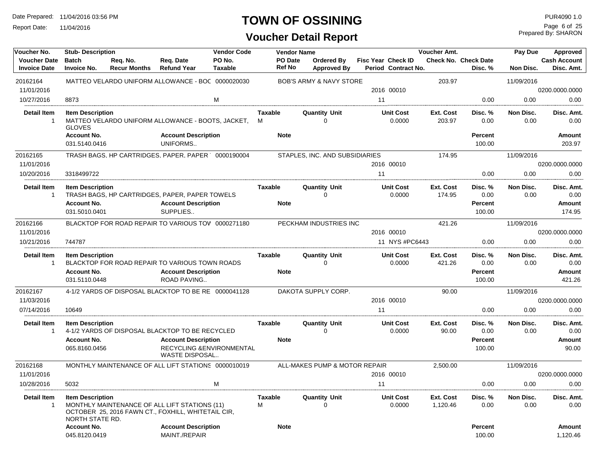Report Date: 11/04/2016

### **TOWN OF OSSINING**

**Voucher Detail Report**

Prepared By: SHARON Page 6 of 25

| Voucher No.                                | <b>Stub-Description</b>                       |                                 |                                                                                                     | <b>Vendor Code</b>        | <b>Vendor Name</b>            |                                         |    |                                                  | Voucher Amt.               |                                   | Pay Due           | Approved                            |
|--------------------------------------------|-----------------------------------------------|---------------------------------|-----------------------------------------------------------------------------------------------------|---------------------------|-------------------------------|-----------------------------------------|----|--------------------------------------------------|----------------------------|-----------------------------------|-------------------|-------------------------------------|
| <b>Voucher Date</b><br><b>Invoice Date</b> | <b>Batch</b><br><b>Invoice No.</b>            | Reg. No.<br><b>Recur Months</b> | Req. Date<br><b>Refund Year</b>                                                                     | PO No.<br><b>Taxable</b>  | PO Date<br><b>Ref No</b>      | <b>Ordered By</b><br><b>Approved By</b> |    | <b>Fisc Year Check ID</b><br>Period Contract No. |                            | Check No. Check Date<br>Disc. %   | Non Disc.         | <b>Cash Account</b><br>Disc. Amt.   |
| 20162164                                   |                                               |                                 | MATTEO VELARDO UNIFORM ALLOWANCE - BOC 0000020030                                                   |                           |                               | <b>BOB'S ARMY &amp; NAVY STORE</b>      |    |                                                  | 203.97                     |                                   | 11/09/2016        |                                     |
| 11/01/2016                                 |                                               |                                 |                                                                                                     |                           |                               |                                         |    | 2016 00010                                       |                            |                                   |                   | 0200.0000.0000                      |
| 10/27/2016                                 | 8873                                          |                                 |                                                                                                     | M                         |                               |                                         | 11 |                                                  |                            | 0.00                              | 0.00              | 0.00                                |
| <b>Detail Item</b><br>$\mathbf{1}$         | <b>Item Description</b><br><b>GLOVES</b>      |                                 | MATTEO VELARDO UNIFORM ALLOWANCE - BOOTS, JACKET,                                                   |                           | <b>Taxable</b><br>M           | <b>Quantity Unit</b><br>0               |    | <b>Unit Cost</b><br>0.0000                       | <b>Ext. Cost</b><br>203.97 | Disc. %<br>0.00                   | Non Disc.<br>0.00 | Disc. Amt.<br>0.00                  |
|                                            | <b>Account No.</b><br>031.5140.0416           |                                 | <b>Account Description</b><br>UNIFORMS                                                              |                           | <b>Note</b>                   |                                         |    |                                                  |                            | <b>Percent</b><br>100.00          |                   | <b>Amount</b><br>203.97             |
|                                            |                                               |                                 |                                                                                                     |                           |                               |                                         |    |                                                  |                            |                                   |                   |                                     |
| 20162165                                   |                                               |                                 | TRASH BAGS, HP CARTRIDGES, PAPER, PAPER 0000190004                                                  |                           |                               | STAPLES, INC. AND SUBSIDIARIES          |    |                                                  | 174.95                     |                                   | 11/09/2016        |                                     |
| 11/01/2016                                 |                                               |                                 |                                                                                                     |                           |                               |                                         |    | 2016 00010                                       |                            |                                   |                   | 0200.0000.0000                      |
| 10/20/2016                                 | 3318499722                                    |                                 |                                                                                                     |                           |                               |                                         | 11 |                                                  |                            | 0.00                              | 0.00              | 0.00                                |
| <b>Detail Item</b><br>$\mathbf{1}$         | <b>Item Description</b><br><b>Account No.</b> |                                 | TRASH BAGS, HP CARTRIDGES, PAPER, PAPER TOWELS<br><b>Account Description</b>                        |                           | <b>Taxable</b><br><b>Note</b> | <b>Quantity Unit</b><br>$\Omega$        |    | <b>Unit Cost</b><br>0.0000                       | Ext. Cost<br>174.95        | Disc. %<br>0.00<br><b>Percent</b> | Non Disc.<br>0.00 | Disc. Amt.<br>0.00<br><b>Amount</b> |
|                                            | 031.5010.0401                                 |                                 | SUPPLIES                                                                                            |                           |                               |                                         |    |                                                  |                            | 100.00                            |                   | 174.95                              |
| 20162166                                   |                                               |                                 | BLACKTOP FOR ROAD REPAIR TO VARIOUS TOV 0000271180                                                  |                           |                               | PECKHAM INDUSTRIES INC                  |    |                                                  | 421.26                     |                                   | 11/09/2016        |                                     |
| 11/01/2016                                 |                                               |                                 |                                                                                                     |                           |                               |                                         |    | 2016 00010                                       |                            |                                   |                   | 0200.0000.0000                      |
| 10/21/2016                                 | 744787                                        |                                 |                                                                                                     |                           |                               |                                         |    | 11 NYS #PC6443                                   |                            | 0.00                              | 0.00              | 0.00                                |
| <b>Detail Item</b>                         | <b>Item Description</b>                       |                                 |                                                                                                     |                           | Taxable                       | <b>Quantity Unit</b>                    |    | <b>Unit Cost</b>                                 | Ext. Cost                  | Disc. %                           | Non Disc.         | Disc. Amt.                          |
| -1                                         |                                               |                                 | BLACKTOP FOR ROAD REPAIR TO VARIOUS TOWN ROADS                                                      |                           |                               | $\Omega$                                |    | 0.0000                                           | 421.26                     | 0.00                              | 0.00              | 0.00                                |
|                                            | <b>Account No.</b>                            |                                 | <b>Account Description</b>                                                                          |                           | <b>Note</b>                   |                                         |    |                                                  |                            | <b>Percent</b>                    |                   | <b>Amount</b>                       |
|                                            | 031.5110.0448                                 |                                 | ROAD PAVING                                                                                         |                           |                               |                                         |    |                                                  |                            | 100.00                            |                   | 421.26                              |
| 20162167                                   |                                               |                                 | 4-1/2 YARDS OF DISPOSAL BLACKTOP TO BE RE 0000041128                                                |                           |                               | DAKOTA SUPPLY CORP.                     |    |                                                  | 90.00                      |                                   | 11/09/2016        |                                     |
| 11/03/2016                                 |                                               |                                 |                                                                                                     |                           |                               |                                         |    | 2016 00010                                       |                            |                                   |                   | 0200.0000.0000                      |
| 07/14/2016                                 | 10649                                         |                                 |                                                                                                     |                           |                               |                                         | 11 |                                                  |                            | 0.00                              | 0.00              | 0.00                                |
| <b>Detail Item</b><br>$\mathbf{1}$         | <b>Item Description</b>                       |                                 | 4-1/2 YARDS OF DISPOSAL BLACKTOP TO BE RECYCLED                                                     |                           | Taxable                       | <b>Quantity Unit</b><br>$\Omega$        |    | <b>Unit Cost</b>                                 | Ext. Cost                  | Disc. %                           | Non Disc.         | Disc. Amt.                          |
|                                            | <b>Account No.</b>                            |                                 | <b>Account Description</b>                                                                          |                           | <b>Note</b>                   |                                         |    | 0.0000                                           | 90.00                      | 0.00<br><b>Percent</b>            | 0.00              | 0.00<br>Amount                      |
|                                            | 065.8160.0456                                 |                                 | <b>WASTE DISPOSAL</b>                                                                               | RECYCLING & ENVIRONMENTAL |                               |                                         |    |                                                  |                            | 100.00                            |                   | 90.00                               |
| 20162168                                   |                                               |                                 | MONTHLY MAINTENANCE OF ALL LIFT STATIONS 0000010019                                                 |                           |                               | ALL-MAKES PUMP & MOTOR REPAIR           |    |                                                  | 2,500.00                   |                                   | 11/09/2016        |                                     |
| 11/01/2016                                 |                                               |                                 |                                                                                                     |                           |                               |                                         |    | 2016 00010                                       |                            |                                   |                   | 0200.0000.0000                      |
| 10/28/2016                                 | 5032                                          |                                 |                                                                                                     | M                         |                               |                                         | 11 |                                                  |                            | 0.00                              | 0.00              | 0.00                                |
| Detail Item<br>1                           | <b>Item Description</b><br>NORTH STATE RD.    |                                 | MONTHLY MAINTENANCE OF ALL LIFT STATIONS (11)<br>OCTOBER 25, 2016 FAWN CT., FOXHILL, WHITETAIL CIR, |                           | Taxable<br>M                  | <b>Quantity Unit</b><br>$\Omega$        |    | <b>Unit Cost</b><br>0.0000                       | Ext. Cost<br>1,120.46      | Disc. %<br>0.00                   | Non Disc.<br>0.00 | Disc. Amt.<br>0.00                  |
|                                            | <b>Account No.</b>                            |                                 | <b>Account Description</b>                                                                          |                           | <b>Note</b>                   |                                         |    |                                                  |                            | <b>Percent</b>                    |                   | <b>Amount</b>                       |
|                                            | 045.8120.0419                                 |                                 | MAINT./REPAIR                                                                                       |                           |                               |                                         |    |                                                  |                            | 100.00                            |                   | 1,120.46                            |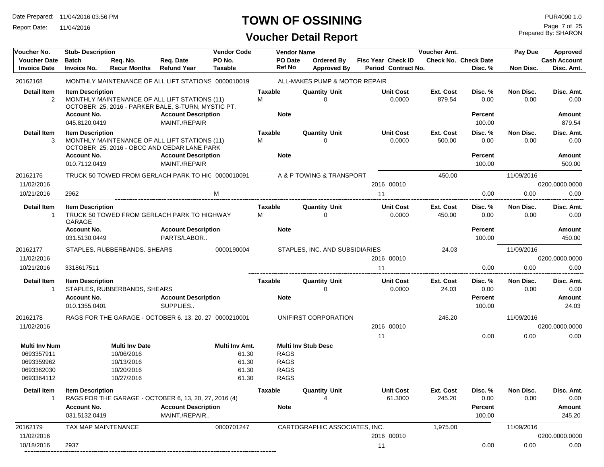Report Date: 11/04/2016

### **TOWN OF OSSINING**

### **Voucher Detail Report**

Prepared By: SHARON Page 7 of 25

| Voucher No.                                | <b>Stub-Description</b>                       |                                 |                                                                                                                                   | <b>Vendor Code</b>       |                     | <b>Vendor Name</b>       |                                  |    |                                                  | Voucher Amt.<br>Pay Due |                                        |                   |                                     |  |
|--------------------------------------------|-----------------------------------------------|---------------------------------|-----------------------------------------------------------------------------------------------------------------------------------|--------------------------|---------------------|--------------------------|----------------------------------|----|--------------------------------------------------|-------------------------|----------------------------------------|-------------------|-------------------------------------|--|
| <b>Voucher Date</b><br><b>Invoice Date</b> | <b>Batch</b><br><b>Invoice No.</b>            | Req. No.<br><b>Recur Months</b> | Req. Date<br><b>Refund Year</b>                                                                                                   | PO No.<br><b>Taxable</b> |                     | PO Date<br><b>Ref No</b> | Ordered By<br><b>Approved By</b> |    | <b>Fisc Year Check ID</b><br>Period Contract No. |                         | <b>Check No. Check Date</b><br>Disc. % | Non Disc.         | <b>Cash Account</b><br>Disc. Amt.   |  |
| 20162168                                   |                                               |                                 | MONTHLY MAINTENANCE OF ALL LIFT STATIONS 0000010019                                                                               |                          |                     |                          | ALL-MAKES PUMP & MOTOR REPAIR    |    |                                                  |                         |                                        |                   |                                     |  |
| <b>Detail Item</b><br>$\overline{2}$       | <b>Item Description</b><br><b>Account No.</b> |                                 | MONTHLY MAINTENANCE OF ALL LIFT STATIONS (11)<br>OCTOBER 25, 2016 - PARKER BALE, S-TURN, MYSTIC PT.<br><b>Account Description</b> |                          | <b>Taxable</b><br>M | <b>Note</b>              | <b>Quantity Unit</b><br>$\Omega$ |    | <b>Unit Cost</b><br>0.0000                       | Ext. Cost<br>879.54     | Disc. %<br>0.00<br><b>Percent</b>      | Non Disc.<br>0.00 | Disc. Amt.<br>0.00<br><b>Amount</b> |  |
|                                            | 045.8120.0419                                 |                                 | MAINT./REPAIR                                                                                                                     |                          |                     |                          |                                  |    |                                                  |                         | 100.00                                 |                   | 879.54                              |  |
| <b>Detail Item</b><br>3                    | <b>Item Description</b><br><b>Account No.</b> |                                 | MONTHLY MAINTENANCE OF ALL LIFT STATIONS (11)<br>OCTOBER 25, 2016 - OBCC AND CEDAR LANE PARK<br><b>Account Description</b>        |                          | <b>Taxable</b><br>M | <b>Note</b>              | <b>Quantity Unit</b><br>$\Omega$ |    | <b>Unit Cost</b><br>0.0000                       | Ext. Cost<br>500.00     | Disc. %<br>0.00<br><b>Percent</b>      | Non Disc.<br>0.00 | Disc. Amt.<br>0.00<br><b>Amount</b> |  |
|                                            | 010.7112.0419                                 |                                 | MAINT./REPAIR                                                                                                                     |                          |                     |                          |                                  |    |                                                  |                         | 100.00                                 |                   | 500.00                              |  |
| 20162176                                   |                                               |                                 | TRUCK 50 TOWED FROM GERLACH PARK TO HIC 0000010091                                                                                |                          |                     |                          | A & P TOWING & TRANSPORT         |    |                                                  | 450.00                  |                                        | 11/09/2016        |                                     |  |
| 11/02/2016                                 |                                               |                                 |                                                                                                                                   |                          |                     |                          |                                  |    | 2016 00010                                       |                         |                                        |                   | 0200.0000.0000                      |  |
| 10/21/2016                                 | 2962                                          |                                 |                                                                                                                                   | M                        |                     |                          |                                  | 11 |                                                  |                         | 0.00                                   | 0.00              | 0.00                                |  |
| <b>Detail Item</b><br>$\mathbf{1}$         | <b>Item Description</b><br>GARAGE             |                                 | TRUCK 50 TOWED FROM GERLACH PARK TO HIGHWAY                                                                                       |                          | <b>Taxable</b><br>м |                          | <b>Quantity Unit</b><br>$\Omega$ |    | <b>Unit Cost</b><br>0.0000                       | Ext. Cost<br>450.00     | Disc. %<br>0.00                        | Non Disc.<br>0.00 | Disc. Amt.<br>0.00                  |  |
|                                            | <b>Account No.</b>                            |                                 | <b>Account Description</b>                                                                                                        |                          |                     | <b>Note</b>              |                                  |    |                                                  |                         | <b>Percent</b>                         |                   | <b>Amount</b>                       |  |
|                                            | 031.5130.0449                                 |                                 | PARTS/LABOR                                                                                                                       |                          |                     |                          |                                  |    |                                                  |                         | 100.00                                 |                   | 450.00                              |  |
| 20162177                                   |                                               | STAPLES, RUBBERBANDS, SHEARS    |                                                                                                                                   | 0000190004               |                     |                          | STAPLES, INC. AND SUBSIDIARIES   |    |                                                  | 24.03                   |                                        | 11/09/2016        |                                     |  |
| 11/02/2016                                 |                                               |                                 |                                                                                                                                   |                          |                     |                          |                                  |    | 2016 00010                                       |                         |                                        |                   | 0200.0000.0000                      |  |
| 10/21/2016                                 | 3318617511                                    |                                 |                                                                                                                                   |                          |                     |                          |                                  | 11 |                                                  |                         | 0.00                                   | 0.00              | 0.00                                |  |
| <b>Detail Item</b><br>$\mathbf{1}$         | <b>Item Description</b>                       | STAPLES, RUBBERBANDS, SHEARS    |                                                                                                                                   |                          | <b>Taxable</b>      |                          | <b>Quantity Unit</b><br>$\Omega$ |    | <b>Unit Cost</b><br>0.0000                       | Ext. Cost<br>24.03      | Disc. %<br>0.00                        | Non Disc.<br>0.00 | Disc. Amt.<br>0.00                  |  |
|                                            | <b>Account No.</b>                            |                                 | <b>Account Description</b>                                                                                                        |                          |                     | <b>Note</b>              |                                  |    |                                                  |                         | <b>Percent</b>                         |                   | Amount                              |  |
|                                            | 010.1355.0401                                 |                                 | SUPPLIES                                                                                                                          |                          |                     |                          |                                  |    |                                                  |                         | 100.00                                 |                   | 24.03                               |  |
| 20162178                                   |                                               |                                 | RAGS FOR THE GARAGE - OCTOBER 6, 13, 20, 27 0000210001                                                                            |                          |                     |                          | UNIFIRST CORPORATION             |    |                                                  | 245.20                  |                                        | 11/09/2016        |                                     |  |
| 11/02/2016                                 |                                               |                                 |                                                                                                                                   |                          |                     |                          |                                  |    | 2016 00010                                       |                         |                                        |                   | 0200.0000.0000                      |  |
|                                            |                                               |                                 |                                                                                                                                   |                          |                     |                          |                                  | 11 |                                                  |                         | 0.00                                   | 0.00              | 0.00                                |  |
| <b>Multi Inv Num</b>                       |                                               | <b>Multi Inv Date</b>           |                                                                                                                                   | Multi Inv Amt.           |                     |                          | <b>Multi Inv Stub Desc</b>       |    |                                                  |                         |                                        |                   |                                     |  |
| 0693357911                                 |                                               | 10/06/2016                      |                                                                                                                                   | 61.30                    |                     | <b>RAGS</b>              |                                  |    |                                                  |                         |                                        |                   |                                     |  |
| 0693359962                                 |                                               | 10/13/2016                      |                                                                                                                                   | 61.30                    |                     | <b>RAGS</b>              |                                  |    |                                                  |                         |                                        |                   |                                     |  |
| 0693362030                                 |                                               | 10/20/2016                      |                                                                                                                                   | 61.30                    |                     | <b>RAGS</b>              |                                  |    |                                                  |                         |                                        |                   |                                     |  |
| 0693364112                                 |                                               | 10/27/2016                      |                                                                                                                                   | 61.30                    |                     | <b>RAGS</b>              |                                  |    |                                                  |                         |                                        |                   |                                     |  |
| Detail Item<br>$\mathbf{1}$                | <b>Item Description</b>                       |                                 | RAGS FOR THE GARAGE - OCTOBER 6, 13, 20, 27, 2016 (4)                                                                             |                          | Taxable             |                          | <b>Quantity Unit</b><br>4        |    | <b>Unit Cost</b><br>61.3000                      | Ext. Cost<br>245.20     | Disc. %<br>0.00                        | Non Disc.<br>0.00 | DISC. AMI.<br>0.00                  |  |
|                                            | <b>Account No.</b>                            |                                 | <b>Account Description</b>                                                                                                        |                          |                     | <b>Note</b>              |                                  |    |                                                  |                         | <b>Percent</b>                         |                   | Amount                              |  |
|                                            | 031.5132.0419                                 |                                 | MAINT./REPAIR                                                                                                                     |                          |                     |                          |                                  |    |                                                  |                         | 100.00                                 |                   | 245.20                              |  |
| 20162179                                   | TAX MAP MAINTENANCE                           |                                 |                                                                                                                                   | 0000701247               |                     |                          | CARTOGRAPHIC ASSOCIATES, INC.    |    |                                                  | 1,975.00                |                                        | 11/09/2016        |                                     |  |
| 11/02/2016                                 |                                               |                                 |                                                                                                                                   |                          |                     |                          |                                  |    | 2016 00010                                       |                         |                                        |                   | 0200.0000.0000                      |  |
| 10/18/2016                                 | 2937                                          |                                 |                                                                                                                                   |                          |                     |                          |                                  | 11 |                                                  |                         | 0.00                                   | 0.00              | 0.00                                |  |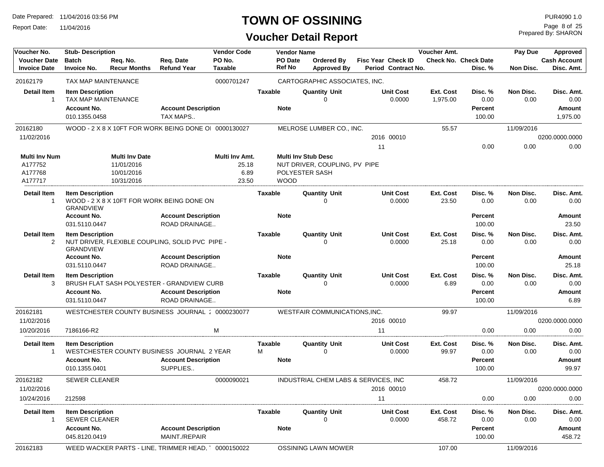Report Date: 11/04/2016

### **TOWN OF OSSINING**

**Voucher Detail Report**

Prepared By: SHARON Page 8 of 25

| Voucher No.                                | <b>Stub-Description</b>                                 |                                     |                                                       | <b>Vendor Code</b>      |                     | <b>Vendor Name</b>       |                                                             |                                                  | Voucher Amt.<br>Pay Due |                                        |                   |                                   |  |
|--------------------------------------------|---------------------------------------------------------|-------------------------------------|-------------------------------------------------------|-------------------------|---------------------|--------------------------|-------------------------------------------------------------|--------------------------------------------------|-------------------------|----------------------------------------|-------------------|-----------------------------------|--|
| <b>Voucher Date</b><br><b>Invoice Date</b> | <b>Batch</b><br><b>Invoice No.</b>                      | Reg. No.<br><b>Recur Months</b>     | Req. Date<br><b>Refund Year</b>                       | PO No.<br>Taxable       |                     | PO Date<br><b>Ref No</b> | Ordered By<br><b>Approved By</b>                            | <b>Fisc Year Check ID</b><br>Period Contract No. |                         | <b>Check No. Check Date</b><br>Disc. % | Non Disc.         | <b>Cash Account</b><br>Disc. Amt. |  |
| 20162179                                   | <b>TAX MAP MAINTENANCE</b>                              |                                     |                                                       | 0000701247              |                     |                          | CARTOGRAPHIC ASSOCIATES, INC.                               |                                                  |                         |                                        |                   |                                   |  |
| <b>Detail Item</b><br>-1                   | <b>Item Description</b><br><b>TAX MAP MAINTENANCE</b>   |                                     |                                                       |                         | <b>Taxable</b>      |                          | <b>Quantity Unit</b><br>∩                                   | <b>Unit Cost</b><br>0.0000                       | Ext. Cost<br>1,975.00   | Disc. %<br>0.00                        | Non Disc.<br>0.00 | Disc. Amt.<br>0.00                |  |
|                                            | <b>Account No.</b>                                      |                                     | <b>Account Description</b>                            |                         |                     | <b>Note</b>              |                                                             |                                                  |                         | <b>Percent</b>                         |                   | <b>Amount</b>                     |  |
|                                            | 010.1355.0458                                           |                                     | TAX MAPS                                              |                         |                     |                          |                                                             |                                                  |                         | 100.00                                 |                   | 1,975.00                          |  |
| 20162180                                   |                                                         |                                     | WOOD - 2 X 8 X 10FT FOR WORK BEING DONE OI 0000130027 |                         |                     |                          | MELROSE LUMBER CO., INC.                                    |                                                  | 55.57                   |                                        | 11/09/2016        |                                   |  |
| 11/02/2016                                 |                                                         |                                     |                                                       |                         |                     |                          |                                                             | 2016 00010                                       |                         |                                        |                   | 0200.0000.0000                    |  |
|                                            |                                                         |                                     |                                                       |                         |                     |                          |                                                             | 11                                               |                         | 0.00                                   | 0.00              | 0.00                              |  |
| <b>Multi Inv Num</b><br>A177752            |                                                         | <b>Multi Inv Date</b><br>11/01/2016 |                                                       | Multi Inv Amt.<br>25.18 |                     |                          | <b>Multi Inv Stub Desc</b><br>NUT DRIVER, COUPLING, PV PIPE |                                                  |                         |                                        |                   |                                   |  |
| A177768                                    |                                                         | 10/01/2016                          |                                                       | 6.89                    |                     |                          | POLYESTER SASH                                              |                                                  |                         |                                        |                   |                                   |  |
| A177717                                    |                                                         | 10/31/2016                          |                                                       | 23.50                   |                     | <b>WOOD</b>              |                                                             |                                                  |                         |                                        |                   |                                   |  |
| Detail Item<br>$\mathbf{1}$                | <b>Item Description</b>                                 |                                     | WOOD - 2 X 8 X 10FT FOR WORK BEING DONE ON            |                         | Taxable             |                          | <b>Quantity Unit</b><br>U                                   | <b>Unit Cost</b><br>0.0000                       | Ext. Cost<br>23.50      | Disc. %<br>0.00                        | Non Disc.<br>0.00 | Disc. Amt.<br>0.00                |  |
|                                            | <b>GRANDVIEW</b><br><b>Account No.</b><br>031.5110.0447 |                                     | <b>Account Description</b><br>ROAD DRAINAGE           |                         |                     | <b>Note</b>              |                                                             |                                                  |                         | Percent<br>100.00                      |                   | Amount<br>23.50                   |  |
| <b>Detail Item</b>                         | <b>Item Description</b>                                 |                                     |                                                       |                         | <b>Taxable</b>      |                          | <b>Quantity Unit</b>                                        | <b>Unit Cost</b>                                 | Ext. Cost               |                                        | Non Disc.         | Disc. Amt.                        |  |
| 2                                          | <b>GRANDVIEW</b>                                        |                                     | NUT DRIVER, FLEXIBLE COUPLING, SOLID PVC PIPE -       |                         |                     |                          | ∩                                                           | 0.0000                                           | 25.18                   | Disc. %<br>0.00                        | 0.00              | 0.00                              |  |
|                                            | <b>Account No.</b><br>031.5110.0447                     |                                     | <b>Account Description</b><br>ROAD DRAINAGE           |                         |                     | <b>Note</b>              |                                                             |                                                  |                         | <b>Percent</b><br>100.00               |                   | <b>Amount</b><br>25.18            |  |
| <b>Detail Item</b><br>3                    | <b>Item Description</b>                                 |                                     | BRUSH FLAT SASH POLYESTER - GRANDVIEW CURB            |                         | <b>Taxable</b>      |                          | <b>Quantity Unit</b><br>0                                   | <b>Unit Cost</b><br>0.0000                       | Ext. Cost<br>6.89       | Disc. %<br>0.00                        | Non Disc.<br>0.00 | Disc. Amt.<br>0.00                |  |
|                                            | <b>Account No.</b><br>031.5110.0447                     |                                     | <b>Account Description</b><br>ROAD DRAINAGE           |                         |                     | <b>Note</b>              |                                                             |                                                  |                         | <b>Percent</b><br>100.00               |                   | Amount<br>6.89                    |  |
| 20162181                                   |                                                         |                                     | WESTCHESTER COUNTY BUSINESS JOURNAL : 0000230077      |                         |                     |                          | <b>WESTFAIR COMMUNICATIONS, INC.</b>                        |                                                  | 99.97                   |                                        | 11/09/2016        |                                   |  |
| 11/02/2016                                 |                                                         |                                     |                                                       |                         |                     |                          |                                                             | 2016 00010                                       |                         |                                        |                   | 0200.0000.0000                    |  |
| 10/20/2016                                 | 7186166-R2                                              |                                     |                                                       | M                       |                     |                          |                                                             | 11                                               |                         | 0.00                                   | 0.00              | 0.00                              |  |
| <b>Detail Item</b><br>-1                   | <b>Item Description</b>                                 |                                     | WESTCHESTER COUNTY BUSINESS JOURNAL 2 YEAR            |                         | <b>Taxable</b><br>м |                          | <b>Quantity Unit</b><br>$\Omega$                            | <b>Unit Cost</b><br>0.0000                       | Ext. Cost<br>99.97      | Disc. %<br>0.00                        | Non Disc.<br>0.00 | Disc. Amt.<br>0.00                |  |
|                                            | <b>Account No.</b><br>010.1355.0401                     |                                     | <b>Account Description</b><br>SUPPLIES                |                         |                     | <b>Note</b>              |                                                             |                                                  |                         | <b>Percent</b><br>100.00               |                   | <b>Amount</b><br>99.97            |  |
| 20162182                                   | <b>SEWER CLEANER</b>                                    |                                     |                                                       | 0000090021              |                     |                          |                                                             | INDUSTRIAL CHEM LABS & SERVICES, INC             | 458.72                  |                                        | 11/09/2016        |                                   |  |
| 11/02/2016                                 |                                                         |                                     |                                                       |                         |                     |                          |                                                             | 2016 00010                                       |                         |                                        |                   | 0200.0000.0000                    |  |
| 10/24/2016                                 | 212598                                                  |                                     |                                                       |                         |                     |                          |                                                             | 11                                               |                         | 0.00                                   | 0.00              | 0.00                              |  |
| <b>Detail Item</b><br>1                    | <b>Item Description</b><br><b>SEWER CLEANER</b>         |                                     |                                                       |                         | Taxable             |                          | <b>Quantity Unit</b>                                        | <b>Unit Cost</b><br>0.0000                       | Ext. Cost<br>458.72     | Disc. %<br>0.00                        | Non Disc.<br>0.00 | Disc. Amt.<br>0.00                |  |
|                                            | <b>Account No.</b><br>045.8120.0419                     |                                     | <b>Account Description</b><br>MAINT./REPAIR           |                         |                     | <b>Note</b>              |                                                             |                                                  |                         | Percent<br>100.00                      |                   | Amount<br>458.72                  |  |
| 20162183                                   |                                                         |                                     | WEED WACKER PARTS - LINE, TRIMMER HEAD, 0000150022    |                         |                     |                          | OSSINING LAWN MOWER                                         |                                                  | 107.00                  |                                        | 11/09/2016        |                                   |  |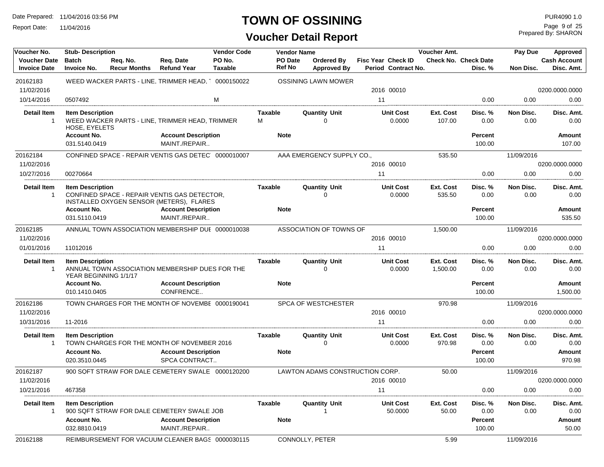Report Date: 11/04/2016

#### **TOWN OF OSSINING**

| Voucher No.                                | <b>Stub-Description</b>                                        |                                 |                                                                                            | <b>Vendor Code</b>       |                               | <b>Vendor Name</b>                      |                                                  | <b>Voucher Amt.</b>          |                                             | Pay Due           | <b>Approved</b>                               |
|--------------------------------------------|----------------------------------------------------------------|---------------------------------|--------------------------------------------------------------------------------------------|--------------------------|-------------------------------|-----------------------------------------|--------------------------------------------------|------------------------------|---------------------------------------------|-------------------|-----------------------------------------------|
| <b>Voucher Date</b><br><b>Invoice Date</b> | <b>Batch</b><br><b>Invoice No.</b>                             | Req. No.<br><b>Recur Months</b> | Req. Date<br><b>Refund Year</b>                                                            | PO No.<br><b>Taxable</b> | <b>PO</b> Date<br>Ref No      | <b>Ordered By</b><br><b>Approved By</b> | <b>Fisc Year Check ID</b><br>Period Contract No. |                              | <b>Check No. Check Date</b><br>Disc. %      | Non Disc.         | <b>Cash Account</b><br>Disc. Amt.             |
| 20162183                                   |                                                                |                                 | WEED WACKER PARTS - LINE, TRIMMER HEAD, "                                                  | 0000150022               |                               | <b>OSSINING LAWN MOWER</b>              |                                                  |                              |                                             |                   |                                               |
| 11/02/2016                                 |                                                                |                                 |                                                                                            |                          |                               |                                         | 2016 00010                                       |                              |                                             |                   | 0200.0000.0000                                |
| 10/14/2016                                 | 0507492                                                        |                                 |                                                                                            | M                        |                               |                                         | 11                                               |                              | 0.00                                        | 0.00              | 0.00                                          |
| <b>Detail Item</b><br>$\mathbf 1$          | <b>Item Description</b><br>HOSE, EYELETS                       |                                 | WEED WACKER PARTS - LINE, TRIMMER HEAD, TRIMMER                                            |                          | <b>Taxable</b><br>M           | <b>Quantity Unit</b><br>$\Omega$        | <b>Unit Cost</b><br>0.0000                       | Ext. Cost<br>107.00          | Disc. %<br>0.00                             | Non Disc.<br>0.00 | Disc. Amt.<br>0.00                            |
|                                            | <b>Account No.</b>                                             |                                 | <b>Account Description</b>                                                                 |                          | <b>Note</b>                   |                                         |                                                  |                              | <b>Percent</b>                              |                   | <b>Amount</b>                                 |
|                                            | 031.5140.0419                                                  |                                 | MAINT./REPAIR                                                                              |                          |                               |                                         |                                                  |                              | 100.00                                      |                   | 107.00                                        |
| 20162184<br>11/02/2016                     |                                                                |                                 | CONFINED SPACE - REPAIR VENTIS GAS DETEC 0000010007                                        |                          |                               | AAA EMERGENCY SUPPLY CO.,               | 2016 00010                                       | 535.50                       |                                             | 11/09/2016        | 0200.0000.0000                                |
| 10/27/2016                                 | 00270664                                                       |                                 |                                                                                            |                          |                               |                                         | 11                                               |                              | 0.00                                        | 0.00              | 0.00                                          |
| <b>Detail Item</b><br>-1                   | <b>Item Description</b>                                        |                                 | CONFINED SPACE - REPAIR VENTIS GAS DETECTOR.                                               |                          | <b>Taxable</b>                | <b>Quantity Unit</b><br>$\Omega$        | <b>Unit Cost</b><br>0.0000                       | Ext. Cost<br>535.50          | Disc. %<br>0.00                             | Non Disc.<br>0.00 | Disc. Amt.<br>0.00                            |
|                                            | <b>Account No.</b>                                             |                                 | INSTALLED OXYGEN SENSOR (METERS), FLARES<br><b>Account Description</b>                     |                          | <b>Note</b>                   |                                         |                                                  |                              | <b>Percent</b>                              |                   | Amount                                        |
|                                            | 031.5110.0419                                                  |                                 | MAINT./REPAIR                                                                              |                          |                               |                                         |                                                  |                              | 100.00                                      |                   | 535.50                                        |
| 20162185                                   |                                                                |                                 | ANNUAL TOWN ASSOCIATION MEMBERSHIP DUI 0000010038                                          |                          |                               | ASSOCIATION OF TOWNS OF                 |                                                  | 1,500.00                     |                                             | 11/09/2016        |                                               |
| 11/02/2016                                 |                                                                |                                 |                                                                                            |                          |                               |                                         | 2016 00010                                       |                              |                                             |                   | 0200.0000.0000                                |
| 01/01/2016                                 | 11012016                                                       |                                 |                                                                                            |                          |                               |                                         | 11                                               |                              | 0.00                                        | 0.00              | 0.00                                          |
|                                            |                                                                |                                 |                                                                                            |                          |                               |                                         |                                                  |                              |                                             |                   |                                               |
| <b>Detail Item</b><br>$\mathbf{1}$         | <b>Item Description</b><br>YEAR BEGINNING 1/1/17               |                                 | ANNUAL TOWN ASSOCIATION MEMBERSHIP DUES FOR THE                                            |                          | <b>Taxable</b>                | <b>Quantity Unit</b><br>0               | <b>Unit Cost</b><br>0.0000                       | <b>Ext. Cost</b><br>1,500.00 | Disc. %<br>0.00                             | Non Disc.<br>0.00 | Disc. Amt.<br>0.00                            |
|                                            | <b>Account No.</b>                                             |                                 | <b>Account Description</b>                                                                 |                          | <b>Note</b>                   |                                         |                                                  |                              | <b>Percent</b>                              |                   | <b>Amount</b>                                 |
|                                            | 010.1410.0405                                                  |                                 | CONFRENCE                                                                                  |                          |                               |                                         |                                                  |                              | 100.00                                      |                   | 1,500.00                                      |
| 20162186                                   |                                                                |                                 | TOWN CHARGES FOR THE MONTH OF NOVEMBE 0000190041                                           |                          |                               | <b>SPCA OF WESTCHESTER</b>              |                                                  | 970.98                       |                                             | 11/09/2016        |                                               |
| 11/02/2016                                 |                                                                |                                 |                                                                                            |                          |                               |                                         | 2016 00010                                       |                              |                                             |                   | 0200.0000.0000                                |
| 10/31/2016                                 | 11-2016                                                        |                                 |                                                                                            |                          |                               |                                         | 11                                               |                              | 0.00                                        | 0.00              | 0.00                                          |
| <b>Detail Item</b><br>$\mathbf{1}$         | <b>Item Description</b><br><b>Account No.</b><br>020.3510.0445 |                                 | TOWN CHARGES FOR THE MONTH OF NOVEMBER 2016<br><b>Account Description</b><br>SPCA CONTRACT |                          | <b>Taxable</b><br><b>Note</b> | <b>Quantity Unit</b><br>$\mathbf 0$     | <b>Unit Cost</b><br>0.0000                       | Ext. Cost<br>970.98          | Disc. %<br>0.00<br><b>Percent</b><br>100.00 | Non Disc.<br>0.00 | Disc. Amt.<br>0.00<br><b>Amount</b><br>970.98 |
| 20162187                                   |                                                                |                                 | 900 SQFT STRAW FOR DALE CEMETERY SWALE 0000120200                                          |                          |                               | LAWTON ADAMS CONSTRUCTION CORP.         |                                                  | 50.00                        |                                             | 11/09/2016        |                                               |
| 11/02/2016                                 |                                                                |                                 |                                                                                            |                          |                               |                                         | 2016 00010                                       |                              |                                             |                   | 0200.0000.0000                                |
| 10/21/2016                                 | 467358                                                         |                                 |                                                                                            |                          |                               |                                         | 11                                               |                              | 0.00                                        | 0.00              | 0.00                                          |
| <b>Detail Item</b><br>$\mathbf{1}$         | <b>Item Description</b>                                        |                                 | 900 SQFT STRAW FOR DALE CEMETERY SWALE JOB                                                 |                          | Taxable                       | <b>Quantity Unit</b><br>-1              | <b>Unit Cost</b><br>50.0000                      | Ext. Cost<br>50.00           | Disc. %<br>0.00                             | Non Disc.<br>0.00 | Disc. Amt.<br>0.00                            |
|                                            | <b>Account No.</b>                                             |                                 | <b>Account Description</b>                                                                 |                          | <b>Note</b>                   |                                         |                                                  |                              | <b>Percent</b>                              |                   | Amount                                        |
|                                            | 032.8810.0419                                                  |                                 | MAINT./REPAIR                                                                              |                          |                               |                                         |                                                  |                              | 100.00                                      |                   | 50.00                                         |
| 20162188                                   |                                                                |                                 | REIMBURSEMENT FOR VACUUM CLEANER BAGS 0000030115                                           |                          |                               | CONNOLLY, PETER                         |                                                  | 5.99                         |                                             | 11/09/2016        |                                               |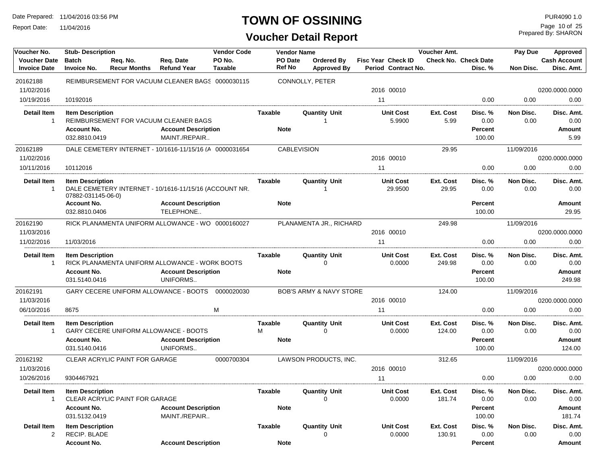Report Date: 11/04/2016

# **TOWN OF OSSINING**

Prepared By: SHARON Page 10 of 25

| Voucher No.                                | <b>Stub-Description</b>                                        |                                 |                                                                                          | <b>Vendor Code</b>       | <b>Vendor Name</b>            |                                      |                                           | Voucher Amt.        |                                             | Pay Due           | Approved                               |
|--------------------------------------------|----------------------------------------------------------------|---------------------------------|------------------------------------------------------------------------------------------|--------------------------|-------------------------------|--------------------------------------|-------------------------------------------|---------------------|---------------------------------------------|-------------------|----------------------------------------|
| <b>Voucher Date</b><br><b>Invoice Date</b> | <b>Batch</b><br><b>Invoice No.</b>                             | Req. No.<br><b>Recur Months</b> | Req. Date<br><b>Refund Year</b>                                                          | PO No.<br><b>Taxable</b> | PO Date<br><b>Ref No</b>      | Ordered By<br><b>Approved By</b>     | Fisc Year Check ID<br>Period Contract No. |                     | Check No. Check Date<br>Disc. %             | Non Disc.         | <b>Cash Account</b><br>Disc. Amt.      |
| 20162188                                   |                                                                |                                 | REIMBURSEMENT FOR VACUUM CLEANER BAGS 0000030115                                         |                          |                               | CONNOLLY, PETER                      |                                           |                     |                                             |                   |                                        |
| 11/02/2016                                 |                                                                |                                 |                                                                                          |                          |                               |                                      | 2016 00010                                |                     |                                             |                   | 0200.0000.0000                         |
| 10/19/2016                                 | 10192016                                                       |                                 |                                                                                          |                          |                               |                                      | 11                                        |                     | 0.00                                        | 0.00              | 0.00                                   |
| <b>Detail Item</b><br>$\overline{1}$       | <b>Item Description</b><br><b>Account No.</b><br>032.8810.0419 |                                 | REIMBURSEMENT FOR VACUUM CLEANER BAGS<br><b>Account Description</b><br>MAINT./REPAIR     |                          | <b>Taxable</b><br><b>Note</b> | <b>Quantity Unit</b><br>1            | <b>Unit Cost</b><br>5.9900                | Ext. Cost<br>5.99   | Disc. %<br>0.00<br><b>Percent</b><br>100.00 | Non Disc.<br>0.00 | Disc. Amt.<br>0.00<br>Amount<br>5.99   |
| 20162189                                   |                                                                |                                 | DALE CEMETERY INTERNET - 10/1616-11/15/16 (A 0000031654                                  |                          |                               | <b>CABLEVISION</b>                   |                                           | 29.95               |                                             | 11/09/2016        |                                        |
| 11/02/2016                                 |                                                                |                                 |                                                                                          |                          |                               |                                      | 2016 00010                                |                     |                                             |                   | 0200.0000.0000                         |
| 10/11/2016                                 | 10112016                                                       |                                 |                                                                                          |                          |                               |                                      | 11                                        |                     | 0.00                                        | 0.00              | 0.00                                   |
|                                            |                                                                |                                 |                                                                                          |                          |                               |                                      |                                           |                     |                                             |                   |                                        |
| <b>Detail Item</b><br>$\mathbf{1}$         | <b>Item Description</b><br>07882-031145-06-0)                  |                                 | DALE CEMETERY INTERNET - 10/1616-11/15/16 (ACCOUNT NR.                                   |                          | <b>Taxable</b>                | <b>Quantity Unit</b><br>$\mathbf{1}$ | <b>Unit Cost</b><br>29.9500               | Ext. Cost<br>29.95  | Disc. %<br>0.00                             | Non Disc.<br>0.00 | Disc. Amt.<br>0.00                     |
|                                            | <b>Account No.</b>                                             |                                 | <b>Account Description</b>                                                               |                          | <b>Note</b>                   |                                      |                                           |                     | <b>Percent</b>                              |                   | Amount                                 |
|                                            | 032.8810.0406                                                  |                                 | TELEPHONE                                                                                |                          |                               |                                      |                                           |                     | 100.00                                      |                   | 29.95                                  |
| 20162190                                   |                                                                |                                 | RICK PLANAMENTA UNIFORM ALLOWANCE - WO 0000160027                                        |                          |                               | PLANAMENTA JR., RICHARD              |                                           | 249.98              |                                             | 11/09/2016        |                                        |
| 11/03/2016                                 |                                                                |                                 |                                                                                          |                          |                               |                                      | 2016 00010                                |                     |                                             |                   | 0200.0000.0000                         |
| 11/02/2016                                 | 11/03/2016                                                     |                                 |                                                                                          |                          |                               |                                      | 11                                        |                     | 0.00                                        | 0.00              | 0.00                                   |
| <b>Detail Item</b><br>$\overline{1}$       | <b>Item Description</b><br><b>Account No.</b><br>031.5140.0416 |                                 | RICK PLANAMENTA UNIFORM ALLOWANCE - WORK BOOTS<br><b>Account Description</b><br>UNIFORMS |                          | Taxable<br><b>Note</b>        | <b>Quantity Unit</b><br>$\Omega$     | <b>Unit Cost</b><br>0.0000                | Ext. Cost<br>249.98 | Disc. %<br>0.00<br><b>Percent</b><br>100.00 | Non Disc.<br>0.00 | Disc. Amt.<br>0.00<br>Amount<br>249.98 |
| 20162191                                   |                                                                |                                 | GARY CECERE UNIFORM ALLOWANCE - BOOTS                                                    | 0000020030               |                               | <b>BOB'S ARMY &amp; NAVY STORE</b>   |                                           | 124.00              |                                             | 11/09/2016        |                                        |
| 11/03/2016                                 |                                                                |                                 |                                                                                          |                          |                               |                                      | 2016 00010                                |                     |                                             |                   | 0200.0000.0000                         |
| 06/10/2016                                 | 8675                                                           |                                 |                                                                                          | M                        |                               |                                      | 11                                        |                     | 0.00                                        | 0.00              | 0.00                                   |
| <b>Detail Item</b><br>$\overline{1}$       | <b>Item Description</b>                                        |                                 | GARY CECERE UNIFORM ALLOWANCE - BOOTS                                                    |                          | Taxable<br>м                  | <b>Quantity Unit</b><br>$\Omega$     | <b>Unit Cost</b><br>0.0000                | Ext. Cost<br>124.00 | Disc. %<br>0.00                             | Non Disc.<br>0.00 | Disc. Amt.<br>0.00                     |
|                                            | <b>Account No.</b><br>031.5140.0416                            |                                 | <b>Account Description</b><br>UNIFORMS                                                   |                          | <b>Note</b>                   |                                      |                                           |                     | Percent<br>100.00                           |                   | Amount<br>124.00                       |
| 20162192                                   |                                                                | CLEAR ACRYLIC PAINT FOR GARAGE  |                                                                                          | 0000700304               |                               | LAWSON PRODUCTS, INC.                |                                           | 312.65              |                                             | 11/09/2016        |                                        |
| 11/03/2016                                 |                                                                |                                 |                                                                                          |                          |                               |                                      | 2016 00010                                |                     |                                             |                   | 0200.0000.0000                         |
| 10/26/2016                                 | 9304467921                                                     |                                 |                                                                                          |                          |                               |                                      | 11                                        |                     | 0.00                                        | 0.00              | 0.00                                   |
| <b>Detail Item</b><br>$\overline{1}$       | <b>Item Description</b>                                        | CLEAR ACRYLIC PAINT FOR GARAGE  |                                                                                          |                          | Taxable                       | <b>Quantity Unit</b><br>$\Omega$     | <b>Unit Cost</b><br>0.0000                | Ext. Cost<br>181.74 | Disc. %<br>0.00                             | Non Disc.<br>0.00 | Disc. Amt.<br>0.00                     |
|                                            | <b>Account No.</b><br>031.5132.0419                            |                                 | <b>Account Description</b><br>MAINT./REPAIR                                              |                          | <b>Note</b>                   |                                      |                                           |                     | Percent<br>100.00                           |                   | Amount<br>181.74                       |
| <b>Detail Item</b><br>$\overline{2}$       | <b>Item Description</b><br>RECIP. BLADE                        |                                 |                                                                                          |                          | <b>Taxable</b>                | <b>Quantity Unit</b><br>0            | <b>Unit Cost</b><br>0.0000                | Ext. Cost<br>130.91 | Disc. %<br>0.00                             | Non Disc.<br>0.00 | Disc. Amt.<br>0.00                     |
|                                            | <b>Account No.</b>                                             |                                 | <b>Account Description</b>                                                               |                          | <b>Note</b>                   |                                      |                                           |                     | Percent                                     |                   | Amount                                 |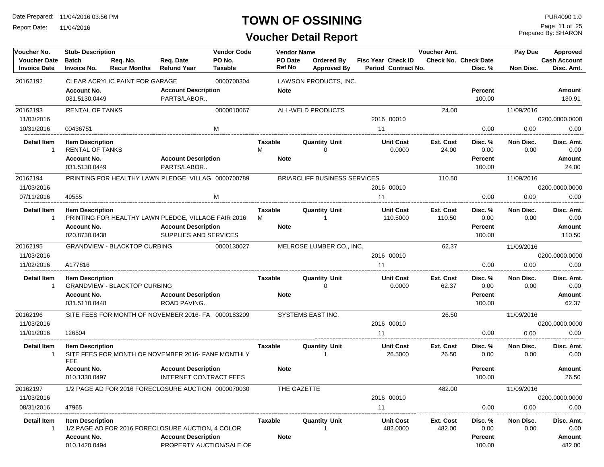Report Date: 11/04/2016

### **TOWN OF OSSINING**

Prepared By: SHARON Page 11 of 25

| Voucher No.                                | <b>Stub-Description</b>                           |                                     |                                                             | <b>Vendor Code</b>       |                          | <b>Vendor Name</b>                     |                           |                              | Voucher Amt.        |                                 | Pay Due           | Approved                          |
|--------------------------------------------|---------------------------------------------------|-------------------------------------|-------------------------------------------------------------|--------------------------|--------------------------|----------------------------------------|---------------------------|------------------------------|---------------------|---------------------------------|-------------------|-----------------------------------|
| <b>Voucher Date</b><br><b>Invoice Date</b> | <b>Batch</b><br><b>Invoice No.</b>                | Reg. No.<br><b>Recur Months</b>     | Req. Date<br><b>Refund Year</b>                             | PO No.<br><b>Taxable</b> | PO Date<br><b>Ref No</b> | Ordered By<br><b>Approved By</b>       | <b>Fisc Year Check ID</b> | Period Contract No.          |                     | Check No. Check Date<br>Disc. % | Non Disc.         | <b>Cash Account</b><br>Disc. Amt. |
| 20162192                                   |                                                   | CLEAR ACRYLIC PAINT FOR GARAGE      |                                                             | 0000700304               |                          | LAWSON PRODUCTS, INC.                  |                           |                              |                     |                                 |                   |                                   |
|                                            | <b>Account No.</b><br>031.5130.0449               |                                     | <b>Account Description</b><br>PARTS/LABOR                   |                          | <b>Note</b>              |                                        |                           |                              |                     | Percent<br>100.00               |                   | <b>Amount</b><br>130.91           |
| 20162193                                   | RENTAL OF TANKS                                   |                                     |                                                             | 0000010067               |                          | ALL-WELD PRODUCTS                      |                           |                              | 24.00               |                                 | 11/09/2016        |                                   |
| 11/03/2016                                 |                                                   |                                     |                                                             |                          |                          |                                        | 2016 00010                |                              |                     |                                 |                   | 0200.0000.0000                    |
| 10/31/2016                                 | 00436751                                          |                                     |                                                             | M                        |                          |                                        | 11                        |                              |                     | 0.00                            | 0.00              | 0.00                              |
| <b>Detail Item</b><br>$\overline{1}$       | <b>Item Description</b><br><b>RENTAL OF TANKS</b> |                                     |                                                             |                          | <b>Taxable</b><br>М      | <b>Quantity Unit</b><br>$\Omega$       |                           | <b>Unit Cost</b><br>0.0000   | Ext. Cost<br>24.00  | Disc. %<br>0.00                 | Non Disc.<br>0.00 | Disc. Amt.<br>0.00                |
|                                            | <b>Account No.</b><br>031.5130.0449               |                                     | <b>Account Description</b><br>PARTS/LABOR                   |                          | <b>Note</b>              |                                        |                           |                              |                     | <b>Percent</b><br>100.00        |                   | <b>Amount</b><br>24.00            |
| 20162194                                   |                                                   |                                     | PRINTING FOR HEALTHY LAWN PLEDGE, VILLAG 0000700789         |                          |                          | <b>BRIARCLIFF BUSINESS SERVICES</b>    |                           |                              | 110.50              |                                 | 11/09/2016        |                                   |
| 11/03/2016                                 |                                                   |                                     |                                                             |                          |                          |                                        | 2016 00010                |                              |                     |                                 |                   | 0200.0000.0000                    |
| 07/11/2016                                 | 49555                                             |                                     |                                                             | M                        |                          |                                        | 11                        |                              |                     | 0.00                            | 0.00              | 0.00                              |
| <b>Detail Item</b><br>$\mathbf{1}$         | <b>Item Description</b>                           |                                     | PRINTING FOR HEALTHY LAWN PLEDGE, VILLAGE FAIR 2016         |                          | Taxable<br>м             | <b>Quantity Unit</b><br>$\overline{1}$ |                           | <b>Unit Cost</b><br>110.5000 | Ext. Cost<br>110.50 | Disc. %<br>0.00                 | Non Disc.<br>0.00 | Disc. Amt.<br>0.00                |
|                                            | <b>Account No.</b><br>020.8730.0438               |                                     | <b>Account Description</b><br>SUPPLIES AND SERVICES         |                          | <b>Note</b>              |                                        |                           |                              |                     | Percent<br>100.00               |                   | <b>Amount</b><br>110.50           |
| 20162195                                   |                                                   | <b>GRANDVIEW - BLACKTOP CURBING</b> |                                                             | 0000130027               |                          | MELROSE LUMBER CO., INC.               |                           |                              | 62.37               |                                 | 11/09/2016        |                                   |
| 11/03/2016                                 |                                                   |                                     |                                                             |                          |                          |                                        | 2016 00010                |                              |                     |                                 |                   | 0200.0000.0000                    |
| 11/02/2016                                 | A177816                                           |                                     |                                                             |                          |                          |                                        | 11                        |                              |                     | 0.00                            | 0.00              | 0.00                              |
| <b>Detail Item</b><br>$\overline{1}$       | <b>Item Description</b>                           | <b>GRANDVIEW - BLACKTOP CURBING</b> |                                                             |                          | Taxable                  | <b>Quantity Unit</b><br>$\Omega$       |                           | <b>Unit Cost</b><br>0.0000   | Ext. Cost<br>62.37  | Disc. %<br>0.00                 | Non Disc.<br>0.00 | Disc. Amt.<br>0.00                |
|                                            | <b>Account No.</b><br>031.5110.0448               |                                     | <b>Account Description</b><br>ROAD PAVING                   |                          | <b>Note</b>              |                                        |                           |                              |                     | <b>Percent</b><br>100.00        |                   | <b>Amount</b><br>62.37            |
| 20162196                                   |                                                   |                                     | SITE FEES FOR MONTH OF NOVEMBER 2016- FA 0000183209         |                          |                          | SYSTEMS EAST INC.                      |                           |                              | 26.50               |                                 | 11/09/2016        |                                   |
| 11/03/2016                                 |                                                   |                                     |                                                             |                          |                          |                                        | 2016 00010                |                              |                     |                                 |                   | 0200.0000.0000                    |
| 11/01/2016                                 | 126504                                            |                                     |                                                             |                          |                          |                                        | 11                        |                              |                     | 0.00                            | 0.00              | 0.00                              |
| <b>Detail Item</b><br>$\mathbf 1$          | <b>Item Description</b><br><b>FEE</b>             |                                     | SITE FEES FOR MONTH OF NOVEMBER 2016- FANF MONTHLY          |                          | Taxable                  | <b>Quantity Unit</b>                   |                           | <b>Unit Cost</b><br>26.5000  | Ext. Cost<br>26.50  | Disc. %<br>0.00                 | Non Disc.<br>0.00 | Disc. Amt.<br>0.00                |
|                                            | <b>Account No.</b><br>010.1330.0497               |                                     | <b>Account Description</b><br><b>INTERNET CONTRACT FEES</b> |                          | <b>Note</b>              |                                        |                           |                              |                     | Percent<br>100.00               |                   | Amount<br>26.50                   |
| 20162197                                   |                                                   |                                     | 1/2 PAGE AD FOR 2016 FORECLOSURE AUCTION 0000070030         |                          |                          | THE GAZETTE                            |                           |                              | 482.00              |                                 | 11/09/2016        |                                   |
| 11/03/2016                                 |                                                   |                                     |                                                             |                          |                          |                                        | 2016 00010                |                              |                     |                                 |                   | 0200.0000.0000                    |
| 08/31/2016                                 | 47965                                             |                                     |                                                             |                          |                          |                                        | 11                        |                              |                     | 0.00                            | 0.00              | 0.00                              |
| Detail Item<br>$\mathbf{1}$                | <b>Item Description</b>                           |                                     | 1/2 PAGE AD FOR 2016 FORECLOSURE AUCTION, 4 COLOR           |                          | Taxable                  | <b>Quantity Unit</b>                   |                           | <b>Unit Cost</b><br>482.0000 | Ext. Cost<br>482.00 | Disc. %<br>0.00                 | Non Disc.<br>0.00 | Disc. Amt.<br>0.00                |
|                                            | <b>Account No.</b><br>010.1420.0494               |                                     | <b>Account Description</b><br>PROPERTY AUCTION/SALE OF      |                          | <b>Note</b>              |                                        |                           |                              |                     | <b>Percent</b><br>100.00        |                   | Amount<br>482.00                  |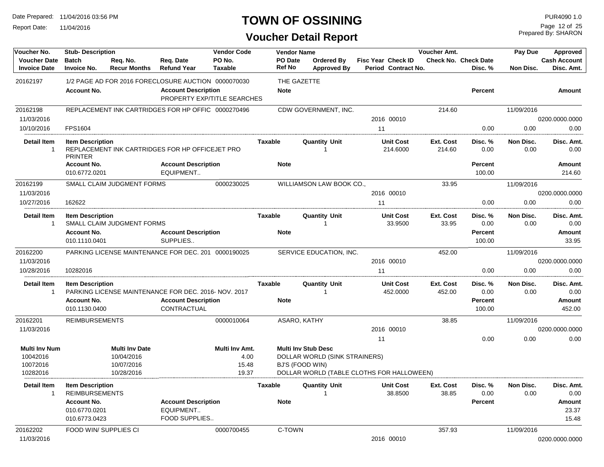Report Date: 11/04/2016

#### **TOWN OF OSSINING**

Prepared By: SHARON Page 12 of 25

| Voucher No.                                              | <b>Stub-Description</b>                              |                                                                 |                                                                                                                  | <b>Vendor Code</b>                       |                          | <b>Vendor Name</b>                                                             |                                                  | Voucher Amt.        |                                        | Pay Due           | Approved                            |
|----------------------------------------------------------|------------------------------------------------------|-----------------------------------------------------------------|------------------------------------------------------------------------------------------------------------------|------------------------------------------|--------------------------|--------------------------------------------------------------------------------|--------------------------------------------------|---------------------|----------------------------------------|-------------------|-------------------------------------|
| <b>Voucher Date</b><br><b>Invoice Date</b>               | <b>Batch</b><br><b>Invoice No.</b>                   | Req. No.<br><b>Recur Months</b>                                 | Req. Date<br><b>Refund Year</b>                                                                                  | PO No.<br>Taxable                        | PO Date<br><b>Ref No</b> | <b>Ordered By</b><br><b>Approved By</b>                                        | <b>Fisc Year Check ID</b><br>Period Contract No. |                     | <b>Check No. Check Date</b><br>Disc. % | Non Disc.         | <b>Cash Account</b><br>Disc. Amt.   |
| 20162197                                                 | <b>Account No.</b>                                   |                                                                 | 1/2 PAGE AD FOR 2016 FORECLOSURE AUCTION 0000070030<br><b>Account Description</b><br>PROPERTY EXP/TITLE SEARCHES |                                          | <b>Note</b>              | THE GAZETTE                                                                    |                                                  |                     | <b>Percent</b>                         |                   | Amount                              |
| 20162198                                                 |                                                      |                                                                 | REPLACEMENT INK CARTRIDGES FOR HP OFFIC 0000270496                                                               |                                          |                          | CDW GOVERNMENT, INC.                                                           |                                                  | 214.60              |                                        | 11/09/2016        |                                     |
| 11/03/2016                                               |                                                      |                                                                 |                                                                                                                  |                                          |                          |                                                                                | 2016 00010                                       |                     |                                        |                   | 0200.0000.0000                      |
| 10/10/2016                                               | FPS1604                                              |                                                                 |                                                                                                                  |                                          |                          |                                                                                | 11                                               |                     | 0.00                                   | 0.00              | 0.00                                |
| <b>Detail Item</b><br>$\mathbf{1}$                       | <b>Item Description</b><br><b>PRINTER</b>            |                                                                 | REPLACEMENT INK CARTRIDGES FOR HP OFFICEJET PRO                                                                  |                                          | Taxable                  | <b>Quantity Unit</b><br>-1                                                     | <b>Unit Cost</b><br>214.6000                     | Ext. Cost<br>214.60 | Disc. %<br>0.00                        | Non Disc.<br>0.00 | Disc. Amt.<br>0.00                  |
|                                                          | <b>Account No.</b><br>010.6772.0201                  |                                                                 | <b>Account Description</b><br>EQUIPMENT                                                                          |                                          | <b>Note</b>              |                                                                                |                                                  |                     | <b>Percent</b><br>100.00               |                   | Amount<br>214.60                    |
| 20162199                                                 |                                                      | SMALL CLAIM JUDGMENT FORMS                                      |                                                                                                                  | 0000230025                               |                          | WILLIAMSON LAW BOOK CO.,                                                       |                                                  | 33.95               |                                        | 11/09/2016        |                                     |
| 11/03/2016                                               |                                                      |                                                                 |                                                                                                                  |                                          |                          |                                                                                | 2016 00010                                       |                     |                                        |                   | 0200.0000.0000                      |
| 10/27/2016                                               | 162622                                               |                                                                 |                                                                                                                  |                                          |                          |                                                                                | 11                                               |                     | 0.00                                   | 0.00              | 0.00                                |
| <b>Detail Item</b><br>-1                                 | <b>Item Description</b>                              | SMALL CLAIM JUDGMENT FORMS                                      |                                                                                                                  |                                          | Taxable                  | <b>Quantity Unit</b>                                                           | <b>Unit Cost</b><br>33.9500                      | Ext. Cost<br>33.95  | Disc. %<br>0.00                        | Non Disc.<br>0.00 | Disc. Amt.<br>0.00                  |
|                                                          | <b>Account No.</b><br>010.1110.0401                  |                                                                 | <b>Account Description</b><br>SUPPLIES                                                                           |                                          | <b>Note</b>              |                                                                                |                                                  |                     | Percent<br>100.00                      |                   | Amount<br>33.95                     |
| 20162200                                                 |                                                      |                                                                 | PARKING LICENSE MAINTENANCE FOR DEC. 201 0000190025                                                              |                                          |                          | SERVICE EDUCATION, INC.                                                        |                                                  | 452.00              |                                        | 11/09/2016        |                                     |
| 11/03/2016                                               |                                                      |                                                                 |                                                                                                                  |                                          |                          |                                                                                | 2016 00010                                       |                     |                                        |                   | 0200.0000.0000                      |
| 10/28/2016                                               | 10282016                                             |                                                                 |                                                                                                                  |                                          |                          |                                                                                | 11                                               |                     | 0.00                                   | 0.00              | 0.00                                |
| <b>Detail Item</b><br>1                                  | <b>Item Description</b><br><b>Account No.</b>        |                                                                 | PARKING LICENSE MAINTENANCE FOR DEC. 2016-NOV. 2017<br><b>Account Description</b>                                |                                          | Taxable<br><b>Note</b>   | <b>Quantity Unit</b>                                                           | <b>Unit Cost</b><br>452.0000                     | Ext. Cost<br>452.00 | Disc. %<br>0.00<br><b>Percent</b>      | Non Disc.<br>0.00 | Disc. Amt.<br>0.00<br><b>Amount</b> |
|                                                          | 010.1130.0400                                        |                                                                 | CONTRACTUAL                                                                                                      |                                          |                          |                                                                                |                                                  |                     | 100.00                                 |                   | 452.00                              |
| 20162201<br>11/03/2016                                   | <b>REIMBURSEMENTS</b>                                |                                                                 |                                                                                                                  | 0000010064                               |                          | ASARO, KATHY                                                                   | 2016 00010                                       | 38.85               |                                        | 11/09/2016        | 0200.0000.0000                      |
|                                                          |                                                      |                                                                 |                                                                                                                  |                                          |                          |                                                                                | 11                                               |                     | 0.00                                   | 0.00              | 0.00                                |
| <b>Multi Inv Num</b><br>10042016<br>10072016<br>10282016 |                                                      | <b>Multi Inv Date</b><br>10/04/2016<br>10/07/2016<br>10/28/2016 |                                                                                                                  | Multi Inv Amt.<br>4.00<br>15.48<br>19.37 |                          | <b>Multi Inv Stub Desc</b><br>DOLLAR WORLD (SINK STRAINERS)<br>BJ'S (FOOD WIN) | DOLLAR WORLD (TABLE CLOTHS FOR HALLOWEEN)        |                     |                                        |                   |                                     |
| Detail Item<br>1                                         | <b>Item Description</b><br><b>REIMBURSEMENTS</b>     |                                                                 |                                                                                                                  |                                          | Taxable                  | <b>Quantity Unit</b><br>$\overline{1}$                                         | <b>Unit Cost</b><br>38.8500                      | Ext. Cost<br>38.85  | Disc. %<br>0.00                        | Non Disc.<br>0.00 | Disc. Amt.<br>0.00                  |
|                                                          | <b>Account No.</b><br>010.6770.0201<br>010.6773.0423 |                                                                 | <b>Account Description</b><br>EQUIPMENT<br>FOOD SUPPLIES                                                         |                                          | <b>Note</b>              |                                                                                |                                                  |                     | <b>Percent</b>                         |                   | Amount<br>23.37<br>15.48            |
| 20162202<br>11/03/2016                                   | FOOD WIN/ SUPPLIES CI                                |                                                                 |                                                                                                                  | 0000700455                               |                          | C-TOWN                                                                         | 2016 00010                                       | 357.93              |                                        | 11/09/2016        | 0200.0000.0000                      |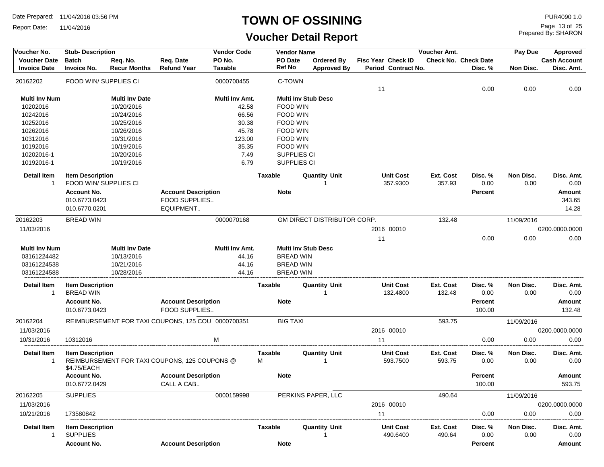Report Date: 11/04/2016

### **TOWN OF OSSINING**

| Voucher No.                                | <b>Stub-Description</b>                    |                                 |                                                    | <b>Vendor Code</b> |             | <b>Vendor Name</b> |                                         |    |                                                  | Voucher Amt.        |                                        | Pay Due           | Approved                          |
|--------------------------------------------|--------------------------------------------|---------------------------------|----------------------------------------------------|--------------------|-------------|--------------------|-----------------------------------------|----|--------------------------------------------------|---------------------|----------------------------------------|-------------------|-----------------------------------|
| <b>Voucher Date</b><br><b>Invoice Date</b> | <b>Batch</b><br><b>Invoice No.</b>         | Req. No.<br><b>Recur Months</b> | Req. Date<br><b>Refund Year</b>                    | PO No.<br>Taxable  | Ref No      | <b>PO Date</b>     | <b>Ordered By</b><br><b>Approved By</b> |    | <b>Fisc Year Check ID</b><br>Period Contract No. |                     | <b>Check No. Check Date</b><br>Disc. % | Non Disc.         | <b>Cash Account</b><br>Disc. Amt. |
| 20162202                                   | FOOD WIN/ SUPPLIES CI                      |                                 |                                                    | 0000700455         |             | C-TOWN             |                                         | 11 |                                                  |                     | 0.00                                   | 0.00              | 0.00                              |
| <b>Multi Inv Num</b>                       |                                            | <b>Multi Inv Date</b>           |                                                    | Multi Inv Amt.     |             |                    | <b>Multi Inv Stub Desc</b>              |    |                                                  |                     |                                        |                   |                                   |
| 10202016                                   |                                            | 10/20/2016                      |                                                    | 42.58              |             | FOOD WIN           |                                         |    |                                                  |                     |                                        |                   |                                   |
| 10242016                                   |                                            | 10/24/2016                      |                                                    | 66.56              |             | FOOD WIN           |                                         |    |                                                  |                     |                                        |                   |                                   |
| 10252016                                   |                                            | 10/25/2016                      |                                                    | 30.38              |             | FOOD WIN           |                                         |    |                                                  |                     |                                        |                   |                                   |
| 10262016                                   |                                            | 10/26/2016                      |                                                    | 45.78              |             | FOOD WIN           |                                         |    |                                                  |                     |                                        |                   |                                   |
| 10312016                                   |                                            | 10/31/2016                      |                                                    | 123.00             |             | FOOD WIN           |                                         |    |                                                  |                     |                                        |                   |                                   |
| 10192016                                   |                                            | 10/19/2016                      |                                                    | 35.35              |             | FOOD WIN           |                                         |    |                                                  |                     |                                        |                   |                                   |
| 10202016-1                                 |                                            | 10/20/2016                      |                                                    | 7.49               |             | SUPPLIES CI        |                                         |    |                                                  |                     |                                        |                   |                                   |
| 10192016-1                                 |                                            | 10/19/2016                      |                                                    | 6.79               |             | SUPPLIES CI        |                                         |    |                                                  |                     |                                        |                   |                                   |
| <b>Detail Item</b>                         | <b>Item Description</b>                    |                                 |                                                    |                    | Taxable     |                    | <b>Quantity Unit</b>                    |    | Unit Cost                                        | Ext. Cost           | Disc. %                                | Non Disc.         | Disc. Amt.                        |
| 1                                          | FOOD WIN/ SUPPLIES CI                      |                                 |                                                    |                    |             |                    |                                         |    | 357.9300                                         | 357.93              | 0.00                                   | 0.00              | 0.00                              |
|                                            | <b>Account No.</b>                         |                                 | <b>Account Description</b>                         |                    | <b>Note</b> |                    |                                         |    |                                                  |                     | Percent                                |                   | <b>Amount</b>                     |
|                                            | 010.6773.0423                              |                                 | FOOD SUPPLIES                                      |                    |             |                    |                                         |    |                                                  |                     |                                        |                   | 343.65                            |
|                                            | 010.6770.0201                              |                                 | EQUIPMENT                                          |                    |             |                    |                                         |    |                                                  |                     |                                        |                   | 14.28                             |
| 20162203                                   | <b>BREAD WIN</b>                           |                                 |                                                    | 0000070168         |             |                    | <b>GM DIRECT DISTRIBUTOR CORP.</b>      |    |                                                  | 132.48              |                                        | 11/09/2016        |                                   |
| 11/03/2016                                 |                                            |                                 |                                                    |                    |             |                    |                                         |    | 2016 00010                                       |                     |                                        |                   | 0200.0000.0000                    |
|                                            |                                            |                                 |                                                    |                    |             |                    |                                         | 11 |                                                  |                     | 0.00                                   | 0.00              | 0.00                              |
| <b>Multi Inv Num</b>                       |                                            | <b>Multi Inv Date</b>           |                                                    | Multi Inv Amt.     |             |                    | <b>Multi Inv Stub Desc</b>              |    |                                                  |                     |                                        |                   |                                   |
| 03161224482                                |                                            | 10/13/2016                      |                                                    | 44.16              |             | <b>BREAD WIN</b>   |                                         |    |                                                  |                     |                                        |                   |                                   |
| 03161224538                                |                                            | 10/21/2016                      |                                                    | 44.16              |             | <b>BREAD WIN</b>   |                                         |    |                                                  |                     |                                        |                   |                                   |
| 03161224588                                |                                            | 10/28/2016                      |                                                    | 44.16              |             | <b>BREAD WIN</b>   |                                         |    |                                                  |                     |                                        |                   |                                   |
| <b>Detail Item</b>                         | <b>Item Description</b>                    |                                 |                                                    |                    | Taxable     |                    | <b>Quantity Unit</b>                    |    | <b>Unit Cost</b>                                 | <b>Ext. Cost</b>    | Disc. %                                | Non Disc.         | Disc. Amt.                        |
| 1                                          | <b>BREAD WIN</b>                           |                                 |                                                    |                    |             |                    |                                         |    | 132.4800                                         | 132.48              | 0.00                                   | 0.00              | 0.00                              |
|                                            | <b>Account No.</b>                         |                                 | <b>Account Description</b>                         |                    | <b>Note</b> |                    |                                         |    |                                                  |                     | Percent                                |                   | <b>Amount</b>                     |
|                                            | 010.6773.0423                              |                                 | FOOD SUPPLIES                                      |                    |             |                    |                                         |    |                                                  |                     | 100.00                                 |                   | 132.48                            |
| 20162204                                   |                                            |                                 | REIMBURSEMENT FOR TAXI COUPONS, 125 COU 0000700351 |                    |             | <b>BIG TAXI</b>    |                                         |    |                                                  | 593.75              |                                        | 11/09/2016        |                                   |
| 11/03/2016                                 |                                            |                                 |                                                    |                    |             |                    |                                         |    | 2016 00010                                       |                     |                                        |                   | 0200.0000.0000                    |
| 10/31/2016                                 | 10312016                                   |                                 |                                                    | м                  |             |                    |                                         | 11 |                                                  |                     | 0.00                                   | 0.00              | 0.00                              |
| <b>Detail Item</b>                         | <b>Item Description</b>                    |                                 |                                                    |                    | Taxable     |                    | <b>Quantity Unit</b>                    |    | Unit Cost                                        | Ext. Cost           | Disc. %                                | Non Disc.         | Disc. Amt.                        |
| 1                                          | \$4.75/EACH                                |                                 | REIMBURSEMENT FOR TAXI COUPONS, 125 COUPONS @      |                    | м           |                    | -1                                      |    | 593.7500                                         | 593.75              | 0.00                                   | 0.00              | 0.00                              |
|                                            | <b>Account No.</b>                         |                                 | <b>Account Description</b>                         |                    | <b>Note</b> |                    |                                         |    |                                                  |                     | Percent                                |                   | <b>Amount</b>                     |
|                                            | 010.6772.0429                              |                                 | CALL A CAB                                         |                    |             |                    |                                         |    |                                                  |                     | 100.00                                 |                   | 593.75                            |
| 20162205                                   | <b>SUPPLIES</b>                            |                                 |                                                    | 0000159998         |             |                    | PERKINS PAPER, LLC                      |    |                                                  | 490.64              |                                        | 11/09/2016        |                                   |
| 11/03/2016                                 |                                            |                                 |                                                    |                    |             |                    |                                         |    | 2016 00010                                       |                     |                                        |                   | 0200.0000.0000                    |
| 10/21/2016                                 | 173580842                                  |                                 |                                                    |                    |             |                    |                                         | 11 |                                                  |                     | 0.00                                   | 0.00              | 0.00                              |
| <b>Detail Item</b><br>$\mathbf{1}$         | <b>Item Description</b><br><b>SUPPLIES</b> |                                 |                                                    |                    | Taxable     |                    | <b>Quantity Unit</b>                    |    | <b>Unit Cost</b><br>490.6400                     | Ext. Cost<br>490.64 | Disc. %<br>0.00                        | Non Disc.<br>0.00 | Disc. Amt.<br>0.00                |
|                                            | <b>Account No.</b>                         |                                 | <b>Account Description</b>                         |                    | <b>Note</b> |                    |                                         |    |                                                  |                     | <b>Percent</b>                         |                   | Amount                            |
|                                            |                                            |                                 |                                                    |                    |             |                    |                                         |    |                                                  |                     |                                        |                   |                                   |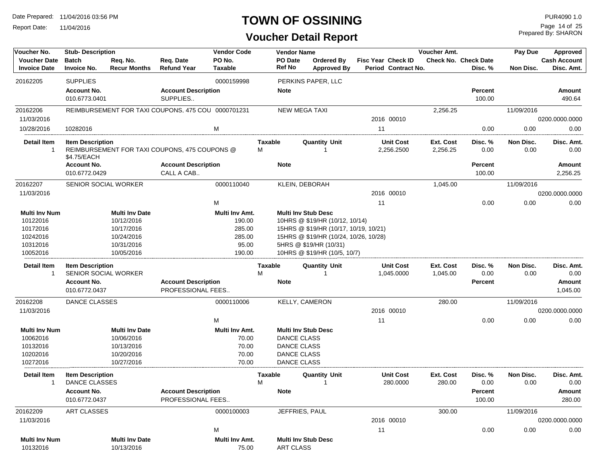Report Date: 11/04/2016

#### **TOWN OF OSSINING**

Prepared By: SHARON Page 14 of 25

| Voucher No.                                | <b>Stub- Description</b>                 |                                     |                                                    | <b>Vendor Code</b>       |                     | <b>Vendor Name</b>       |                                       |                           |                                | Voucher Amt.          |                                 | Pay Due           | Approved                          |
|--------------------------------------------|------------------------------------------|-------------------------------------|----------------------------------------------------|--------------------------|---------------------|--------------------------|---------------------------------------|---------------------------|--------------------------------|-----------------------|---------------------------------|-------------------|-----------------------------------|
| <b>Voucher Date</b><br><b>Invoice Date</b> | <b>Batch</b><br><b>Invoice No.</b>       | Req. No.<br><b>Recur Months</b>     | Req. Date<br><b>Refund Year</b>                    | PO No.<br><b>Taxable</b> |                     | PO Date<br><b>Ref No</b> | Ordered By<br><b>Approved By</b>      | <b>Fisc Year Check ID</b> | Period Contract No.            |                       | Check No. Check Date<br>Disc. % | Non Disc.         | <b>Cash Account</b><br>Disc. Amt. |
| 20162205                                   | <b>SUPPLIES</b>                          |                                     |                                                    | 0000159998               |                     |                          | PERKINS PAPER, LLC                    |                           |                                |                       |                                 |                   |                                   |
|                                            | <b>Account No.</b><br>010.6773.0401      |                                     | <b>Account Description</b><br>SUPPLIES             |                          |                     | <b>Note</b>              |                                       |                           |                                |                       | <b>Percent</b><br>100.00        |                   | Amount<br>490.64                  |
| 20162206                                   |                                          |                                     | REIMBURSEMENT FOR TAXI COUPONS, 475 COU 0000701231 |                          |                     |                          | <b>NEW MEGA TAXI</b>                  |                           |                                | 2,256.25              |                                 | 11/09/2016        |                                   |
| 11/03/2016                                 |                                          |                                     |                                                    |                          |                     |                          |                                       |                           | 2016 00010                     |                       |                                 |                   | 0200.0000.0000                    |
| 10/28/2016                                 | 10282016                                 |                                     |                                                    | м                        |                     |                          |                                       | 11                        |                                |                       | 0.00                            | 0.00              | 0.00                              |
| <b>Detail Item</b><br>$\overline{1}$       | <b>Item Description</b><br>\$4.75/EACH   |                                     | REIMBURSEMENT FOR TAXI COUPONS, 475 COUPONS @      |                          | Taxable<br>м        |                          | <b>Quantity Unit</b>                  |                           | <b>Unit Cost</b><br>2,256.2500 | Ext. Cost<br>2,256.25 | Disc. %<br>0.00                 | Non Disc.<br>0.00 | Disc. Amt.<br>0.00                |
|                                            | <b>Account No.</b>                       |                                     | <b>Account Description</b>                         |                          |                     | <b>Note</b>              |                                       |                           |                                |                       | <b>Percent</b>                  |                   | Amount                            |
|                                            | 010.6772.0429                            |                                     | CALL A CAB                                         |                          |                     |                          |                                       |                           |                                |                       | 100.00                          |                   | 2,256.25                          |
| 20162207                                   | SENIOR SOCIAL WORKER                     |                                     |                                                    | 0000110040               |                     |                          | KLEIN, DEBORAH                        |                           |                                | 1,045.00              |                                 | 11/09/2016        |                                   |
| 11/03/2016                                 |                                          |                                     |                                                    |                          |                     |                          |                                       |                           | 2016 00010                     |                       |                                 |                   | 0200.0000.0000                    |
|                                            |                                          |                                     |                                                    | M                        |                     |                          |                                       | 11                        |                                |                       | 0.00                            | 0.00              | 0.00                              |
| <b>Multi Inv Num</b>                       |                                          | <b>Multi Inv Date</b>               |                                                    | Multi Inv Amt.           |                     |                          | <b>Multi Inv Stub Desc</b>            |                           |                                |                       |                                 |                   |                                   |
| 10122016                                   |                                          | 10/12/2016                          |                                                    | 190.00                   |                     |                          | 10HRS @ \$19/HR (10/12, 10/14)        |                           |                                |                       |                                 |                   |                                   |
| 10172016                                   |                                          | 10/17/2016                          |                                                    | 285.00                   |                     |                          | 15HRS @ \$19/HR (10/17, 10/19, 10/21) |                           |                                |                       |                                 |                   |                                   |
| 10242016                                   |                                          | 10/24/2016                          |                                                    | 285.00                   |                     |                          | 15HRS @ \$19/HR (10/24, 10/26, 10/28) |                           |                                |                       |                                 |                   |                                   |
| 10312016                                   |                                          | 10/31/2016                          |                                                    | 95.00                    |                     |                          | 5HRS @ \$19/HR (10/31)                |                           |                                |                       |                                 |                   |                                   |
| 10052016                                   |                                          | 10/05/2016                          |                                                    | 190.00                   |                     |                          | 10HRS @ \$19/HR (10/5, 10/7)          |                           |                                |                       |                                 |                   |                                   |
| <b>Detail Item</b>                         | <b>Item Description</b>                  |                                     |                                                    |                          | <b>Taxable</b>      |                          | <b>Quantity Unit</b>                  |                           | <b>Unit Cost</b>               | Ext. Cost             | Disc. %                         | Non Disc.         | Disc. Amt.                        |
| $\overline{1}$                             | SENIOR SOCIAL WORKER                     |                                     |                                                    |                          | M                   |                          | 1                                     |                           | 1,045.0000                     | 1,045.00              | 0.00                            | 0.00              | 0.00                              |
|                                            | <b>Account No.</b>                       |                                     | <b>Account Description</b>                         |                          |                     | <b>Note</b>              |                                       |                           |                                |                       | <b>Percent</b>                  |                   | Amount                            |
|                                            | 010.6772.0437                            |                                     | PROFESSIONAL FEES                                  |                          |                     |                          |                                       |                           |                                |                       |                                 |                   | 1,045.00                          |
| 20162208                                   | DANCE CLASSES                            |                                     |                                                    | 0000110006               |                     |                          | <b>KELLY, CAMERON</b>                 |                           |                                | 280.00                |                                 | 11/09/2016        |                                   |
| 11/03/2016                                 |                                          |                                     |                                                    |                          |                     |                          |                                       |                           | 2016 00010                     |                       |                                 |                   | 0200.0000.0000                    |
|                                            |                                          |                                     |                                                    | M                        |                     |                          |                                       | 11                        |                                |                       | 0.00                            | 0.00              | 0.00                              |
| <b>Multi Inv Num</b>                       |                                          | <b>Multi Inv Date</b>               |                                                    | Multi Inv Amt.           |                     |                          | <b>Multi Inv Stub Desc</b>            |                           |                                |                       |                                 |                   |                                   |
| 10062016                                   |                                          | 10/06/2016                          |                                                    | 70.00                    |                     | <b>DANCE CLASS</b>       |                                       |                           |                                |                       |                                 |                   |                                   |
| 10132016                                   |                                          | 10/13/2016                          |                                                    | 70.00                    |                     | <b>DANCE CLASS</b>       |                                       |                           |                                |                       |                                 |                   |                                   |
| 10202016                                   |                                          | 10/20/2016                          |                                                    | 70.00                    |                     | DANCE CLASS              |                                       |                           |                                |                       |                                 |                   |                                   |
| 10272016                                   |                                          | 10/27/2016                          |                                                    | 70.00                    |                     | <b>DANCE CLASS</b>       |                                       |                           |                                |                       |                                 |                   |                                   |
| <b>Detail Item</b><br>-1                   | <b>Item Description</b><br>DANCE CLASSES |                                     |                                                    |                          | <b>Taxable</b><br>M |                          | <b>Quantity Unit</b><br>1             |                           | <b>Unit Cost</b><br>280.0000   | Ext. Cost<br>280.00   | Disc. %<br>0.00                 | Non Disc.<br>0.00 | Disc. Amt.<br>0.00                |
|                                            | <b>Account No.</b><br>010.6772.0437      |                                     | <b>Account Description</b><br>PROFESSIONAL FEES    |                          |                     | <b>Note</b>              |                                       |                           |                                |                       | Percent<br>100.00               |                   | Amount<br>280.00                  |
| 20162209                                   | ART CLASSES                              |                                     |                                                    | 0000100003               |                     |                          | JEFFRIES, PAUL                        |                           |                                | 300.00                |                                 | 11/09/2016        |                                   |
| 11/03/2016                                 |                                          |                                     |                                                    |                          |                     |                          |                                       |                           | 2016 00010                     |                       |                                 |                   | 0200.0000.0000                    |
|                                            |                                          |                                     |                                                    | M                        |                     |                          |                                       | 11                        |                                |                       | 0.00                            | 0.00              | 0.00                              |
| <b>Multi Inv Num</b><br>10132016           |                                          | <b>Multi Inv Date</b><br>10/13/2016 |                                                    | Multi Inv Amt.<br>75.00  |                     | ART CLASS                | <b>Multi Inv Stub Desc</b>            |                           |                                |                       |                                 |                   |                                   |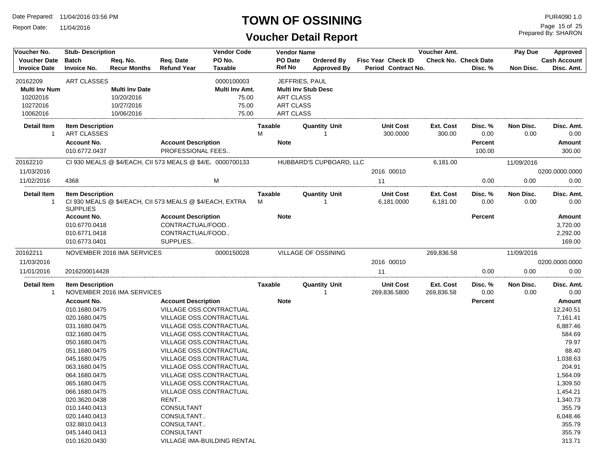Report Date: 11/04/2016

#### **TOWN OF OSSINING**

### **Voucher Detail Report**

Prepared By: SHARON Page 15 of 25

| Voucher No.                                                          | <b>Stub-Description</b>                                                                                                                                                                                                                                                                                                                 |                                                                 |                                                                                                                                                                                                                                                                                                                                                                                                                                            | <b>Vendor Code</b>                                      |                                    | <b>Vendor Name</b>                                                         |                                  |                                                  | Voucher Amt.            |                                             | Pay Due            | Approved                                                                                                                                                                                                                |
|----------------------------------------------------------------------|-----------------------------------------------------------------------------------------------------------------------------------------------------------------------------------------------------------------------------------------------------------------------------------------------------------------------------------------|-----------------------------------------------------------------|--------------------------------------------------------------------------------------------------------------------------------------------------------------------------------------------------------------------------------------------------------------------------------------------------------------------------------------------------------------------------------------------------------------------------------------------|---------------------------------------------------------|------------------------------------|----------------------------------------------------------------------------|----------------------------------|--------------------------------------------------|-------------------------|---------------------------------------------|--------------------|-------------------------------------------------------------------------------------------------------------------------------------------------------------------------------------------------------------------------|
| <b>Voucher Date</b><br><b>Invoice Date</b>                           | <b>Batch</b><br><b>Invoice No.</b>                                                                                                                                                                                                                                                                                                      | Req. No.<br><b>Recur Months</b>                                 | Req. Date<br><b>Refund Year</b>                                                                                                                                                                                                                                                                                                                                                                                                            | PO No.<br><b>Taxable</b>                                | Ref No                             | PO Date                                                                    | Ordered By<br><b>Approved By</b> | <b>Fisc Year Check ID</b><br>Period Contract No. |                         | <b>Check No. Check Date</b><br>Disc. %      | Non Disc.          | <b>Cash Account</b><br>Disc. Amt.                                                                                                                                                                                       |
| 20162209<br><b>Multi Inv Num</b><br>10202016<br>10272016<br>10062016 | <b>ART CLASSES</b>                                                                                                                                                                                                                                                                                                                      | <b>Multi Inv Date</b><br>10/20/2016<br>10/27/2016<br>10/06/2016 |                                                                                                                                                                                                                                                                                                                                                                                                                                            | 0000100003<br>Multi Inv Amt.<br>75.00<br>75.00<br>75.00 |                                    | JEFFRIES, PAUL<br><b>ART CLASS</b><br><b>ART CLASS</b><br><b>ART CLASS</b> | <b>Multi Inv Stub Desc</b>       |                                                  |                         |                                             |                    |                                                                                                                                                                                                                         |
| Detail Item<br>$\mathbf{1}$                                          | <b>Item Description</b><br><b>ART CLASSES</b><br><b>Account No.</b><br>010.6772.0437                                                                                                                                                                                                                                                    |                                                                 | <b>Account Description</b><br>PROFESSIONAL FEES                                                                                                                                                                                                                                                                                                                                                                                            |                                                         | <b>Taxable</b><br>М<br><b>Note</b> |                                                                            | <b>Quantity Unit</b>             | <b>Unit Cost</b><br>300.0000                     | Ext. Cost<br>300.00     | Disc. %<br>0.00<br><b>Percent</b><br>100.00 | Non Disc.<br>0.00  | Disc. Amt.<br>0.00<br>Amount<br>300.00                                                                                                                                                                                  |
| 20162210<br>11/03/2016<br>11/02/2016                                 | 4368                                                                                                                                                                                                                                                                                                                                    |                                                                 | CI 930 MEALS @ \$4/EACH, CII 573 MEALS @ \$4/E, 0000700133                                                                                                                                                                                                                                                                                                                                                                                 | M                                                       |                                    |                                                                            | HUBBARD'S CUPBOARD, LLC          | 2016 00010<br>11                                 | 6,181.00                | 0.00                                        | 11/09/2016<br>0.00 | 0200.0000.0000<br>0.00                                                                                                                                                                                                  |
| <b>Detail Item</b><br>$\mathbf{1}$                                   | <b>Item Description</b><br><b>SUPPLIES</b>                                                                                                                                                                                                                                                                                              |                                                                 | CI 930 MEALS @ \$4/EACH, CII 573 MEALS @ \$4/EACH, EXTRA                                                                                                                                                                                                                                                                                                                                                                                   |                                                         | Taxable<br>М                       |                                                                            | <b>Quantity Unit</b>             | <b>Unit Cost</b><br>6,181.0000                   | Ext. Cost<br>6,181.00   | Disc. %<br>0.00                             | Non Disc.<br>0.00  | Disc. Amt.<br>0.00                                                                                                                                                                                                      |
|                                                                      | <b>Account No.</b><br>010.6770.0418<br>010.6771.0418<br>010.6773.0401                                                                                                                                                                                                                                                                   |                                                                 | <b>Account Description</b><br>CONTRACTUAL/FOOD<br>CONTRACTUAL/FOOD<br>SUPPLIES                                                                                                                                                                                                                                                                                                                                                             |                                                         | <b>Note</b>                        |                                                                            |                                  |                                                  |                         | Percent                                     |                    | Amount<br>3,720.00<br>2,292.00<br>169.00                                                                                                                                                                                |
| 20162211<br>11/03/2016                                               |                                                                                                                                                                                                                                                                                                                                         | NOVEMBER 2016 IMA SERVICES                                      |                                                                                                                                                                                                                                                                                                                                                                                                                                            | 0000150028                                              |                                    |                                                                            | <b>VILLAGE OF OSSINING</b>       | 2016 00010                                       | 269,836.58              |                                             | 11/09/2016         | 0200.0000.0000                                                                                                                                                                                                          |
| 11/01/2016                                                           | 2016200014428                                                                                                                                                                                                                                                                                                                           |                                                                 |                                                                                                                                                                                                                                                                                                                                                                                                                                            |                                                         |                                    |                                                                            |                                  | 11                                               |                         | 0.00                                        | 0.00               | 0.00                                                                                                                                                                                                                    |
| <b>Detail Item</b><br>-1                                             | <b>Item Description</b><br>Account No.<br>010.1680.0475<br>020.1680.0475<br>031.1680.0475<br>032.1680.0475<br>050.1680.0475<br>051.1680.0475<br>045.1680.0475<br>063.1680.0475<br>064.1680.0475<br>065.1680.0475<br>066.1680.0475<br>020.3620.0438<br>010.1440.0413<br>020.1440.0413<br>032.8810.0413<br>045.1440.0413<br>010.1620.0430 | NOVEMBER 2016 IMA SERVICES                                      | <b>Account Description</b><br>VILLAGE OSS.CONTRACTUAL<br>VILLAGE OSS.CONTRACTUAL<br>VILLAGE OSS.CONTRACTUAL<br>VILLAGE OSS.CONTRACTUAL<br>VILLAGE OSS.CONTRACTUAL<br>VILLAGE OSS.CONTRACTUAL<br>VILLAGE OSS.CONTRACTUAL<br>VILLAGE OSS.CONTRACTUAL<br>VILLAGE OSS.CONTRACTUAL<br>VILLAGE OSS.CONTRACTUAL<br>VILLAGE OSS.CONTRACTUAL<br>RENT.<br>CONSULTANT<br>CONSULTANT<br>CONSULTANT<br><b>CONSULTANT</b><br>VILLAGE IMA-BUILDING RENTAL |                                                         | Taxable<br><b>Note</b>             |                                                                            | <b>Quantity Unit</b>             | <b>Unit Cost</b><br>269,836.5800                 | Ext. Cost<br>269,836.58 | Disc. %<br>0.00<br>Percent                  | Non Disc.<br>0.00  | Disc. Amt.<br>0.00<br>Amount<br>12,240.51<br>7,161.41<br>6,887.46<br>584.69<br>79.97<br>88.40<br>1,038.63<br>204.91<br>1,564.09<br>1,309.50<br>1,454.21<br>1,340.73<br>355.79<br>6,048.46<br>355.79<br>355.79<br>313.71 |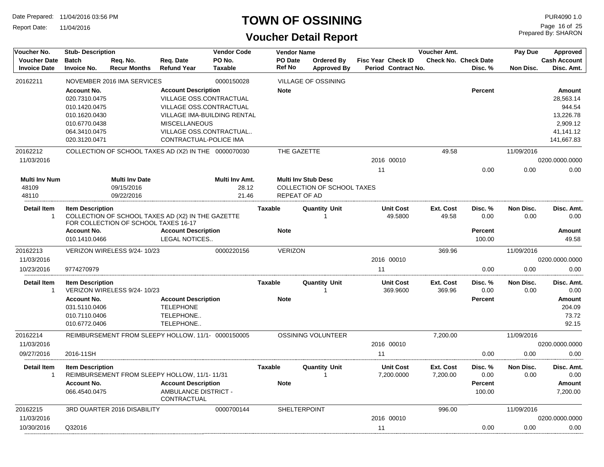Report Date: 11/04/2016

#### **TOWN OF OSSINING**

| Voucher No.                                | <b>Stub-Description</b>            |                                      |                                                      | <b>Vendor Code</b>       |                          | <b>Vendor Name</b>  |                                         |                                           | Voucher Amt.        |                                        | Pay Due           | Approved                          |
|--------------------------------------------|------------------------------------|--------------------------------------|------------------------------------------------------|--------------------------|--------------------------|---------------------|-----------------------------------------|-------------------------------------------|---------------------|----------------------------------------|-------------------|-----------------------------------|
| <b>Voucher Date</b><br><b>Invoice Date</b> | <b>Batch</b><br><b>Invoice No.</b> | Reg. No.<br><b>Recur Months</b>      | Reg. Date<br><b>Refund Year</b>                      | PO No.<br><b>Taxable</b> | PO Date<br><b>Ref No</b> |                     | <b>Ordered By</b><br><b>Approved By</b> | Fisc Year Check ID<br>Period Contract No. |                     | <b>Check No. Check Date</b><br>Disc. % | <b>Non Disc.</b>  | <b>Cash Account</b><br>Disc. Amt. |
| 20162211                                   |                                    | <b>NOVEMBER 2016 IMA SERVICES</b>    |                                                      | 0000150028               |                          |                     | <b>VILLAGE OF OSSINING</b>              |                                           |                     |                                        |                   |                                   |
|                                            | <b>Account No.</b>                 |                                      | <b>Account Description</b>                           |                          | <b>Note</b>              |                     |                                         |                                           |                     | <b>Percent</b>                         |                   | <b>Amount</b>                     |
|                                            | 020.7310.0475                      |                                      | <b>VILLAGE OSS.CONTRACTUAL</b>                       |                          |                          |                     |                                         |                                           |                     |                                        |                   | 28,563.14                         |
|                                            | 010.1420.0475                      |                                      | VILLAGE OSS.CONTRACTUAL                              |                          |                          |                     |                                         |                                           |                     |                                        |                   | 944.54                            |
|                                            | 010.1620.0430                      |                                      | VILLAGE IMA-BUILDING RENTAL                          |                          |                          |                     |                                         |                                           |                     |                                        |                   | 13,226.78                         |
|                                            | 010.6770.0438                      |                                      | <b>MISCELLANEOUS</b>                                 |                          |                          |                     |                                         |                                           |                     |                                        |                   | 2,909.12                          |
|                                            | 064.3410.0475                      |                                      | VILLAGE OSS.CONTRACTUAL                              |                          |                          |                     |                                         |                                           |                     |                                        |                   | 41,141.12                         |
|                                            | 020.3120.0471                      |                                      | CONTRACTUAL-POLICE IMA                               |                          |                          |                     |                                         |                                           |                     |                                        |                   | 141,667.83                        |
| 20162212                                   |                                    |                                      | COLLECTION OF SCHOOL TAXES AD (X2) IN THE 0000070030 |                          |                          | THE GAZETTE         |                                         |                                           | 49.58               |                                        | 11/09/2016        |                                   |
| 11/03/2016                                 |                                    |                                      |                                                      |                          |                          |                     |                                         | 2016 00010                                |                     |                                        |                   | 0200.0000.0000                    |
|                                            |                                    |                                      |                                                      |                          |                          |                     |                                         | 11                                        |                     | 0.00                                   | 0.00              | 0.00                              |
| Multi Inv Num                              |                                    | <b>Multi Inv Date</b>                |                                                      | Multi Inv Amt.           |                          |                     | <b>Multi Inv Stub Desc</b>              |                                           |                     |                                        |                   |                                   |
| 48109                                      |                                    | 09/15/2016                           |                                                      | 28.12                    |                          |                     | COLLECTION OF SCHOOL TAXES              |                                           |                     |                                        |                   |                                   |
| 48110                                      |                                    | 09/22/2016                           |                                                      | 21.46                    |                          | <b>REPEAT OF AD</b> |                                         |                                           |                     |                                        |                   |                                   |
| <b>Detail Item</b><br>$\overline{1}$       | <b>Item Description</b>            | FOR COLLECTION OF SCHOOL TAXES 16-17 | COLLECTION OF SCHOOL TAXES AD (X2) IN THE GAZETTE    |                          | Taxable                  |                     | <b>Quantity Unit</b><br>1               | <b>Unit Cost</b><br>49.5800               | Ext. Cost<br>49.58  | Disc. %<br>0.00                        | Non Disc.<br>0.00 | Disc. Amt.<br>0.00                |
|                                            | <b>Account No.</b>                 |                                      | <b>Account Description</b>                           |                          | <b>Note</b>              |                     |                                         |                                           |                     | <b>Percent</b>                         |                   | <b>Amount</b>                     |
|                                            | 010.1410.0466                      |                                      | <b>LEGAL NOTICES</b>                                 |                          |                          |                     |                                         |                                           |                     | 100.00                                 |                   | 49.58                             |
| 20162213                                   |                                    | VERIZON WIRELESS 9/24-10/23          |                                                      | 0000220156               |                          | <b>VERIZON</b>      |                                         |                                           | 369.96              |                                        | 11/09/2016        |                                   |
| 11/03/2016                                 |                                    |                                      |                                                      |                          |                          |                     |                                         | 2016 00010                                |                     |                                        |                   | 0200.0000.0000                    |
| 10/23/2016                                 | 9774270979                         |                                      |                                                      |                          |                          |                     |                                         | 11                                        |                     | 0.00                                   | 0.00              | 0.00                              |
| <b>Detail Item</b><br>$\overline{1}$       | <b>Item Description</b>            | VERIZON WIRELESS 9/24-10/23          |                                                      |                          | <b>Taxable</b>           |                     | <b>Quantity Unit</b><br>$\overline{1}$  | <b>Unit Cost</b><br>369.9600              | Ext. Cost<br>369.96 | Disc. %<br>0.00                        | Non Disc.<br>0.00 | Disc. Amt.<br>0.00                |
|                                            | <b>Account No.</b>                 |                                      | <b>Account Description</b>                           |                          | <b>Note</b>              |                     |                                         |                                           |                     | <b>Percent</b>                         |                   | <b>Amount</b>                     |
|                                            | 031.5110.0406                      |                                      | <b>TELEPHONE</b>                                     |                          |                          |                     |                                         |                                           |                     |                                        |                   | 204.09                            |
|                                            | 010.7110.0406                      |                                      | TELEPHONE                                            |                          |                          |                     |                                         |                                           |                     |                                        |                   | 73.72                             |
|                                            | 010.6772.0406                      |                                      | TELEPHONE                                            |                          |                          |                     |                                         |                                           |                     |                                        |                   | 92.15                             |
| 20162214                                   |                                    |                                      | REIMBURSEMENT FROM SLEEPY HOLLOW, 11/1-0000150005    |                          |                          |                     | <b>OSSINING VOLUNTEER</b>               |                                           | 7,200.00            |                                        | 11/09/2016        |                                   |
| 11/03/2016                                 |                                    |                                      |                                                      |                          |                          |                     |                                         | 2016 00010                                |                     |                                        |                   | 0200.0000.0000                    |
| 09/27/2016                                 | 2016-11SH                          |                                      |                                                      |                          |                          |                     |                                         | 11                                        |                     | 0.00                                   | 0.00              | 0.00                              |
| <b>Detail Item</b>                         | <b>Item Description</b>            |                                      |                                                      |                          | <b>Taxable</b>           |                     | <b>Quantity Unit</b>                    | <b>Unit Cost</b>                          | Ext. Cost           | Disc. %                                | Non Disc.         | Disc. Amt.                        |
| $\overline{1}$                             |                                    |                                      | REIMBURSEMENT FROM SLEEPY HOLLOW, 11/1-11/31         |                          |                          |                     |                                         | 7,200.0000                                | 7,200.00            | 0.00                                   | 0.00              | 0.00                              |
|                                            | <b>Account No.</b>                 |                                      | <b>Account Description</b>                           |                          | <b>Note</b>              |                     |                                         |                                           |                     | <b>Percent</b>                         |                   | Amount                            |
|                                            | 066.4540.0475                      |                                      | <b>AMBULANCE DISTRICT -</b><br>CONTRACTUAL           |                          |                          |                     |                                         |                                           |                     | 100.00                                 |                   | 7,200.00                          |
| 20162215                                   |                                    | 3RD QUARTER 2016 DISABILITY          |                                                      | 0000700144               |                          | SHELTERPOINT        |                                         |                                           | 996.00              |                                        | 11/09/2016        |                                   |
| 11/03/2016                                 |                                    |                                      |                                                      |                          |                          |                     |                                         | 2016 00010                                |                     |                                        |                   | 0200.0000.0000                    |
| 10/30/2016                                 | Q32016                             |                                      |                                                      |                          |                          |                     |                                         | 11                                        |                     | 0.00                                   | 0.00              | 0.00                              |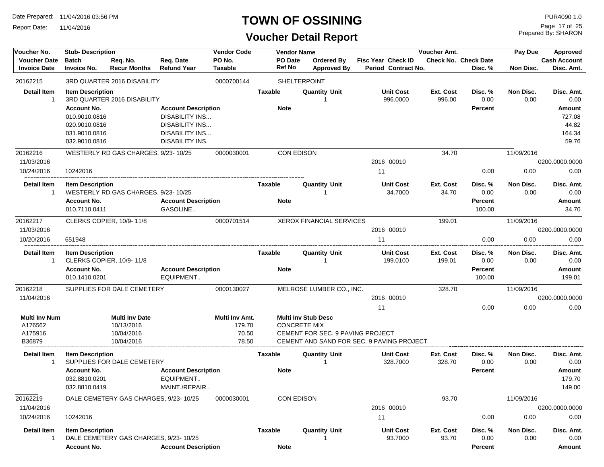Report Date: 11/04/2016

### **TOWN OF OSSINING**

### **Voucher Detail Report**

Prepared By: SHARON Page 17 of 25

| Voucher No.                       | <b>Stub-Description</b>                              |                                       |                                                          | <b>Vendor Code</b> |                | <b>Vendor Name</b>               |                                           | Voucher Amt.        |                             | Pay Due           | Approved                          |
|-----------------------------------|------------------------------------------------------|---------------------------------------|----------------------------------------------------------|--------------------|----------------|----------------------------------|-------------------------------------------|---------------------|-----------------------------|-------------------|-----------------------------------|
| <b>Voucher Date</b>               | <b>Batch</b>                                         | Reg. No.                              | Req. Date                                                | PO No.             | PO Date        | <b>Ordered By</b>                | <b>Fisc Year Check ID</b>                 |                     | <b>Check No. Check Date</b> |                   | <b>Cash Account</b>               |
| <b>Invoice Date</b>               | <b>Invoice No.</b>                                   | <b>Recur Months</b>                   | <b>Refund Year</b>                                       | <b>Taxable</b>     | <b>Ref No</b>  | <b>Approved By</b>               | Period Contract No.                       |                     | Disc. %                     | Non Disc.         | Disc. Amt.                        |
| 20162215                          |                                                      | 3RD QUARTER 2016 DISABILITY           |                                                          | 0000700144         |                | SHELTERPOINT                     |                                           |                     |                             |                   |                                   |
| <b>Detail Item</b><br>$\mathbf 1$ | <b>Item Description</b>                              | 3RD QUARTER 2016 DISABILITY           |                                                          |                    | <b>Taxable</b> | <b>Quantity Unit</b>             | <b>Unit Cost</b><br>996.0000              | Ext. Cost<br>996.00 | Disc. %<br>0.00             | Non Disc.<br>0.00 | Disc. Amt.<br>0.00                |
|                                   | <b>Account No.</b>                                   |                                       | <b>Account Description</b>                               |                    | <b>Note</b>    |                                  |                                           |                     | <b>Percent</b>              |                   | Amount                            |
|                                   | 010.9010.0816                                        |                                       | <b>DISABILITY INS</b>                                    |                    |                |                                  |                                           |                     |                             |                   | 727.08                            |
|                                   | 020.9010.0816                                        |                                       | <b>DISABILITY INS</b>                                    |                    |                |                                  |                                           |                     |                             |                   | 44.82                             |
|                                   | 031.9010.0816                                        |                                       | <b>DISABILITY INS</b>                                    |                    |                |                                  |                                           |                     |                             |                   | 164.34                            |
|                                   | 032.9010.0816                                        |                                       | DISABILITY INS.                                          |                    |                |                                  |                                           |                     |                             |                   | 59.76                             |
| 20162216                          |                                                      | WESTERLY RD GAS CHARGES, 9/23-10/25   |                                                          | 0000030001         |                | <b>CON EDISON</b>                |                                           | 34.70               |                             | 11/09/2016        |                                   |
| 11/03/2016                        |                                                      |                                       |                                                          |                    |                |                                  | 2016 00010                                |                     |                             |                   | 0200.0000.0000                    |
| 10/24/2016                        | 10242016                                             |                                       |                                                          |                    |                |                                  | 11                                        |                     | 0.00                        | 0.00              | 0.00                              |
| <b>Detail Item</b><br>-1          | <b>Item Description</b>                              | WESTERLY RD GAS CHARGES, 9/23-10/25   |                                                          |                    | Taxable        | <b>Quantity Unit</b>             | <b>Unit Cost</b><br>34.7000               | Ext. Cost<br>34.70  | Disc. %<br>0.00             | Non Disc.<br>0.00 | Disc. Amt.<br>0.00                |
|                                   | <b>Account No.</b><br>010.7110.0411                  |                                       | <b>Account Description</b><br>GASOLINE                   |                    | <b>Note</b>    |                                  |                                           |                     | <b>Percent</b><br>100.00    |                   | <b>Amount</b><br>34.70            |
| 20162217                          |                                                      | CLERKS COPIER, 10/9-11/8              |                                                          | 0000701514         |                | XEROX FINANCIAL SERVICES         |                                           | 199.01              |                             | 11/09/2016        |                                   |
| 11/03/2016                        |                                                      |                                       |                                                          |                    |                |                                  | 2016 00010                                |                     |                             |                   | 0200.0000.0000                    |
| 10/20/2016                        | 651948                                               |                                       |                                                          |                    |                |                                  | 11                                        |                     | 0.00                        | 0.00              | 0.00                              |
| <b>Detail Item</b><br>-1          | <b>Item Description</b>                              | CLERKS COPIER, 10/9-11/8              |                                                          |                    | Taxable        | <b>Quantity Unit</b>             | <b>Unit Cost</b><br>199.0100              | Ext. Cost<br>199.01 | Disc. %<br>0.00             | Non Disc.<br>0.00 | Disc. Amt.<br>0.00                |
|                                   | <b>Account No.</b><br>010.1410.0201                  |                                       | <b>Account Description</b><br>EQUIPMENT                  |                    | <b>Note</b>    |                                  |                                           |                     | <b>Percent</b><br>100.00    |                   | <b>Amount</b><br>199.01           |
| 20162218                          |                                                      | SUPPLIES FOR DALE CEMETERY            |                                                          | 0000130027         |                | MELROSE LUMBER CO., INC.         |                                           | 328.70              |                             | 11/09/2016        |                                   |
| 11/04/2016                        |                                                      |                                       |                                                          |                    |                |                                  | 2016 00010                                |                     |                             |                   | 0200.0000.0000                    |
|                                   |                                                      |                                       |                                                          |                    |                |                                  | 11                                        |                     | 0.00                        | 0.00              | 0.00                              |
| <b>Multi Inv Num</b>              |                                                      | <b>Multi Inv Date</b>                 |                                                          | Multi Inv Amt.     |                | <b>Multi Inv Stub Desc</b>       |                                           |                     |                             |                   |                                   |
| A176562                           |                                                      | 10/13/2016                            |                                                          | 179.70             |                | <b>CONCRETE MIX</b>              |                                           |                     |                             |                   |                                   |
| A175916<br>B36879                 |                                                      | 10/04/2016                            |                                                          | 70.50              |                | CEMENT FOR SEC. 9 PAVING PROJECT |                                           |                     |                             |                   |                                   |
|                                   |                                                      | 10/04/2016                            |                                                          | 78.50              |                |                                  | CEMENT AND SAND FOR SEC. 9 PAVING PROJECT |                     |                             |                   |                                   |
| <b>Detail Item</b><br>$\mathbf 1$ | <b>Item Description</b>                              | SUPPLIES FOR DALE CEMETERY            |                                                          |                    | Taxable        | <b>Quantity Unit</b><br>-1       | <b>Unit Cost</b><br>328.7000              | Ext. Cost<br>328.70 | Disc. %<br>0.00             | Non Disc.<br>0.00 | Disc. Amt.<br>0.00                |
|                                   | <b>Account No.</b><br>032.8810.0201<br>032.8810.0419 |                                       | <b>Account Description</b><br>EQUIPMENT<br>MAINT./REPAIR |                    | Note           |                                  |                                           |                     | <b>Percent</b>              |                   | <b>Amount</b><br>179.70<br>149.00 |
| 20162219                          |                                                      | DALE CEMETERY GAS CHARGES, 9/23-10/25 |                                                          | 0000030001         |                | CON EDISON                       |                                           | 93.70               |                             | 11/09/2016        |                                   |
| 11/04/2016                        |                                                      |                                       |                                                          |                    |                |                                  | 2016 00010                                |                     |                             |                   | 0200.0000.0000                    |
| 10/24/2016                        | 10242016                                             |                                       |                                                          |                    |                |                                  | 11                                        |                     | 0.00                        | 0.00              | 0.00                              |
| <b>Detail Item</b><br>$\mathbf 1$ | <b>Item Description</b>                              | DALE CEMETERY GAS CHARGES, 9/23-10/25 |                                                          |                    | Taxable        | <b>Quantity Unit</b>             | <b>Unit Cost</b><br>93.7000               | Ext. Cost<br>93.70  | Disc. %<br>0.00             | Non Disc.<br>0.00 | Disc. Amt.<br>0.00                |
|                                   | <b>Account No.</b>                                   |                                       | <b>Account Description</b>                               |                    | <b>Note</b>    |                                  |                                           |                     | Percent                     |                   | Amount                            |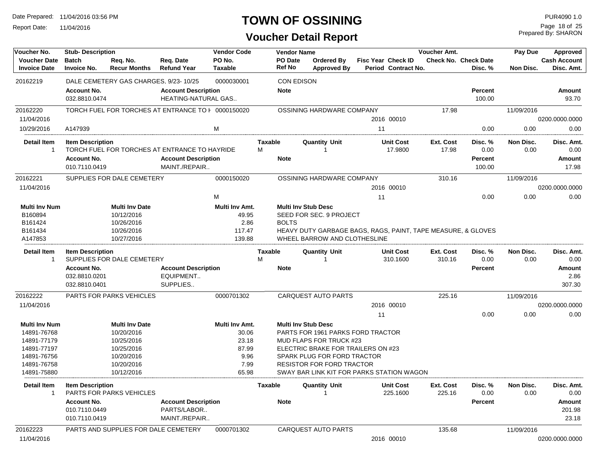Report Date: 11/04/2016

### **TOWN OF OSSINING**

Prepared By: SHARON Page 18 of 25

| Voucher No.                                                                                                    | <b>Stub-Description</b>                              |                                                                                                           |                                                                             | <b>Vendor Code</b>                                                 |                     | <b>Vendor Name</b>       |                                                                                                                                                                                                                                                  |                           |                              | <b>Voucher Amt.</b> |                                        | Pay Due           | Approved                          |
|----------------------------------------------------------------------------------------------------------------|------------------------------------------------------|-----------------------------------------------------------------------------------------------------------|-----------------------------------------------------------------------------|--------------------------------------------------------------------|---------------------|--------------------------|--------------------------------------------------------------------------------------------------------------------------------------------------------------------------------------------------------------------------------------------------|---------------------------|------------------------------|---------------------|----------------------------------------|-------------------|-----------------------------------|
| <b>Voucher Date</b><br><b>Invoice Date</b>                                                                     | <b>Batch</b><br><b>Invoice No.</b>                   | Reg. No.<br><b>Recur Months</b>                                                                           | Req. Date<br><b>Refund Year</b>                                             | PO No.<br><b>Taxable</b>                                           |                     | PO Date<br><b>Ref No</b> | Ordered By<br><b>Approved By</b>                                                                                                                                                                                                                 | <b>Fisc Year Check ID</b> | Period Contract No.          |                     | <b>Check No. Check Date</b><br>Disc. % | Non Disc.         | <b>Cash Account</b><br>Disc. Amt. |
| 20162219                                                                                                       |                                                      | DALE CEMETERY GAS CHARGES, 9/23-10/25                                                                     |                                                                             | 0000030001                                                         |                     | <b>CON EDISON</b>        |                                                                                                                                                                                                                                                  |                           |                              |                     |                                        |                   |                                   |
|                                                                                                                | <b>Account No.</b><br>032.8810.0474                  |                                                                                                           | <b>Account Description</b><br>HEATING-NATURAL GAS                           |                                                                    |                     | <b>Note</b>              |                                                                                                                                                                                                                                                  |                           |                              |                     | <b>Percent</b><br>100.00               |                   | Amount<br>93.70                   |
| 20162220                                                                                                       |                                                      |                                                                                                           | TORCH FUEL FOR TORCHES AT ENTRANCE TO F 0000150020                          |                                                                    |                     |                          | OSSINING HARDWARE COMPANY                                                                                                                                                                                                                        |                           |                              | 17.98               |                                        | 11/09/2016        |                                   |
| 11/04/2016                                                                                                     |                                                      |                                                                                                           |                                                                             |                                                                    |                     |                          |                                                                                                                                                                                                                                                  |                           | 2016 00010                   |                     |                                        |                   | 0200.0000.0000                    |
| 10/29/2016                                                                                                     | A147939                                              |                                                                                                           |                                                                             | м                                                                  |                     |                          |                                                                                                                                                                                                                                                  | 11                        |                              |                     | 0.00                                   | 0.00              | 0.00                              |
| <b>Detail Item</b><br>$\mathbf{1}$                                                                             | <b>Item Description</b><br><b>Account No.</b>        |                                                                                                           | TORCH FUEL FOR TORCHES AT ENTRANCE TO HAYRIDE<br><b>Account Description</b> |                                                                    | Taxable<br>M        | <b>Note</b>              | <b>Quantity Unit</b><br>-1                                                                                                                                                                                                                       |                           | <b>Unit Cost</b><br>17.9800  | Ext. Cost<br>17.98  | Disc. %<br>0.00<br><b>Percent</b>      | Non Disc.<br>0.00 | Disc. Amt.<br>0.00<br>Amount      |
|                                                                                                                | 010.7110.0419                                        |                                                                                                           | MAINT./REPAIR                                                               |                                                                    |                     |                          |                                                                                                                                                                                                                                                  |                           |                              |                     | 100.00                                 |                   | 17.98                             |
| 20162221<br>11/04/2016                                                                                         |                                                      | SUPPLIES FOR DALE CEMETERY                                                                                |                                                                             | 0000150020                                                         |                     |                          | OSSINING HARDWARE COMPANY                                                                                                                                                                                                                        |                           | 2016 00010                   | 310.16              |                                        | 11/09/2016        | 0200.0000.0000                    |
|                                                                                                                |                                                      |                                                                                                           |                                                                             | м                                                                  |                     |                          |                                                                                                                                                                                                                                                  | 11                        |                              |                     | 0.00                                   | 0.00              | 0.00                              |
| <b>Multi Inv Num</b><br>B160894<br>B161424<br>B161434<br>A147853                                               |                                                      | <b>Multi Inv Date</b><br>10/12/2016<br>10/26/2016<br>10/26/2016<br>10/27/2016                             |                                                                             | Multi Inv Amt.<br>49.95<br>2.86<br>117.47<br>139.88                |                     | <b>BOLTS</b>             | <b>Multi Inv Stub Desc</b><br>SEED FOR SEC. 9 PROJECT<br>HEAVY DUTY GARBAGE BAGS, RAGS, PAINT, TAPE MEASURE, & GLOVES<br>WHEEL BARROW AND CLOTHESLINE                                                                                            |                           |                              |                     |                                        |                   |                                   |
| Detail Item<br>$\mathbf{1}$                                                                                    | <b>Item Description</b>                              | SUPPLIES FOR DALE CEMETERY                                                                                |                                                                             |                                                                    | <b>Taxable</b><br>м |                          | <b>Quantity Unit</b><br>$\overline{1}$                                                                                                                                                                                                           |                           | <b>Unit Cost</b><br>310.1600 | Ext. Cost<br>310.16 | Disc. %<br>0.00                        | Non Disc.<br>0.00 | Disc. Amt.<br>0.00                |
|                                                                                                                | <b>Account No.</b><br>032.8810.0201<br>032.8810.0401 |                                                                                                           | <b>Account Description</b><br>EQUIPMENT<br>SUPPLIES                         |                                                                    |                     | <b>Note</b>              |                                                                                                                                                                                                                                                  |                           |                              |                     | <b>Percent</b>                         |                   | Amount<br>2.86<br>307.30          |
| 20162222                                                                                                       |                                                      | <b>PARTS FOR PARKS VEHICLES</b>                                                                           |                                                                             | 0000701302                                                         |                     |                          | <b>CARQUEST AUTO PARTS</b>                                                                                                                                                                                                                       |                           |                              | 225.16              |                                        | 11/09/2016        |                                   |
| 11/04/2016                                                                                                     |                                                      |                                                                                                           |                                                                             |                                                                    |                     |                          |                                                                                                                                                                                                                                                  |                           | 2016 00010                   |                     |                                        |                   | 0200.0000.0000                    |
| <b>Multi Inv Num</b><br>14891-76768<br>14891-77179<br>14891-77197<br>14891-76756<br>14891-76758<br>14891-75880 |                                                      | <b>Multi Inv Date</b><br>10/20/2016<br>10/25/2016<br>10/25/2016<br>10/20/2016<br>10/20/2016<br>10/12/2016 |                                                                             | Multi Inv Amt.<br>30.06<br>23.18<br>87.99<br>9.96<br>7.99<br>65.98 |                     |                          | <b>Multi Inv Stub Desc</b><br>PARTS FOR 1961 PARKS FORD TRACTOR<br>MUD FLAPS FOR TRUCK #23<br>ELECTRIC BRAKE FOR TRAILERS ON #23<br>SPARK PLUG FOR FORD TRACTOR<br><b>RESISTOR FOR FORD TRACTOR</b><br>SWAY BAR LINK KIT FOR PARKS STATION WAGON | 11                        |                              |                     | 0.00                                   | 0.00              | 0.00                              |
| Detail Item<br>-1                                                                                              | <b>Item Description</b>                              | PARTS FOR PARKS VEHICLES                                                                                  |                                                                             |                                                                    | Taxable             |                          | <b>Quantity Unit</b>                                                                                                                                                                                                                             |                           | <b>Unit Cost</b><br>225.1600 | Ext. Cost<br>225.16 | Disc. %<br>0.00                        | Non Disc.<br>0.00 | Disc. Amt.<br>0.00                |
|                                                                                                                | <b>Account No.</b><br>010.7110.0449<br>010.7110.0419 |                                                                                                           | <b>Account Description</b><br>PARTS/LABOR<br>MAINT./REPAIR                  |                                                                    |                     | <b>Note</b>              |                                                                                                                                                                                                                                                  |                           |                              |                     | <b>Percent</b>                         |                   | Amount<br>201.98<br>23.18         |
| 20162223                                                                                                       |                                                      | PARTS AND SUPPLIES FOR DALE CEMETERY                                                                      |                                                                             | 0000701302                                                         |                     |                          | <b>CARQUEST AUTO PARTS</b>                                                                                                                                                                                                                       |                           |                              | 135.68              |                                        | 11/09/2016        |                                   |
| 11/04/2016                                                                                                     |                                                      |                                                                                                           |                                                                             |                                                                    |                     |                          |                                                                                                                                                                                                                                                  |                           | 2016 00010                   |                     |                                        |                   | 0200.0000.0000                    |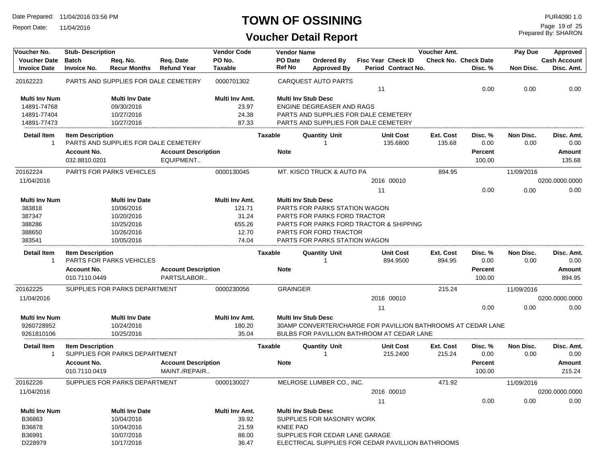Report Date: 11/04/2016

### **TOWN OF OSSINING**

| Voucher No.                                | <b>Stub-Description</b>            |                                      |                                 | <b>Vendor Code</b>       |                | <b>Vendor Name</b>         |                                                              |    |                                                  | Voucher Amt.        |                                        | Pay Due           | <b>Approved</b>                   |
|--------------------------------------------|------------------------------------|--------------------------------------|---------------------------------|--------------------------|----------------|----------------------------|--------------------------------------------------------------|----|--------------------------------------------------|---------------------|----------------------------------------|-------------------|-----------------------------------|
| <b>Voucher Date</b><br><b>Invoice Date</b> | <b>Batch</b><br><b>Invoice No.</b> | Req. No.<br><b>Recur Months</b>      | Req. Date<br><b>Refund Year</b> | PO No.<br><b>Taxable</b> |                | PO Date<br><b>Ref No</b>   | Ordered By<br><b>Approved By</b>                             |    | <b>Fisc Year Check ID</b><br>Period Contract No. |                     | <b>Check No. Check Date</b><br>Disc. % | Non Disc.         | <b>Cash Account</b><br>Disc. Amt. |
| 20162223                                   |                                    | PARTS AND SUPPLIES FOR DALE CEMETERY |                                 | 0000701302               |                |                            | <b>CARQUEST AUTO PARTS</b>                                   | 11 |                                                  |                     | 0.00                                   | 0.00              | 0.00                              |
| Multi Inv Num                              |                                    | <b>Multi Inv Date</b>                |                                 | Multi Inv Amt.           |                | <b>Multi Inv Stub Desc</b> |                                                              |    |                                                  |                     |                                        |                   |                                   |
| 14891-74768                                |                                    | 09/30/2016                           |                                 | 23.97                    |                |                            | ENGINE DEGREASER AND RAGS                                    |    |                                                  |                     |                                        |                   |                                   |
| 14891-77404                                |                                    | 10/27/2016                           |                                 | 24.38                    |                |                            | PARTS AND SUPPLIES FOR DALE CEMETERY                         |    |                                                  |                     |                                        |                   |                                   |
| 14891-77473                                |                                    | 10/27/2016                           |                                 | 87.33                    |                |                            | PARTS AND SUPPLIES FOR DALE CEMETERY                         |    |                                                  |                     |                                        |                   |                                   |
| <b>Detail Item</b><br>$\overline{1}$       | <b>Item Description</b>            | PARTS AND SUPPLIES FOR DALE CEMETERY |                                 |                          | Taxable        |                            | <b>Quantity Unit</b>                                         |    | <b>Unit Cost</b><br>135.6800                     | Ext. Cost<br>135.68 | Disc. %<br>0.00                        | Non Disc.<br>0.00 | Disc. Amt.<br>0.00                |
|                                            | <b>Account No.</b>                 |                                      | <b>Account Description</b>      |                          |                | <b>Note</b>                |                                                              |    |                                                  |                     | <b>Percent</b>                         |                   | Amount                            |
|                                            | 032.8810.0201                      |                                      | EQUIPMENT                       |                          |                |                            |                                                              |    |                                                  |                     | 100.00                                 |                   | 135.68                            |
| 20162224                                   |                                    | PARTS FOR PARKS VEHICLES             |                                 | 0000130045               |                |                            | MT. KISCO TRUCK & AUTO PA                                    |    |                                                  | 894.95              |                                        | 11/09/2016        |                                   |
| 11/04/2016                                 |                                    |                                      |                                 |                          |                |                            |                                                              |    | 2016 00010                                       |                     |                                        |                   | 0200.0000.0000                    |
|                                            |                                    |                                      |                                 |                          |                |                            |                                                              | 11 |                                                  |                     | 0.00                                   | 0.00              | 0.00                              |
| Multi Inv Num                              |                                    | <b>Multi Inv Date</b>                |                                 | Multi Inv Amt.           |                | <b>Multi Inv Stub Desc</b> |                                                              |    |                                                  |                     |                                        |                   |                                   |
| 383818                                     |                                    | 10/06/2016                           |                                 | 121.71                   |                |                            | PARTS FOR PARKS STATION WAGON                                |    |                                                  |                     |                                        |                   |                                   |
| 387347                                     |                                    | 10/20/2016                           |                                 | 31.24                    |                |                            | <b>PARTS FOR PARKS FORD TRACTOR</b>                          |    |                                                  |                     |                                        |                   |                                   |
| 388286                                     |                                    | 10/25/2016                           |                                 | 655.26                   |                |                            | PARTS FOR PARKS FORD TRACTOR & SHIPPING                      |    |                                                  |                     |                                        |                   |                                   |
| 388650                                     |                                    | 10/26/2016                           |                                 | 12.70                    |                |                            | PARTS FOR FORD TRACTOR                                       |    |                                                  |                     |                                        |                   |                                   |
| 383541                                     |                                    | 10/05/2016                           |                                 | 74.04                    |                |                            | <b>PARTS FOR PARKS STATION WAGON</b>                         |    |                                                  |                     |                                        |                   |                                   |
| <b>Detail Item</b><br>-1                   | <b>Item Description</b>            | <b>PARTS FOR PARKS VEHICLES</b>      |                                 |                          | <b>Taxable</b> |                            | <b>Quantity Unit</b>                                         |    | <b>Unit Cost</b><br>894.9500                     | Ext. Cost<br>894.95 | Disc. %<br>0.00                        | Non Disc.<br>0.00 | Disc. Amt.<br>0.00                |
|                                            | <b>Account No.</b>                 |                                      | <b>Account Description</b>      |                          |                | <b>Note</b>                |                                                              |    |                                                  |                     | <b>Percent</b>                         |                   | Amount                            |
|                                            | 010.7110.0449                      |                                      | PARTS/LABOR                     |                          |                |                            |                                                              |    |                                                  |                     | 100.00                                 |                   | 894.95                            |
| 20162225                                   |                                    | SUPPLIES FOR PARKS DEPARTMENT        |                                 | 0000230056               |                | <b>GRAINGER</b>            |                                                              |    |                                                  | 215.24              |                                        | 11/09/2016        |                                   |
| 11/04/2016                                 |                                    |                                      |                                 |                          |                |                            |                                                              |    | 2016 00010                                       |                     |                                        |                   | 0200.0000.0000                    |
|                                            |                                    |                                      |                                 |                          |                |                            |                                                              | 11 |                                                  |                     | 0.00                                   | 0.00              | 0.00                              |
| Multi Inv Num                              |                                    | <b>Multi Inv Date</b>                |                                 | Multi Inv Amt.           |                | <b>Multi Inv Stub Desc</b> |                                                              |    |                                                  |                     |                                        |                   |                                   |
| 9260728952                                 |                                    | 10/24/2016                           |                                 | 180.20                   |                |                            | 30AMP CONVERTER/CHARGE FOR PAVILLION BATHROOMS AT CEDAR LANE |    |                                                  |                     |                                        |                   |                                   |
| 9261810106                                 |                                    | 10/25/2016                           |                                 | 35.04                    |                |                            | <b>BULBS FOR PAVILLION BATHROOM AT CEDAR LANE</b>            |    |                                                  |                     |                                        |                   |                                   |
| <b>Detail Item</b>                         | <b>Item Description</b>            |                                      |                                 |                          | Taxable        |                            | <b>Quantity Unit</b>                                         |    | <b>Unit Cost</b>                                 | Ext. Cost           | Disc. %                                | Non Disc.         | Disc. Amt.                        |
| -1                                         |                                    | SUPPLIES FOR PARKS DEPARTMENT        |                                 |                          |                |                            |                                                              |    | 215.2400                                         | 215.24              | 0.00                                   | 0.00              | 0.00                              |
|                                            | <b>Account No.</b>                 |                                      | <b>Account Description</b>      |                          |                | <b>Note</b>                |                                                              |    |                                                  |                     | <b>Percent</b>                         |                   | Amount                            |
|                                            | 010.7110.0419                      |                                      | MAINT./REPAIR                   |                          |                |                            |                                                              |    |                                                  |                     | 100.00                                 |                   | 215.24                            |
| 20162226                                   |                                    | SUPPLIES FOR PARKS DEPARTMENT        |                                 | 0000130027               |                |                            | MELROSE LUMBER CO., INC.                                     |    |                                                  | 471.92              |                                        | 11/09/2016        |                                   |
| 11/04/2016                                 |                                    |                                      |                                 |                          |                |                            |                                                              |    | 2016 00010                                       |                     |                                        |                   | 0200.0000.0000                    |
|                                            |                                    |                                      |                                 |                          |                |                            |                                                              | 11 |                                                  |                     | 0.00                                   | 0.00              | 0.00                              |
| <b>Multi Inv Num</b>                       |                                    | <b>Multi Inv Date</b>                |                                 | Multi Inv Amt.           |                | <b>Multi Inv Stub Desc</b> |                                                              |    |                                                  |                     |                                        |                   |                                   |
| B36863                                     |                                    | 10/04/2016                           |                                 | 39.92                    |                |                            | SUPPLIES FOR MASONRY WORK                                    |    |                                                  |                     |                                        |                   |                                   |
| B36878                                     |                                    | 10/04/2016                           |                                 | 21.59                    |                | <b>KNEE PAD</b>            |                                                              |    |                                                  |                     |                                        |                   |                                   |
| B36991                                     |                                    | 10/07/2016                           |                                 | 88.00                    |                |                            | SUPPLIES FOR CEDAR LANE GARAGE                               |    |                                                  |                     |                                        |                   |                                   |
| D228979                                    |                                    | 10/17/2016                           |                                 | 36.47                    |                |                            | ELECTRICAL SUPPLIES FOR CEDAR PAVILLION BATHROOMS            |    |                                                  |                     |                                        |                   |                                   |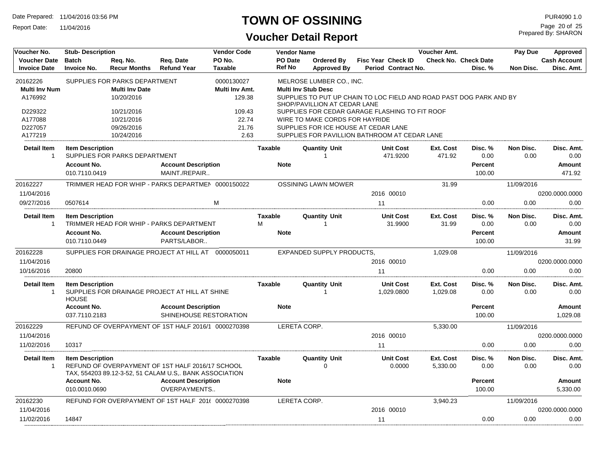Report Date: 11/04/2016

# **TOWN OF OSSINING**

### **Voucher Detail Report**

Prepared By: SHARON Page 20 of 25

| Voucher No.          | <b>Stub-Description</b>             |                               |                                                                                       | <b>Vendor Code</b> |                | <b>Vendor Name</b> |                                                                                |    |                           | <b>Voucher Amt.</b> |                          | Pay Due    | Approved                  |
|----------------------|-------------------------------------|-------------------------------|---------------------------------------------------------------------------------------|--------------------|----------------|--------------------|--------------------------------------------------------------------------------|----|---------------------------|---------------------|--------------------------|------------|---------------------------|
| <b>Voucher Date</b>  | <b>Batch</b>                        | Req. No.                      | Req. Date                                                                             | PO No.             |                | PO Date            | <b>Ordered By</b>                                                              |    | <b>Fisc Year Check ID</b> |                     | Check No. Check Date     |            | <b>Cash Account</b>       |
| <b>Invoice Date</b>  | <b>Invoice No.</b>                  | <b>Recur Months</b>           | <b>Refund Year</b>                                                                    | <b>Taxable</b>     |                | <b>Ref No</b>      | <b>Approved By</b>                                                             |    | Period Contract No.       |                     | Disc. %                  | Non Disc.  | Disc. Amt.                |
| 20162226             |                                     | SUPPLIES FOR PARKS DEPARTMENT |                                                                                       | 0000130027         |                |                    | MELROSE LUMBER CO., INC.                                                       |    |                           |                     |                          |            |                           |
| <b>Multi Inv Num</b> |                                     | <b>Multi Inv Date</b>         |                                                                                       | Multi Inv Amt.     |                |                    | <b>Multi Inv Stub Desc</b>                                                     |    |                           |                     |                          |            |                           |
| A176992              |                                     | 10/20/2016                    |                                                                                       | 129.38             |                |                    | SUPPLIES TO PUT UP CHAIN TO LOC FIELD AND ROAD PAST DOG PARK AND BY            |    |                           |                     |                          |            |                           |
| D229322              |                                     | 10/21/2016                    |                                                                                       | 109.43             |                |                    | SHOP/PAVILLION AT CEDAR LANE<br>SUPPLIES FOR CEDAR GARAGE FLASHING TO FIT ROOF |    |                           |                     |                          |            |                           |
| A177088              |                                     | 10/21/2016                    |                                                                                       | 22.74              |                |                    | WIRE TO MAKE CORDS FOR HAYRIDE                                                 |    |                           |                     |                          |            |                           |
| D227057              |                                     | 09/26/2016                    |                                                                                       | 21.76              |                |                    | SUPPLIES FOR ICE HOUSE AT CEDAR LANE                                           |    |                           |                     |                          |            |                           |
| A177219              |                                     | 10/24/2016                    |                                                                                       | 2.63               |                |                    | SUPPLIES FOR PAVILLION BATHROOM AT CEDAR LANE                                  |    |                           |                     |                          |            |                           |
| <b>Detail Item</b>   | <b>Item Description</b>             |                               |                                                                                       |                    | <b>Taxable</b> |                    | <b>Quantity Unit</b>                                                           |    | <b>Unit Cost</b>          | Ext. Cost           | Disc. %                  | Non Disc.  | Disc. Amt.                |
| $\mathbf{1}$         |                                     | SUPPLIES FOR PARKS DEPARTMENT |                                                                                       |                    |                |                    | -1                                                                             |    | 471.9200                  | 471.92              | 0.00                     | 0.00       | 0.00                      |
|                      | <b>Account No.</b>                  |                               | <b>Account Description</b>                                                            |                    | <b>Note</b>    |                    |                                                                                |    |                           |                     | <b>Percent</b>           |            | Amount                    |
|                      | 010.7110.0419                       |                               | MAINT./REPAIR                                                                         |                    |                |                    |                                                                                |    |                           |                     | 100.00                   |            | 471.92                    |
| 20162227             |                                     |                               | TRIMMER HEAD FOR WHIP - PARKS DEPARTMEN 0000150022                                    |                    |                |                    | <b>OSSINING LAWN MOWER</b>                                                     |    |                           | 31.99               |                          | 11/09/2016 |                           |
| 11/04/2016           |                                     |                               |                                                                                       |                    |                |                    |                                                                                |    | 2016 00010                |                     |                          |            | 0200.0000.0000            |
| 09/27/2016           | 0507614                             |                               |                                                                                       | M                  |                |                    |                                                                                | 11 |                           |                     | 0.00                     | 0.00       | 0.00                      |
| <b>Detail Item</b>   | <b>Item Description</b>             |                               |                                                                                       |                    | <b>Taxable</b> |                    | <b>Quantity Unit</b>                                                           |    | <b>Unit Cost</b>          | Ext. Cost           | Disc. %                  | Non Disc.  | Disc. Amt.                |
| $\mathbf{1}$         |                                     |                               | TRIMMER HEAD FOR WHIP - PARKS DEPARTMENT                                              |                    | M              |                    | $\overline{1}$                                                                 |    | 31.9900                   | 31.99               | 0.00                     | 0.00       | 0.00                      |
|                      | <b>Account No.</b>                  |                               | <b>Account Description</b>                                                            |                    | <b>Note</b>    |                    |                                                                                |    |                           |                     | <b>Percent</b>           |            | Amount                    |
|                      | 010.7110.0449                       |                               | PARTS/LABOR                                                                           |                    |                |                    |                                                                                |    |                           |                     | 100.00                   |            | 31.99                     |
| 20162228             |                                     |                               | SUPPLIES FOR DRAINAGE PROJECT AT HILL AT 0000050011                                   |                    |                |                    | EXPANDED SUPPLY PRODUCTS.                                                      |    |                           | 1.029.08            |                          | 11/09/2016 |                           |
| 11/04/2016           |                                     |                               |                                                                                       |                    |                |                    |                                                                                |    | 2016 00010                |                     |                          |            | 0200.0000.0000            |
| 10/16/2016           | 20800                               |                               |                                                                                       |                    |                |                    |                                                                                | 11 |                           |                     | 0.00                     | 0.00       | 0.00                      |
| <b>Detail Item</b>   | <b>Item Description</b>             |                               |                                                                                       |                    | <b>Taxable</b> |                    | <b>Quantity Unit</b>                                                           |    | <b>Unit Cost</b>          | Ext. Cost           | Disc. %                  | Non Disc.  | Disc. Amt.                |
| $\mathbf{1}$         |                                     |                               | SUPPLIES FOR DRAINAGE PROJECT AT HILL AT SHINE                                        |                    |                |                    | $\overline{1}$                                                                 |    | 1.029.0800                | 1,029.08            | 0.00                     | 0.00       | 0.00                      |
|                      | <b>HOUSE</b>                        |                               |                                                                                       |                    |                |                    |                                                                                |    |                           |                     |                          |            |                           |
|                      | <b>Account No.</b><br>037.7110.2183 |                               | <b>Account Description</b><br>SHINEHOUSE RESTORATION                                  |                    | <b>Note</b>    |                    |                                                                                |    |                           |                     | <b>Percent</b><br>100.00 |            | <b>Amount</b><br>1,029.08 |
|                      |                                     |                               |                                                                                       |                    |                |                    |                                                                                |    |                           |                     |                          |            |                           |
| 20162229             |                                     |                               | REFUND OF OVERPAYMENT OF 1ST HALF 2016/1 0000270398                                   |                    |                | LERETA CORP.       |                                                                                |    |                           | 5,330.00            |                          | 11/09/2016 |                           |
| 11/04/2016           |                                     |                               |                                                                                       |                    |                |                    |                                                                                |    | 2016 00010                |                     |                          |            | 0200.0000.0000            |
| 11/02/2016           | 10317                               |                               |                                                                                       |                    |                |                    |                                                                                | 11 |                           |                     | 0.00                     | 0.00       | 0.00                      |
| <b>Detail Item</b>   | <b>Item Description</b>             |                               |                                                                                       |                    | <b>Taxable</b> |                    | <b>Quantity Unit</b>                                                           |    | <b>Unit Cost</b>          | Ext. Cost           | Disc. %                  | Non Disc.  | Disc. Amt.                |
| $\overline{1}$       |                                     |                               | REFUND OF OVERPAYMENT OF 1ST HALF 2016/17 SCHOOL                                      |                    |                |                    | $\Omega$                                                                       |    | 0.0000                    | 5,330.00            | 0.00                     | 0.00       | 0.00                      |
|                      | <b>Account No.</b>                  |                               | TAX, 554203 89.12-3-52, 51 CALAM U.S,. BANK ASSOCIATION<br><b>Account Description</b> |                    | <b>Note</b>    |                    |                                                                                |    |                           |                     | <b>Percent</b>           |            | <b>Amount</b>             |
|                      | 010.0010.0690                       |                               | <b>OVERPAYMENTS</b>                                                                   |                    |                |                    |                                                                                |    |                           |                     | 100.00                   |            | 5,330.00                  |
| 20162230             |                                     |                               | REFUND FOR OVERPAYMENT OF 1ST HALF 2016 0000270398                                    |                    |                | LERETA CORP.       |                                                                                |    |                           | 3,940.23            |                          |            |                           |
| 11/04/2016           |                                     |                               |                                                                                       |                    |                |                    |                                                                                |    | 2016 00010                |                     |                          | 11/09/2016 | 0200.0000.0000            |
| 11/02/2016           |                                     |                               |                                                                                       |                    |                |                    |                                                                                |    |                           |                     |                          |            |                           |
|                      | 14847                               |                               |                                                                                       |                    |                |                    |                                                                                | 11 |                           |                     | 0.00                     | 0.00       | 0.00                      |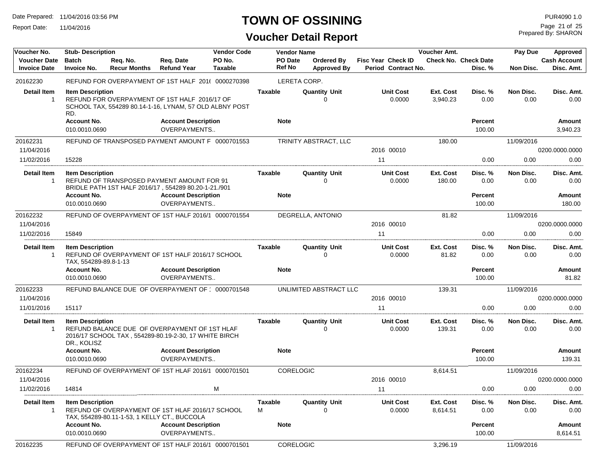Report Date: 11/04/2016

### **TOWN OF OSSINING**

### **Voucher Detail Report**

Prepared By: SHARON Page 21 of 25

| Voucher No.                                | <b>Stub-Description</b>                                        |                                 |                                                                                                                                                | <b>Vendor Code</b>       | <b>Vendor Name</b>          |                                  |                                                  | Voucher Amt.          |                                        | Pay Due           | Approved                                 |
|--------------------------------------------|----------------------------------------------------------------|---------------------------------|------------------------------------------------------------------------------------------------------------------------------------------------|--------------------------|-----------------------------|----------------------------------|--------------------------------------------------|-----------------------|----------------------------------------|-------------------|------------------------------------------|
| <b>Voucher Date</b><br><b>Invoice Date</b> | <b>Batch</b><br><b>Invoice No.</b>                             | Req. No.<br><b>Recur Months</b> | Req. Date<br><b>Refund Year</b>                                                                                                                | PO No.<br><b>Taxable</b> | PO Date<br><b>Ref No</b>    | Ordered By<br><b>Approved By</b> | <b>Fisc Year Check ID</b><br>Period Contract No. |                       | <b>Check No. Check Date</b><br>Disc. % | Non Disc.         | <b>Cash Account</b><br>Disc. Amt.        |
| 20162230                                   |                                                                |                                 | REFUND FOR OVERPAYMENT OF 1ST HALF 201( 0000270398                                                                                             |                          |                             | LERETA CORP.                     |                                                  |                       |                                        |                   |                                          |
| <b>Detail Item</b><br>1                    | <b>Item Description</b><br>RD.                                 |                                 | REFUND FOR OVERPAYMENT OF 1ST HALF 2016/17 OF<br>SCHOOL TAX, 554289 80.14-1-16, LYNAM, 57 OLD ALBNY POST                                       |                          | Taxable                     | <b>Quantity Unit</b>             | <b>Unit Cost</b><br>0.0000                       | Ext. Cost<br>3,940.23 | Disc. %<br>0.00                        | Non Disc.<br>0.00 | Disc. Amt.<br>0.00                       |
|                                            | <b>Account No.</b><br>010.0010.0690                            |                                 | <b>Account Description</b><br>OVERPAYMENTS                                                                                                     |                          | <b>Note</b>                 |                                  |                                                  |                       | <b>Percent</b><br>100.00               |                   | Amount<br>3,940.23                       |
| 20162231                                   |                                                                |                                 | REFUND OF TRANSPOSED PAYMENT AMOUNT F 0000701553                                                                                               |                          |                             | TRINITY ABSTRACT, LLC            |                                                  | 180.00                |                                        | 11/09/2016        |                                          |
| 11/04/2016<br>11/02/2016                   | 15228                                                          |                                 |                                                                                                                                                |                          |                             |                                  | 2016 00010<br>11                                 |                       | 0.00                                   | 0.00              | 0200.0000.0000<br>0.00                   |
|                                            |                                                                |                                 |                                                                                                                                                |                          |                             |                                  |                                                  |                       |                                        |                   |                                          |
| <b>Detail Item</b><br>1                    | <b>Item Description</b>                                        |                                 | REFUND OF TRANSPOSED PAYMENT AMOUNT FOR 91<br>BRIDLE PATH 1ST HALF 2016/17, 554289 80.20-1-21./901                                             |                          | Taxable                     | <b>Quantity Unit</b><br>∩        | <b>Unit Cost</b><br>0.0000                       | Ext. Cost<br>180.00   | Disc. %<br>0.00                        | Non Disc.<br>0.00 | Disc. Amt.<br>0.00                       |
|                                            | <b>Account No.</b>                                             |                                 | <b>Account Description</b>                                                                                                                     |                          | <b>Note</b>                 |                                  |                                                  |                       | <b>Percent</b>                         |                   | Amount                                   |
|                                            | 010.0010.0690                                                  |                                 | OVERPAYMENTS                                                                                                                                   |                          |                             |                                  |                                                  |                       | 100.00                                 |                   | 180.00                                   |
| 20162232<br>11/04/2016                     |                                                                |                                 | REFUND OF OVERPAYMENT OF 1ST HALF 2016/1 0000701554                                                                                            |                          |                             | DEGRELLA, ANTONIO                | 2016 00010                                       | 81.82                 |                                        | 11/09/2016        | 0200.0000.0000                           |
| 11/02/2016                                 | 15849                                                          |                                 |                                                                                                                                                |                          |                             |                                  | 11                                               |                       | 0.00                                   | 0.00              | 0.00                                     |
| <b>Detail Item</b>                         | <b>Item Description</b><br>TAX. 554289-89.8-1-13               |                                 | REFUND OF OVERPAYMENT OF 1ST HALF 2016/17 SCHOOL                                                                                               |                          | Taxable                     | <b>Quantity Unit</b><br>$\Omega$ | <b>Unit Cost</b><br>0.0000                       | Ext. Cost<br>81.82    | Disc. %<br>0.00                        | Non Disc.<br>0.00 | Disc. Amt.<br>0.00                       |
|                                            | <b>Account No.</b><br>010.0010.0690                            |                                 | <b>Account Description</b><br>OVERPAYMENTS                                                                                                     |                          | <b>Note</b>                 |                                  |                                                  |                       | Percent<br>100.00                      |                   | Amount<br>81.82                          |
| 20162233                                   |                                                                |                                 | REFUND BALANCE DUE OF OVERPAYMENT OF 1 0000701548                                                                                              |                          |                             | UNLIMITED ABSTRACT LLC           |                                                  | 139.31                |                                        | 11/09/2016        |                                          |
| 11/04/2016                                 |                                                                |                                 |                                                                                                                                                |                          |                             |                                  | 2016 00010                                       |                       |                                        |                   | 0200.0000.0000                           |
| 11/01/2016                                 | 15117                                                          |                                 |                                                                                                                                                |                          |                             |                                  | 11                                               |                       | 0.00                                   | 0.00              | 0.00                                     |
| Detail Item<br>-1                          | <b>Item Description</b><br>DR., KOLISZ                         |                                 | REFUND BALANCE DUE OF OVERPAYMENT OF 1ST HLAF<br>2016/17 SCHOOL TAX, 554289-80.19-2-30, 17 WHITE BIRCH                                         |                          | Taxable                     | <b>Quantity Unit</b><br>$\Omega$ | <b>Unit Cost</b><br>0.0000                       | Ext. Cost<br>139.31   | Disc. %<br>0.00                        | Non Disc.<br>0.00 | Disc. Amt.<br>0.00                       |
|                                            | <b>Account No.</b><br>010.0010.0690                            |                                 | <b>Account Description</b><br>OVERPAYMENTS                                                                                                     |                          | <b>Note</b>                 |                                  |                                                  |                       | <b>Percent</b><br>100.00               |                   | Amount<br>139.31                         |
| 20162234<br>11/04/2016                     |                                                                |                                 | REFUND OF OVERPAYMENT OF 1ST HLAF 2016/1 0000701501                                                                                            |                          | CORELOGIC                   |                                  | 2016 00010                                       | 8,614.51              |                                        | 11/09/2016        | 0200.0000.0000                           |
| 11/02/2016                                 | 14814                                                          |                                 |                                                                                                                                                | м                        |                             |                                  | 11                                               |                       | 0.00                                   | 0.00              | 0.00                                     |
| Detail Item                                | <b>Item Description</b><br><b>Account No.</b><br>010.0010.0690 |                                 | REFUND OF OVERPAYMENT OF 1ST HLAF 2016/17 SCHOOL<br>TAX, 554289-80.11-1-53, 1 KELLY CT., BUCCOLA<br><b>Account Description</b><br>OVERPAYMENTS |                          | Taxable<br>м<br><b>Note</b> | <b>Quantity Unit</b><br>$\Omega$ | <b>Unit Cost</b><br>0.0000                       | Ext. Cost<br>8,614.51 | Disc. %<br>0.00<br>Percent<br>100.00   | Non Disc.<br>0.00 | Disc. Amt.<br>0.00<br>Amount<br>8,614.51 |
| 20162235                                   |                                                                |                                 | REFUND OF OVERPAYMENT OF 1ST HALF 2016/1 0000701501                                                                                            |                          | CORELOGIC                   |                                  |                                                  | 3,296.19              |                                        | 11/09/2016        |                                          |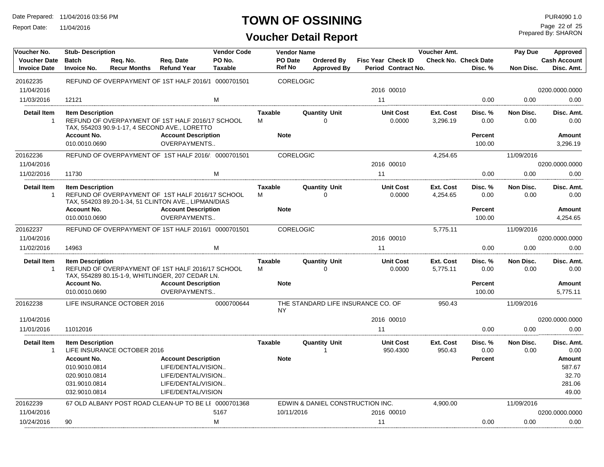Report Date: 11/04/2016

### **TOWN OF OSSINING**

| Voucher No.                                | <b>Stub-Description</b>             |                                 |                                                                                                          | <b>Vendor Code</b>       |                     | <b>Vendor Name</b> |                                  |                                           | Voucher Amt.          |                                        | Pay Due                  | Approved                          |
|--------------------------------------------|-------------------------------------|---------------------------------|----------------------------------------------------------------------------------------------------------|--------------------------|---------------------|--------------------|----------------------------------|-------------------------------------------|-----------------------|----------------------------------------|--------------------------|-----------------------------------|
| <b>Voucher Date</b><br><b>Invoice Date</b> | <b>Batch</b><br><b>Invoice No.</b>  | Req. No.<br><b>Recur Months</b> | Req. Date<br><b>Refund Year</b>                                                                          | PO No.<br><b>Taxable</b> | <b>Ref No</b>       | PO Date            | Ordered By<br><b>Approved By</b> | Fisc Year Check ID<br>Period Contract No. |                       | <b>Check No. Check Date</b><br>Disc. % | <b>Non Disc.</b>         | <b>Cash Account</b><br>Disc. Amt. |
| 20162235                                   |                                     |                                 | REFUND OF OVERPAYMENT OF 1ST HALF 2016/1 0000701501                                                      |                          |                     | <b>CORELOGIC</b>   |                                  |                                           |                       |                                        |                          |                                   |
| 11/04/2016                                 |                                     |                                 |                                                                                                          |                          |                     |                    |                                  | 2016 00010                                |                       |                                        |                          | 0200.0000.0000                    |
| 11/03/2016                                 | 12121                               |                                 |                                                                                                          | М                        |                     |                    |                                  | 11                                        |                       | 0.00                                   | 0.00                     | 0.00                              |
| <b>Detail Item</b><br>$\mathbf{1}$         | <b>Item Description</b>             |                                 | REFUND OF OVERPAYMENT OF 1ST HALF 2016/17 SCHOOL<br>TAX, 554203 90.9-1-17, 4 SECOND AVE., LORETTO        |                          | <b>Taxable</b><br>М |                    | <b>Quantity Unit</b><br>$\Omega$ | <b>Unit Cost</b><br>0.0000                | Ext. Cost<br>3,296.19 | Disc.%<br>0.00                         | Non Disc.<br>0.00        | Disc. Amt.<br>0.00                |
|                                            | <b>Account No.</b><br>010.0010.0690 |                                 | <b>Account Description</b><br>OVERPAYMENTS                                                               |                          | <b>Note</b>         |                    |                                  |                                           |                       | Percent<br>100.00                      |                          | <b>Amount</b><br>3,296.19         |
| 20162236                                   |                                     |                                 | REFUND OF OVERPAYMENT OF 1ST HALF 2016/ 0000701501                                                       |                          |                     | <b>CORELOGIC</b>   |                                  |                                           | 4,254.65              |                                        | 11/09/2016               |                                   |
| 11/04/2016                                 |                                     |                                 |                                                                                                          |                          |                     |                    |                                  | 2016 00010                                |                       |                                        |                          | 0200.0000.0000                    |
| 11/02/2016                                 | 11730                               |                                 |                                                                                                          | M                        |                     |                    |                                  | 11                                        |                       | 0.00                                   | 0.00                     | 0.00                              |
| <b>Detail Item</b><br>$\mathbf 1$          | <b>Item Description</b>             |                                 | REFUND OF OVERPAYMENT OF 1ST HALF 2016/17 SCHOOL<br>TAX, 554203 89.20-1-34, 51 CLINTON AVE., LIPMAN/DIAS |                          | <b>Taxable</b><br>м |                    | <b>Quantity Unit</b><br>$\Omega$ | <b>Unit Cost</b><br>0.0000                | Ext. Cost<br>4,254.65 | Disc. %<br>0.00                        | Non Disc.<br>0.00        | Disc. Amt.<br>0.00                |
|                                            | <b>Account No.</b><br>010.0010.0690 |                                 | <b>Account Description</b><br>OVERPAYMENTS                                                               |                          | <b>Note</b>         |                    |                                  |                                           |                       | Percent<br>100.00                      |                          | Amount<br>4,254.65                |
| 20162237                                   |                                     |                                 | REFUND OF OVERPAYMENT OF 1ST HALF 2016/1 0000701501                                                      |                          |                     | <b>CORELOGIC</b>   |                                  |                                           | 5,775.11              |                                        | 11/09/2016               |                                   |
| 11/04/2016                                 |                                     |                                 |                                                                                                          |                          |                     |                    |                                  | 2016 00010                                |                       |                                        |                          | 0200.0000.0000                    |
| 11/02/2016                                 | 14963                               |                                 |                                                                                                          | M                        |                     |                    |                                  | 11                                        |                       | 0.00                                   | 0.00                     | 0.00                              |
| Detail Item<br>$\mathbf{1}$                | <b>Item Description</b>             |                                 | REFUND OF OVERPAYMENT OF 1ST HALF 2016/17 SCHOOL<br>TAX, 554289 80.15-1-9, WHITLINGER, 207 CEDAR LN.     |                          | <b>Taxable</b><br>М |                    | <b>Quantity Unit</b><br>$\Omega$ | <b>Unit Cost</b><br>0.0000                | Ext. Cost<br>5,775.11 | Disc. %<br>0.00                        | <b>Non Disc.</b><br>0.00 | Disc. Amt.<br>0.00                |
|                                            | <b>Account No.</b>                  |                                 | <b>Account Description</b>                                                                               |                          | <b>Note</b>         |                    |                                  |                                           |                       | Percent                                |                          | Amount                            |
|                                            | 010.0010.0690                       |                                 | OVERPAYMENTS                                                                                             |                          |                     |                    |                                  |                                           |                       | 100.00                                 |                          | 5,775.11                          |
| 20162238                                   |                                     | LIFE INSURANCE OCTOBER 2016     |                                                                                                          | 0000700644               | NY.                 |                    |                                  | THE STANDARD LIFE INSURANCE CO. OF        | 950.43                |                                        | 11/09/2016               |                                   |
| 11/04/2016                                 |                                     |                                 |                                                                                                          |                          |                     |                    |                                  | 2016 00010                                |                       |                                        |                          | 0200.0000.0000                    |
| 11/01/2016                                 | 11012016                            |                                 |                                                                                                          |                          |                     |                    |                                  | 11                                        |                       | 0.00                                   | 0.00                     | 0.00                              |
| <b>Detail Item</b><br>$\mathbf{1}$         | <b>Item Description</b>             | LIFE INSURANCE OCTOBER 2016     |                                                                                                          |                          | <b>Taxable</b>      |                    | <b>Quantity Unit</b>             | <b>Unit Cost</b><br>950.4300              | Ext. Cost<br>950.43   | Disc. %<br>0.00                        | Non Disc.<br>0.00        | Disc. Amt.<br>0.00                |
|                                            | <b>Account No.</b>                  |                                 | <b>Account Description</b>                                                                               |                          | <b>Note</b>         |                    |                                  |                                           |                       | Percent                                |                          | Amount                            |
|                                            | 010.9010.0814                       |                                 | LIFE/DENTAL/VISION                                                                                       |                          |                     |                    |                                  |                                           |                       |                                        |                          | 587.67                            |
|                                            | 020.9010.0814                       |                                 | LIFE/DENTAL/VISION                                                                                       |                          |                     |                    |                                  |                                           |                       |                                        |                          | 32.70                             |
|                                            | 031.9010.0814                       |                                 | LIFE/DENTAL/VISION                                                                                       |                          |                     |                    |                                  |                                           |                       |                                        |                          | 281.06                            |
|                                            | 032.9010.0814                       |                                 | LIFE/DENTAL/VISION                                                                                       |                          |                     |                    |                                  |                                           |                       |                                        |                          | 49.00                             |
| 20162239                                   |                                     |                                 | 67 OLD ALBANY POST ROAD CLEAN-UP TO BE LI 0000701368                                                     |                          |                     |                    | EDWIN & DANIEL CONSTRUCTION INC. |                                           | 4,900.00              |                                        | 11/09/2016               |                                   |
| 11/04/2016                                 |                                     |                                 |                                                                                                          | 5167                     |                     | 10/11/2016         |                                  | 2016 00010                                |                       |                                        |                          | 0200.0000.0000                    |
| 10/24/2016                                 | 90                                  |                                 |                                                                                                          | M                        |                     |                    |                                  | 11                                        |                       | 0.00                                   | 0.00                     | 0.00                              |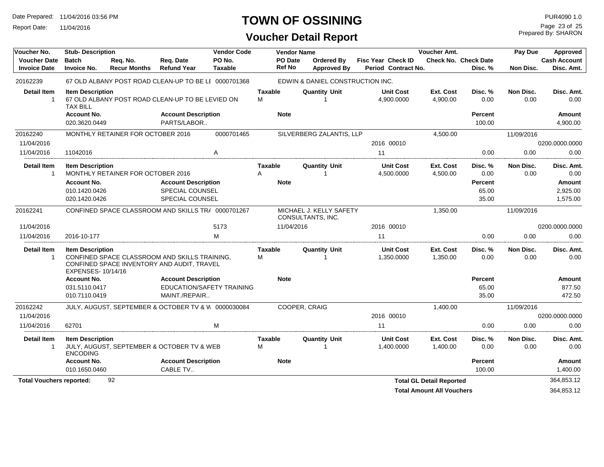Report Date: 11/04/2016

### **TOWN OF OSSINING**

Prepared By: SHARON Page 23 of 25

| Voucher No.                                | <b>Stub-Description</b>                       |                                   |                                                                                             | <b>Vendor Code</b>       |                                | <b>Vendor Name</b> |                                              |                           |                                | Voucher Amt.                     |                                        | Pay Due           | Approved                          |
|--------------------------------------------|-----------------------------------------------|-----------------------------------|---------------------------------------------------------------------------------------------|--------------------------|--------------------------------|--------------------|----------------------------------------------|---------------------------|--------------------------------|----------------------------------|----------------------------------------|-------------------|-----------------------------------|
| <b>Voucher Date</b><br><b>Invoice Date</b> | <b>Batch</b><br><b>Invoice No.</b>            | Reg. No.<br><b>Recur Months</b>   | Req. Date<br><b>Refund Year</b>                                                             | PO No.<br><b>Taxable</b> | PO Date<br><b>Ref No</b>       |                    | Ordered By<br><b>Approved By</b>             | <b>Fisc Year Check ID</b> | Period Contract No.            |                                  | <b>Check No. Check Date</b><br>Disc. % | Non Disc.         | <b>Cash Account</b><br>Disc. Amt. |
| 20162239                                   |                                               |                                   | 67 OLD ALBANY POST ROAD CLEAN-UP TO BE LI 0000701368                                        |                          |                                |                    | EDWIN & DANIEL CONSTRUCTION INC.             |                           |                                |                                  |                                        |                   |                                   |
| <b>Detail Item</b><br>$\overline{1}$       | <b>Item Description</b><br><b>TAX BILL</b>    |                                   | 67 OLD ALBANY POST ROAD CLEAN-UP TO BE LEVIED ON                                            |                          | <b>Taxable</b><br>M            |                    | <b>Quantity Unit</b>                         |                           | <b>Unit Cost</b><br>4,900.0000 | Ext. Cost<br>4,900.00            | Disc. %<br>0.00                        | Non Disc.<br>0.00 | Disc. Amt.<br>0.00                |
|                                            | <b>Account No.</b><br>020.3620.0449           |                                   | <b>Account Description</b><br>PARTS/LABOR                                                   |                          | <b>Note</b>                    |                    |                                              |                           |                                |                                  | <b>Percent</b><br>100.00               |                   | <b>Amount</b><br>4,900.00         |
| 20162240                                   |                                               | MONTHLY RETAINER FOR OCTOBER 2016 |                                                                                             | 0000701465               |                                |                    | SILVERBERG ZALANTIS, LLP                     |                           |                                | 4,500.00                         |                                        | 11/09/2016        |                                   |
| 11/04/2016                                 |                                               |                                   |                                                                                             |                          |                                |                    |                                              |                           | 2016 00010                     |                                  |                                        |                   | 0200.0000.0000                    |
| 11/04/2016                                 | 11042016                                      |                                   |                                                                                             | A                        |                                |                    |                                              | 11                        |                                |                                  | 0.00                                   | 0.00              | 0.00                              |
| <b>Detail Item</b><br>$\overline{1}$       | <b>Item Description</b>                       | MONTHLY RETAINER FOR OCTOBER 2016 |                                                                                             |                          | <b>Taxable</b><br>$\mathsf{A}$ |                    | <b>Quantity Unit</b><br>$\overline{1}$       |                           | <b>Unit Cost</b><br>4,500.0000 | Ext. Cost<br>4,500.00            | Disc. %<br>0.00                        | Non Disc.<br>0.00 | Disc. Amt.<br>0.00                |
|                                            | <b>Account No.</b>                            |                                   | <b>Account Description</b>                                                                  |                          | <b>Note</b>                    |                    |                                              |                           |                                |                                  | <b>Percent</b>                         |                   | Amount                            |
|                                            | 010.1420.0426                                 |                                   | SPECIAL COUNSEL                                                                             |                          |                                |                    |                                              |                           |                                |                                  | 65.00                                  |                   | 2,925.00                          |
|                                            | 020.1420.0426                                 |                                   | SPECIAL COUNSEL                                                                             |                          |                                |                    |                                              |                           |                                |                                  | 35.00                                  |                   | 1,575.00                          |
| 20162241                                   |                                               |                                   | CONFINED SPACE CLASSROOM AND SKILLS TR/ 0000701267                                          |                          |                                |                    | MICHAEL J. KELLY SAFETY<br>CONSULTANTS, INC. |                           |                                | 1,350.00                         |                                        | 11/09/2016        |                                   |
| 11/04/2016                                 |                                               |                                   |                                                                                             | 5173                     |                                | 11/04/2016         |                                              |                           | 2016 00010                     |                                  |                                        |                   | 0200.0000.0000                    |
| 11/04/2016                                 | 2016-10-177                                   |                                   |                                                                                             | M                        |                                |                    |                                              | 11                        |                                |                                  | 0.00                                   | 0.00              | 0.00                              |
| <b>Detail Item</b><br>$\overline{1}$       | <b>Item Description</b><br>EXPENSES- 10/14/16 |                                   | CONFINED SPACE CLASSROOM AND SKILLS TRAINING.<br>CONFINED SPACE INVENTORY AND AUDIT, TRAVEL |                          | <b>Taxable</b><br>M            |                    | <b>Quantity Unit</b>                         |                           | <b>Unit Cost</b><br>1,350.0000 | Ext. Cost<br>1,350.00            | Disc. %<br>0.00                        | Non Disc.<br>0.00 | Disc. Amt.<br>0.00                |
|                                            | <b>Account No.</b>                            |                                   | <b>Account Description</b>                                                                  |                          | <b>Note</b>                    |                    |                                              |                           |                                |                                  | <b>Percent</b>                         |                   | <b>Amount</b>                     |
|                                            | 031.5110.0417                                 |                                   | EDUCATION/SAFETY TRAINING                                                                   |                          |                                |                    |                                              |                           |                                |                                  | 65.00                                  |                   | 877.50                            |
|                                            | 010.7110.0419                                 |                                   | MAINT./REPAIR                                                                               |                          |                                |                    |                                              |                           |                                |                                  | 35.00                                  |                   | 472.50                            |
| 20162242                                   |                                               |                                   | JULY, AUGUST, SEPTEMBER & OCTOBER TV & W 0000030084                                         |                          |                                | COOPER, CRAIG      |                                              |                           |                                | 1,400.00                         |                                        | 11/09/2016        |                                   |
| 11/04/2016                                 |                                               |                                   |                                                                                             |                          |                                |                    |                                              |                           | 2016 00010                     |                                  |                                        |                   | 0200.0000.0000                    |
| 11/04/2016                                 | 62701                                         |                                   |                                                                                             | M                        |                                |                    |                                              | 11                        |                                |                                  | 0.00                                   | 0.00              | 0.00                              |
| <b>Detail Item</b><br>1                    | <b>Item Description</b><br><b>ENCODING</b>    |                                   | JULY, AUGUST, SEPTEMBER & OCTOBER TV & WEB                                                  |                          | <b>Taxable</b><br>M            |                    | <b>Quantity Unit</b><br>1                    |                           | <b>Unit Cost</b><br>1,400.0000 | Ext. Cost<br>1,400.00            | Disc. %<br>0.00                        | Non Disc.<br>0.00 | Disc. Amt.<br>0.00                |
|                                            | <b>Account No.</b>                            |                                   | <b>Account Description</b>                                                                  |                          | <b>Note</b>                    |                    |                                              |                           |                                |                                  | <b>Percent</b>                         |                   | Amount                            |
|                                            | 010.1650.0460                                 |                                   | CABLE TV                                                                                    |                          |                                |                    |                                              |                           |                                |                                  | 100.00                                 |                   | 1,400.00                          |
| <b>Total Vouchers reported:</b>            |                                               | 92                                |                                                                                             |                          |                                |                    |                                              |                           |                                | <b>Total GL Detail Reported</b>  |                                        |                   | 364,853.12                        |
|                                            |                                               |                                   |                                                                                             |                          |                                |                    |                                              |                           |                                | <b>Total Amount All Vouchers</b> |                                        |                   | 364,853.12                        |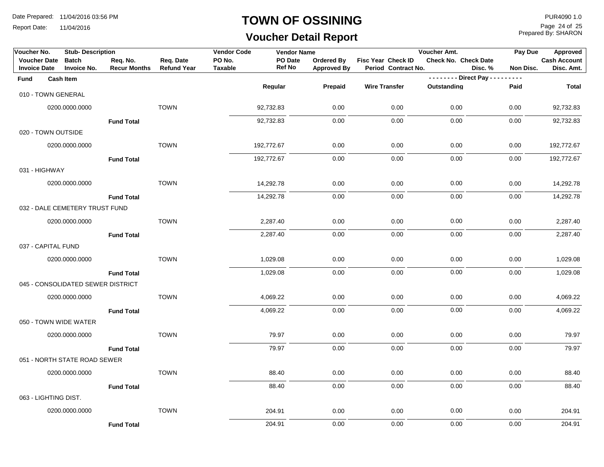Report Date: 11/04/2016

#### **TOWN OF OSSINING**

# **Voucher Detail Report**

Prepared By: SHARON Page 24 of 25

| Voucher No.                                | <b>Stub-Description</b>            |                                 |                                 | <b>Vendor Code</b>       | <b>Vendor Name</b>       |                                         |                                           | Voucher Amt.                |         | Pay Due   | Approved                          |
|--------------------------------------------|------------------------------------|---------------------------------|---------------------------------|--------------------------|--------------------------|-----------------------------------------|-------------------------------------------|-----------------------------|---------|-----------|-----------------------------------|
| <b>Voucher Date</b><br><b>Invoice Date</b> | <b>Batch</b><br><b>Invoice No.</b> | Req. No.<br><b>Recur Months</b> | Req. Date<br><b>Refund Year</b> | PO No.<br><b>Taxable</b> | PO Date<br><b>Ref No</b> | <b>Ordered By</b><br><b>Approved By</b> | Fisc Year Check ID<br>Period Contract No. | <b>Check No. Check Date</b> | Disc. % | Non Disc. | <b>Cash Account</b><br>Disc. Amt. |
| Fund                                       | <b>Cash Item</b>                   |                                 |                                 |                          |                          |                                         |                                           | -------- Direct Pay ---     |         | $- - - -$ |                                   |
|                                            | 010 - TOWN GENERAL                 |                                 |                                 |                          | Regular                  | Prepaid                                 | <b>Wire Transfer</b>                      | Outstanding                 |         | Paid      | <b>Total</b>                      |
|                                            | 0200.0000.0000                     |                                 | <b>TOWN</b>                     |                          | 92,732.83                | 0.00                                    | 0.00                                      | 0.00                        |         | 0.00      | 92,732.83                         |
|                                            |                                    | <b>Fund Total</b>               |                                 |                          | 92,732.83                | 0.00                                    | 0.00                                      | 0.00                        |         | 0.00      | 92,732.83                         |
|                                            | 020 - TOWN OUTSIDE                 |                                 |                                 |                          |                          |                                         |                                           |                             |         |           |                                   |
|                                            | 0200.0000.0000                     |                                 | <b>TOWN</b>                     |                          | 192,772.67               | 0.00                                    | 0.00                                      | 0.00                        |         | 0.00      | 192,772.67                        |
|                                            |                                    | <b>Fund Total</b>               |                                 |                          | 192,772.67               | 0.00                                    | 0.00                                      | 0.00                        |         | 0.00      | 192,772.67                        |
| 031 - HIGHWAY                              |                                    |                                 |                                 |                          |                          |                                         |                                           |                             |         |           |                                   |
|                                            | 0200.0000.0000                     |                                 | <b>TOWN</b>                     |                          | 14,292.78                | 0.00                                    | 0.00                                      | 0.00                        |         | 0.00      | 14,292.78                         |
|                                            |                                    | <b>Fund Total</b>               |                                 |                          | 14,292.78                | 0.00                                    | 0.00                                      | 0.00                        |         | 0.00      | 14,292.78                         |
|                                            | 032 - DALE CEMETERY TRUST FUND     |                                 |                                 |                          |                          |                                         |                                           |                             |         |           |                                   |
|                                            | 0200.0000.0000                     |                                 | <b>TOWN</b>                     |                          | 2,287.40                 | 0.00                                    | 0.00                                      | 0.00                        |         | 0.00      | 2,287.40                          |
|                                            |                                    | <b>Fund Total</b>               |                                 |                          | 2,287.40                 | 0.00                                    | 0.00                                      | 0.00                        |         | 0.00      | 2,287.40                          |
| 037 - CAPITAL FUND                         |                                    |                                 |                                 |                          |                          |                                         |                                           |                             |         |           |                                   |
|                                            | 0200.0000.0000                     |                                 | <b>TOWN</b>                     |                          | 1,029.08                 | 0.00                                    | 0.00                                      | 0.00                        |         | 0.00      | 1,029.08                          |
|                                            |                                    | <b>Fund Total</b>               |                                 |                          | 1,029.08                 | 0.00                                    | 0.00                                      | 0.00                        |         | 0.00      | 1,029.08                          |
|                                            | 045 - CONSOLIDATED SEWER DISTRICT  |                                 |                                 |                          |                          |                                         |                                           |                             |         |           |                                   |
|                                            | 0200.0000.0000                     |                                 | <b>TOWN</b>                     |                          | 4,069.22                 | 0.00                                    | 0.00                                      | 0.00                        |         | 0.00      | 4,069.22                          |
|                                            |                                    | <b>Fund Total</b>               |                                 |                          | 4,069.22                 | 0.00                                    | 0.00                                      | 0.00                        |         | 0.00      | 4,069.22                          |
|                                            | 050 - TOWN WIDE WATER              |                                 |                                 |                          |                          |                                         |                                           |                             |         |           |                                   |
|                                            | 0200.0000.0000                     |                                 | <b>TOWN</b>                     |                          | 79.97                    | 0.00                                    | 0.00                                      | 0.00                        |         | 0.00      | 79.97                             |
|                                            |                                    | <b>Fund Total</b>               |                                 |                          | 79.97                    | 0.00                                    | 0.00                                      | 0.00                        |         | 0.00      | 79.97                             |
|                                            | 051 - NORTH STATE ROAD SEWER       |                                 |                                 |                          |                          |                                         |                                           |                             |         |           |                                   |
|                                            | 0200.0000.0000                     |                                 | <b>TOWN</b>                     |                          | 88.40                    | 0.00                                    | 0.00                                      | 0.00                        |         | 0.00      | 88.40                             |
|                                            |                                    | <b>Fund Total</b>               |                                 |                          | 88.40                    | 0.00                                    | 0.00                                      | 0.00                        |         | 0.00      | 88.40                             |
| 063 - LIGHTING DIST.                       |                                    |                                 |                                 |                          |                          |                                         |                                           |                             |         |           |                                   |
|                                            | 0200.0000.0000                     |                                 | <b>TOWN</b>                     |                          | 204.91                   | 0.00                                    | 0.00                                      | 0.00                        |         | 0.00      | 204.91                            |
|                                            |                                    | <b>Fund Total</b>               |                                 |                          | 204.91                   | 0.00                                    | 0.00                                      | 0.00                        |         | 0.00      | 204.91                            |